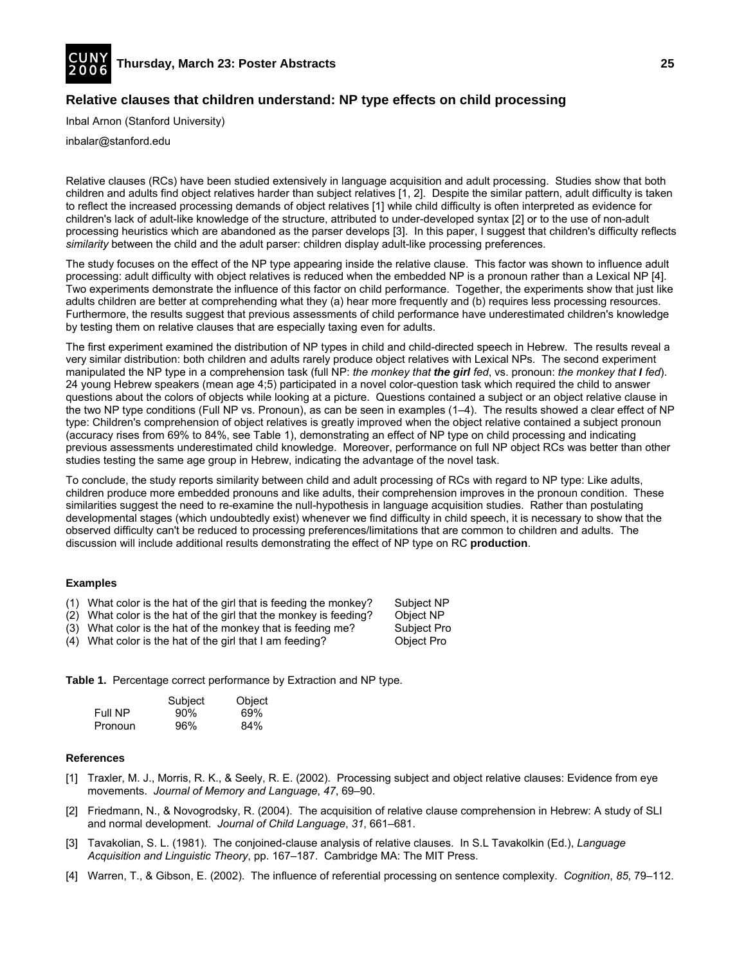

# **Relative clauses that children understand: NP type effects on child processing**

Inbal Arnon (Stanford University)

inbalar@stanford.edu

Relative clauses (RCs) have been studied extensively in language acquisition and adult processing. Studies show that both children and adults find object relatives harder than subject relatives [1, 2]. Despite the similar pattern, adult difficulty is taken to reflect the increased processing demands of object relatives [1] while child difficulty is often interpreted as evidence for children's lack of adult-like knowledge of the structure, attributed to under-developed syntax [2] or to the use of non-adult processing heuristics which are abandoned as the parser develops [3]. In this paper, I suggest that children's difficulty reflects *similarity* between the child and the adult parser: children display adult-like processing preferences.

The study focuses on the effect of the NP type appearing inside the relative clause. This factor was shown to influence adult processing: adult difficulty with object relatives is reduced when the embedded NP is a pronoun rather than a Lexical NP [4]. Two experiments demonstrate the influence of this factor on child performance. Together, the experiments show that just like adults children are better at comprehending what they (a) hear more frequently and (b) requires less processing resources. Furthermore, the results suggest that previous assessments of child performance have underestimated children's knowledge by testing them on relative clauses that are especially taxing even for adults.

The first experiment examined the distribution of NP types in child and child-directed speech in Hebrew. The results reveal a very similar distribution: both children and adults rarely produce object relatives with Lexical NPs. The second experiment manipulated the NP type in a comprehension task (full NP: *the monkey that the girl fed*, vs. pronoun: *the monkey that I fed*). 24 young Hebrew speakers (mean age 4;5) participated in a novel color-question task which required the child to answer questions about the colors of objects while looking at a picture. Questions contained a subject or an object relative clause in the two NP type conditions (Full NP vs. Pronoun), as can be seen in examples (1–4). The results showed a clear effect of NP type: Children's comprehension of object relatives is greatly improved when the object relative contained a subject pronoun (accuracy rises from 69% to 84%, see Table 1), demonstrating an effect of NP type on child processing and indicating previous assessments underestimated child knowledge. Moreover, performance on full NP object RCs was better than other studies testing the same age group in Hebrew, indicating the advantage of the novel task.

To conclude, the study reports similarity between child and adult processing of RCs with regard to NP type: Like adults, children produce more embedded pronouns and like adults, their comprehension improves in the pronoun condition. These similarities suggest the need to re-examine the null-hypothesis in language acquisition studies. Rather than postulating developmental stages (which undoubtedly exist) whenever we find difficulty in child speech, it is necessary to show that the observed difficulty can't be reduced to processing preferences/limitations that are common to children and adults. The discussion will include additional results demonstrating the effect of NP type on RC **production**.

#### **Examples**

- (1) What color is the hat of the girl that is feeding the monkey? Subject NP  $(2)$  What color is the hat of the girl that the monkey is feeding? Object NP
- $(2)$  What color is the hat of the girl that the monkey is feeding?
- (3) What color is the hat of the monkey that is feeding me? Subject Pro
- (4) What color is the hat of the girl that I am feeding? Object Pro

**Table 1.** Percentage correct performance by Extraction and NP type.

|         | Subject | Object |
|---------|---------|--------|
| Full NP | 90%     | 69%    |
| Pronoun | 96%     | 84%    |

- [1] Traxler, M. J., Morris, R. K., & Seely, R. E. (2002). Processing subject and object relative clauses: Evidence from eye movements. *Journal of Memory and Language*, *47*, 69–90.
- [2] Friedmann, N., & Novogrodsky, R. (2004). The acquisition of relative clause comprehension in Hebrew: A study of SLI and normal development. *Journal of Child Language*, *31*, 661–681.
- [3] Tavakolian, S. L. (1981). The conjoined-clause analysis of relative clauses. In S.L Tavakolkin (Ed.), *Language Acquisition and Linguistic Theory*, pp. 167–187. Cambridge MA: The MIT Press.
- [4] Warren, T., & Gibson, E. (2002). The influence of referential processing on sentence complexity. *Cognition*, *85*, 79–112.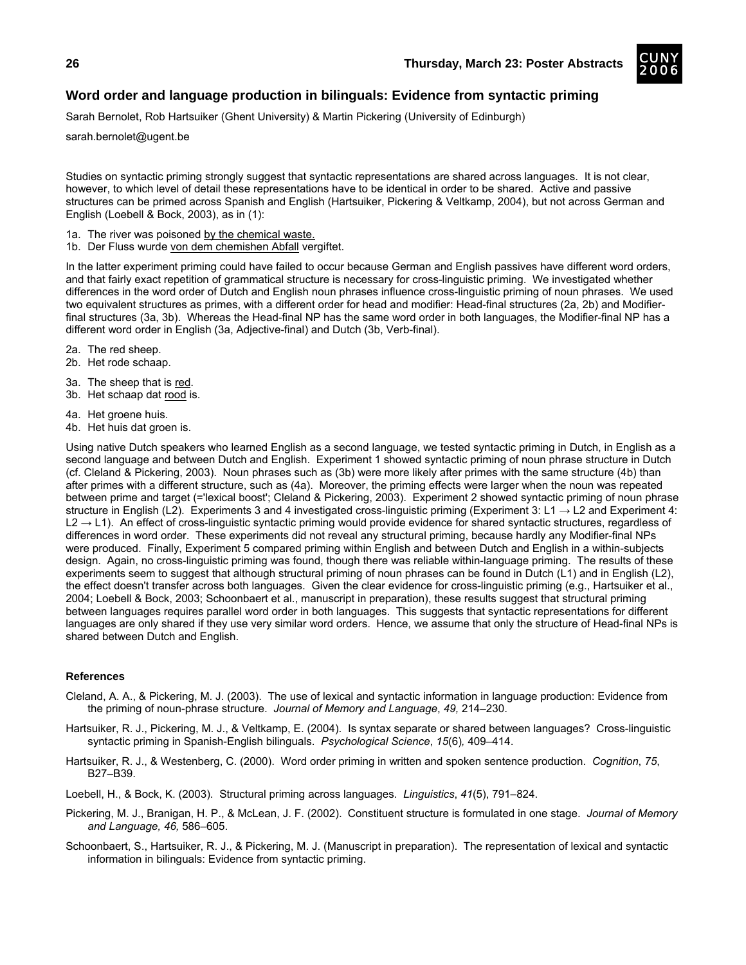

# **Word order and language production in bilinguals: Evidence from syntactic priming**

Sarah Bernolet, Rob Hartsuiker (Ghent University) & Martin Pickering (University of Edinburgh)

sarah.bernolet@ugent.be

Studies on syntactic priming strongly suggest that syntactic representations are shared across languages. It is not clear, however, to which level of detail these representations have to be identical in order to be shared. Active and passive structures can be primed across Spanish and English (Hartsuiker, Pickering & Veltkamp, 2004), but not across German and English (Loebell & Bock, 2003), as in (1):

- 1a. The river was poisoned by the chemical waste.
- 1b. Der Fluss wurde von dem chemishen Abfall vergiftet.

In the latter experiment priming could have failed to occur because German and English passives have different word orders, and that fairly exact repetition of grammatical structure is necessary for cross-linguistic priming. We investigated whether differences in the word order of Dutch and English noun phrases influence cross-linguistic priming of noun phrases. We used two equivalent structures as primes, with a different order for head and modifier: Head-final structures (2a, 2b) and Modifierfinal structures (3a, 3b). Whereas the Head-final NP has the same word order in both languages, the Modifier-final NP has a different word order in English (3a, Adjective-final) and Dutch (3b, Verb-final).

- 2a. The red sheep.
- 2b. Het rode schaap.
- 3a. The sheep that is red.
- 3b. Het schaap dat rood is.
- 4a. Het groene huis.
- 4b. Het huis dat groen is.

Using native Dutch speakers who learned English as a second language, we tested syntactic priming in Dutch, in English as a second language and between Dutch and English. Experiment 1 showed syntactic priming of noun phrase structure in Dutch (cf. Cleland & Pickering, 2003). Noun phrases such as (3b) were more likely after primes with the same structure (4b) than after primes with a different structure, such as (4a). Moreover, the priming effects were larger when the noun was repeated between prime and target (='lexical boost'; Cleland & Pickering, 2003). Experiment 2 showed syntactic priming of noun phrase structure in English (L2). Experiments 3 and 4 investigated cross-linguistic priming (Experiment 3: L1  $\rightarrow$  L2 and Experiment 4:  $L2 \rightarrow L1$ ). An effect of cross-linguistic syntactic priming would provide evidence for shared syntactic structures, regardless of differences in word order. These experiments did not reveal any structural priming, because hardly any Modifier-final NPs were produced. Finally, Experiment 5 compared priming within English and between Dutch and English in a within-subjects design. Again, no cross-linguistic priming was found, though there was reliable within-language priming. The results of these experiments seem to suggest that although structural priming of noun phrases can be found in Dutch (L1) and in English (L2), the effect doesn't transfer across both languages. Given the clear evidence for cross-linguistic priming (e.g., Hartsuiker et al., 2004; Loebell & Bock, 2003; Schoonbaert et al., manuscript in preparation), these results suggest that structural priming between languages requires parallel word order in both languages. This suggests that syntactic representations for different languages are only shared if they use very similar word orders. Hence, we assume that only the structure of Head-final NPs is shared between Dutch and English.

#### **References**

Cleland, A. A., & Pickering, M. J. (2003). The use of lexical and syntactic information in language production: Evidence from the priming of noun-phrase structure. *Journal of Memory and Language*, *49,* 214–230.

Hartsuiker, R. J., Pickering, M. J., & Veltkamp, E. (2004). Is syntax separate or shared between languages? Cross-linguistic syntactic priming in Spanish-English bilinguals. *Psychological Science*, *15*(6)*,* 409–414.

Hartsuiker, R. J., & Westenberg, C. (2000). Word order priming in written and spoken sentence production. *Cognition*, *75*, B27–B39.

Loebell, H., & Bock, K. (2003). Structural priming across languages. *Linguistics*, *41*(5), 791–824.

Pickering, M. J., Branigan, H. P., & McLean, J. F. (2002). Constituent structure is formulated in one stage. *Journal of Memory and Language, 46,* 586–605.

Schoonbaert, S., Hartsuiker, R. J., & Pickering, M. J. (Manuscript in preparation). The representation of lexical and syntactic information in bilinguals: Evidence from syntactic priming.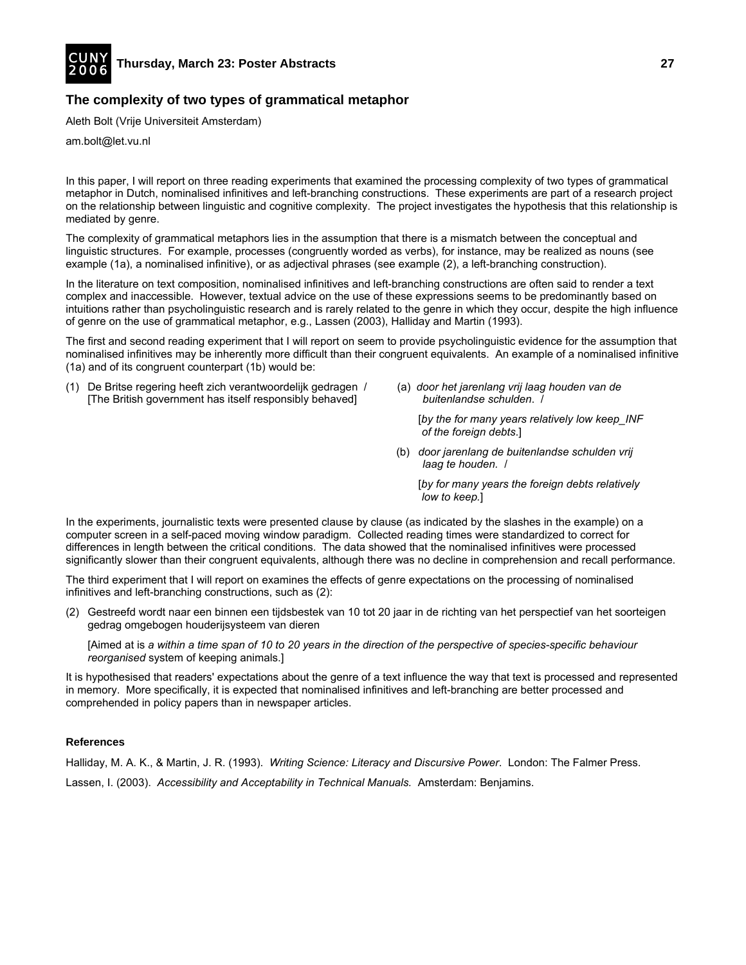

# **The complexity of two types of grammatical metaphor**

Aleth Bolt (Vrije Universiteit Amsterdam)

am.bolt@let.vu.nl

In this paper, I will report on three reading experiments that examined the processing complexity of two types of grammatical metaphor in Dutch, nominalised infinitives and left-branching constructions. These experiments are part of a research project on the relationship between linguistic and cognitive complexity. The project investigates the hypothesis that this relationship is mediated by genre.

The complexity of grammatical metaphors lies in the assumption that there is a mismatch between the conceptual and linguistic structures. For example, processes (congruently worded as verbs), for instance, may be realized as nouns (see example (1a), a nominalised infinitive), or as adjectival phrases (see example (2), a left-branching construction).

In the literature on text composition, nominalised infinitives and left-branching constructions are often said to render a text complex and inaccessible. However, textual advice on the use of these expressions seems to be predominantly based on intuitions rather than psycholinguistic research and is rarely related to the genre in which they occur, despite the high influence of genre on the use of grammatical metaphor, e.g., Lassen (2003), Halliday and Martin (1993).

The first and second reading experiment that I will report on seem to provide psycholinguistic evidence for the assumption that nominalised infinitives may be inherently more difficult than their congruent equivalents. An example of a nominalised infinitive (1a) and of its congruent counterpart (1b) would be:

- (1) De Britse regering heeft zich verantwoordelijk gedragen / [The British government has itself responsibly behaved]
- (a) *door het jarenlang vrij laag houden van de buitenlandse schulden*. /

[*by the for many years relatively low keep\_INF of the foreign debts*.]

 (b) *door jarenlang de buitenlandse schulden vrij laag te houden.* /

 [*by for many years the foreign debts relatively low to keep.*]

In the experiments, journalistic texts were presented clause by clause (as indicated by the slashes in the example) on a computer screen in a self-paced moving window paradigm. Collected reading times were standardized to correct for differences in length between the critical conditions. The data showed that the nominalised infinitives were processed significantly slower than their congruent equivalents, although there was no decline in comprehension and recall performance.

The third experiment that I will report on examines the effects of genre expectations on the processing of nominalised infinitives and left-branching constructions, such as (2):

(2) Gestreefd wordt naar een binnen een tijdsbestek van 10 tot 20 jaar in de richting van het perspectief van het soorteigen gedrag omgebogen houderijsysteem van dieren

 [Aimed at is *a within a time span of 10 to 20 years in the direction of the perspective of species-specific behaviour reorganised* system of keeping animals.]

It is hypothesised that readers' expectations about the genre of a text influence the way that text is processed and represented in memory. More specifically, it is expected that nominalised infinitives and left-branching are better processed and comprehended in policy papers than in newspaper articles.

## **References**

Halliday, M. A. K., & Martin, J. R. (1993). *Writing Science: Literacy and Discursive Power*. London: The Falmer Press. Lassen, I. (2003). *Accessibility and Acceptability in Technical Manuals.* Amsterdam: Benjamins.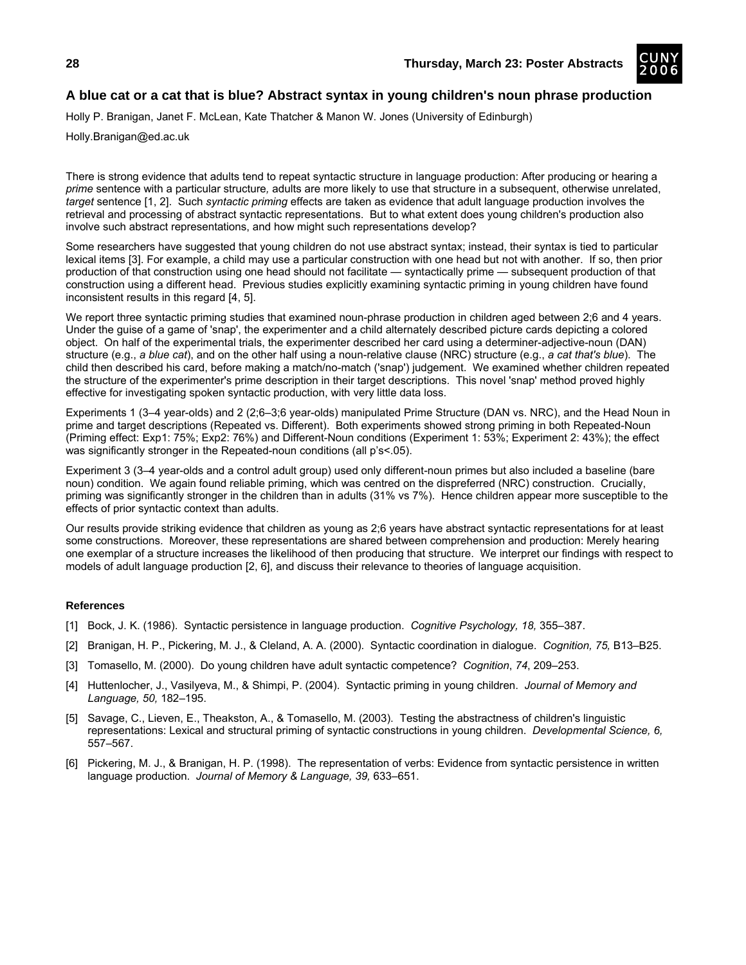

Holly P. Branigan, Janet F. McLean, Kate Thatcher & Manon W. Jones (University of Edinburgh)

Holly.Branigan@ed.ac.uk

There is strong evidence that adults tend to repeat syntactic structure in language production: After producing or hearing a *prime* sentence with a particular structure*,* adults are more likely to use that structure in a subsequent, otherwise unrelated, *target* sentence [1, 2]. Such *syntactic priming* effects are taken as evidence that adult language production involves the retrieval and processing of abstract syntactic representations. But to what extent does young children's production also involve such abstract representations, and how might such representations develop?

Some researchers have suggested that young children do not use abstract syntax; instead, their syntax is tied to particular lexical items [3]. For example, a child may use a particular construction with one head but not with another. If so, then prior production of that construction using one head should not facilitate — syntactically prime — subsequent production of that construction using a different head. Previous studies explicitly examining syntactic priming in young children have found inconsistent results in this regard [4, 5].

We report three syntactic priming studies that examined noun-phrase production in children aged between 2;6 and 4 years. Under the guise of a game of 'snap', the experimenter and a child alternately described picture cards depicting a colored object. On half of the experimental trials, the experimenter described her card using a determiner-adjective-noun (DAN) structure (e.g., *a blue cat*), and on the other half using a noun-relative clause (NRC) structure (e.g., *a cat that's blue*). The child then described his card, before making a match/no-match ('snap') judgement. We examined whether children repeated the structure of the experimenter's prime description in their target descriptions. This novel 'snap' method proved highly effective for investigating spoken syntactic production, with very little data loss.

Experiments 1 (3–4 year-olds) and 2 (2;6–3;6 year-olds) manipulated Prime Structure (DAN vs. NRC), and the Head Noun in prime and target descriptions (Repeated vs. Different). Both experiments showed strong priming in both Repeated-Noun (Priming effect: Exp1: 75%; Exp2: 76%) and Different-Noun conditions (Experiment 1: 53%; Experiment 2: 43%); the effect was significantly stronger in the Repeated-noun conditions (all p's<.05).

Experiment 3 (3–4 year-olds and a control adult group) used only different-noun primes but also included a baseline (bare noun) condition. We again found reliable priming, which was centred on the dispreferred (NRC) construction. Crucially, priming was significantly stronger in the children than in adults (31% vs 7%). Hence children appear more susceptible to the effects of prior syntactic context than adults.

Our results provide striking evidence that children as young as 2;6 years have abstract syntactic representations for at least some constructions. Moreover, these representations are shared between comprehension and production: Merely hearing one exemplar of a structure increases the likelihood of then producing that structure. We interpret our findings with respect to models of adult language production [2, 6], and discuss their relevance to theories of language acquisition.

- [1] Bock, J. K. (1986). Syntactic persistence in language production. *Cognitive Psychology, 18,* 355–387.
- [2] Branigan, H. P., Pickering, M. J., & Cleland, A. A. (2000). Syntactic coordination in dialogue. *Cognition, 75,* B13–B25.
- [3] Tomasello, M. (2000). Do young children have adult syntactic competence? *Cognition*, *74*, 209–253.
- [4] Huttenlocher, J., Vasilyeva, M., & Shimpi, P. (2004). Syntactic priming in young children. *Journal of Memory and Language, 50,* 182–195.
- [5] Savage, C., Lieven, E., Theakston, A., & Tomasello, M. (2003). Testing the abstractness of children's linguistic representations: Lexical and structural priming of syntactic constructions in young children. *Developmental Science, 6,*  557–567.
- [6] Pickering, M. J., & Branigan, H. P. (1998). The representation of verbs: Evidence from syntactic persistence in written language production. *Journal of Memory & Language, 39,* 633–651.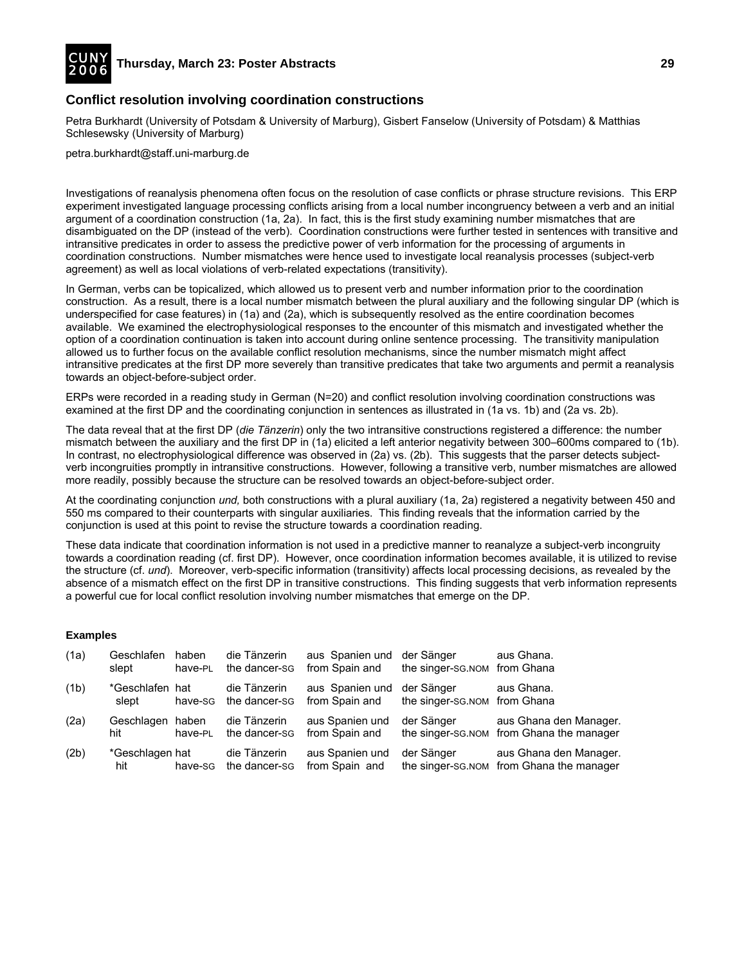

# **Conflict resolution involving coordination constructions**

Petra Burkhardt (University of Potsdam & University of Marburg), Gisbert Fanselow (University of Potsdam) & Matthias Schlesewsky (University of Marburg)

petra.burkhardt@staff.uni-marburg.de

Investigations of reanalysis phenomena often focus on the resolution of case conflicts or phrase structure revisions. This ERP experiment investigated language processing conflicts arising from a local number incongruency between a verb and an initial argument of a coordination construction (1a, 2a). In fact, this is the first study examining number mismatches that are disambiguated on the DP (instead of the verb). Coordination constructions were further tested in sentences with transitive and intransitive predicates in order to assess the predictive power of verb information for the processing of arguments in coordination constructions. Number mismatches were hence used to investigate local reanalysis processes (subject-verb agreement) as well as local violations of verb-related expectations (transitivity).

In German, verbs can be topicalized, which allowed us to present verb and number information prior to the coordination construction. As a result, there is a local number mismatch between the plural auxiliary and the following singular DP (which is underspecified for case features) in (1a) and (2a), which is subsequently resolved as the entire coordination becomes available. We examined the electrophysiological responses to the encounter of this mismatch and investigated whether the option of a coordination continuation is taken into account during online sentence processing. The transitivity manipulation allowed us to further focus on the available conflict resolution mechanisms, since the number mismatch might affect intransitive predicates at the first DP more severely than transitive predicates that take two arguments and permit a reanalysis towards an object-before-subject order.

ERPs were recorded in a reading study in German (N=20) and conflict resolution involving coordination constructions was examined at the first DP and the coordinating conjunction in sentences as illustrated in (1a vs. 1b) and (2a vs. 2b).

The data reveal that at the first DP (*die Tänzerin*) only the two intransitive constructions registered a difference: the number mismatch between the auxiliary and the first DP in (1a) elicited a left anterior negativity between 300–600ms compared to (1b). In contrast, no electrophysiological difference was observed in (2a) vs. (2b). This suggests that the parser detects subjectverb incongruities promptly in intransitive constructions. However, following a transitive verb, number mismatches are allowed more readily, possibly because the structure can be resolved towards an object-before-subject order.

At the coordinating conjunction *und,* both constructions with a plural auxiliary (1a, 2a) registered a negativity between 450 and 550 ms compared to their counterparts with singular auxiliaries. This finding reveals that the information carried by the conjunction is used at this point to revise the structure towards a coordination reading.

These data indicate that coordination information is not used in a predictive manner to reanalyze a subject-verb incongruity towards a coordination reading (cf. first DP). However, once coordination information becomes available, it is utilized to revise the structure (cf. *und*). Moreover, verb-specific information (transitivity) affects local processing decisions, as revealed by the absence of a mismatch effect on the first DP in transitive constructions. This finding suggests that verb information represents a powerful cue for local conflict resolution involving number mismatches that emerge on the DP.

## **Examples**

| (1a) | Geschlafen<br>slept      | haben<br>have-PL | die Tänzerin<br>the dancer-sg | aus Spanien und<br>from Spain and | der Sänger<br>the singer-SG.NOM from Ghana  | aus Ghana.                                                          |
|------|--------------------------|------------------|-------------------------------|-----------------------------------|---------------------------------------------|---------------------------------------------------------------------|
| (1b) | *Geschlafen hat<br>slept | have-sg          | die Tänzerin<br>the dancer-sg | aus Spanien und<br>from Spain and | der Sänger<br>the singer-sg. NOM from Ghana | aus Ghana.                                                          |
| (2a) | Geschlagen<br>hit        | haben<br>have-PL | die Tänzerin<br>the dancer-sg | aus Spanien und<br>from Spain and | der Sänger                                  | aus Ghana den Manager.<br>the singer-sg. NOM from Ghana the manager |
| (2b) | *Geschlagen hat<br>hit   | have-sg          | die Tänzerin<br>the dancer-sg | aus Spanien und<br>from Spain and | der Sänger                                  | aus Ghana den Manager.<br>the singer-SG.NOM from Ghana the manager  |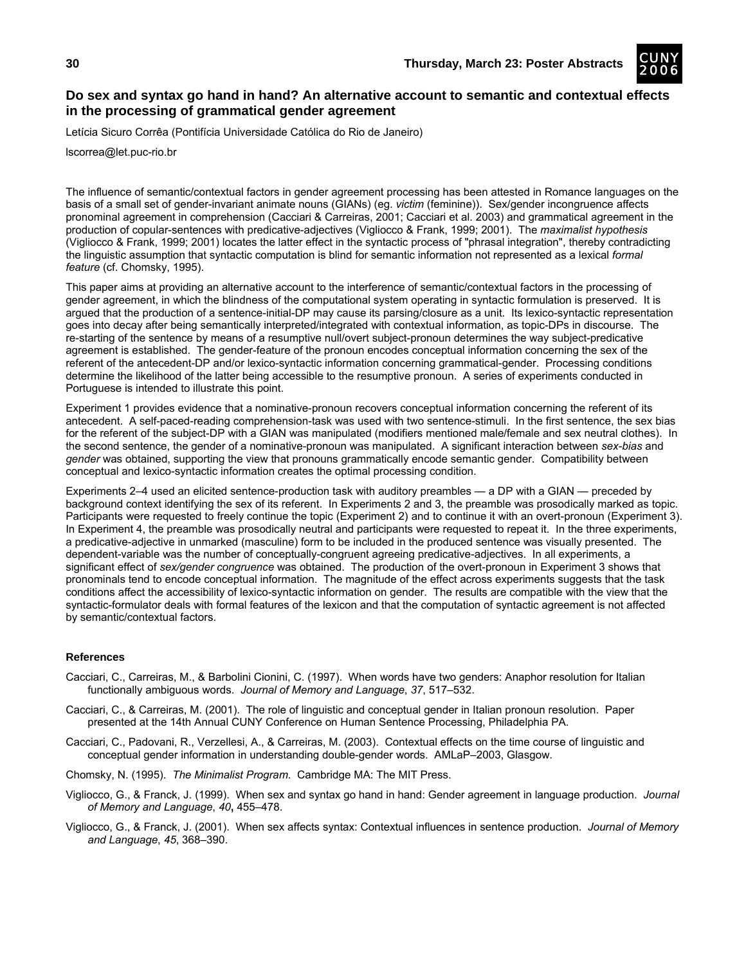

# **Do sex and syntax go hand in hand? An alternative account to semantic and contextual effects in the processing of grammatical gender agreement**

Letícia Sicuro Corrêa (Pontifícia Universidade Católica do Rio de Janeiro)

lscorrea@let.puc-rio.br

The influence of semantic/contextual factors in gender agreement processing has been attested in Romance languages on the basis of a small set of gender-invariant animate nouns (GIANs) (eg. *victim* (feminine)). Sex/gender incongruence affects pronominal agreement in comprehension (Cacciari & Carreiras, 2001; Cacciari et al. 2003) and grammatical agreement in the production of copular-sentences with predicative-adjectives (Vigliocco & Frank, 1999; 2001). The *maximalist hypothesis*  (Vigliocco & Frank, 1999; 2001) locates the latter effect in the syntactic process of "phrasal integration", thereby contradicting the linguistic assumption that syntactic computation is blind for semantic information not represented as a lexical *formal feature* (cf. Chomsky, 1995).

This paper aims at providing an alternative account to the interference of semantic/contextual factors in the processing of gender agreement, in which the blindness of the computational system operating in syntactic formulation is preserved. It is argued that the production of a sentence-initial-DP may cause its parsing/closure as a unit. Its lexico-syntactic representation goes into decay after being semantically interpreted/integrated with contextual information, as topic-DPs in discourse. The re-starting of the sentence by means of a resumptive null/overt subject-pronoun determines the way subject-predicative agreement is established. The gender-feature of the pronoun encodes conceptual information concerning the sex of the referent of the antecedent-DP and/or lexico-syntactic information concerning grammatical-gender. Processing conditions determine the likelihood of the latter being accessible to the resumptive pronoun. A series of experiments conducted in Portuguese is intended to illustrate this point.

Experiment 1 provides evidence that a nominative-pronoun recovers conceptual information concerning the referent of its antecedent. A self-paced-reading comprehension-task was used with two sentence-stimuli. In the first sentence, the sex bias for the referent of the subject-DP with a GIAN was manipulated (modifiers mentioned male/female and sex neutral clothes). In the second sentence, the gender of a nominative-pronoun was manipulated. A significant interaction between *sex-bias* and *gender* was obtained, supporting the view that pronouns grammatically encode semantic gender. Compatibility between conceptual and lexico-syntactic information creates the optimal processing condition.

Experiments 2–4 used an elicited sentence-production task with auditory preambles — a DP with a GIAN — preceded by background context identifying the sex of its referent. In Experiments 2 and 3, the preamble was prosodically marked as topic. Participants were requested to freely continue the topic (Experiment 2) and to continue it with an overt-pronoun (Experiment 3). In Experiment 4, the preamble was prosodically neutral and participants were requested to repeat it. In the three experiments, a predicative-adjective in unmarked (masculine) form to be included in the produced sentence was visually presented. The dependent-variable was the number of conceptually-congruent agreeing predicative-adjectives. In all experiments, a significant effect of *sex/gender congruence* was obtained. The production of the overt-pronoun in Experiment 3 shows that pronominals tend to encode conceptual information. The magnitude of the effect across experiments suggests that the task conditions affect the accessibility of lexico-syntactic information on gender. The results are compatible with the view that the syntactic-formulator deals with formal features of the lexicon and that the computation of syntactic agreement is not affected by semantic/contextual factors.

- Cacciari, C., Carreiras, M., & Barbolini Cionini, C. (1997). When words have two genders: Anaphor resolution for Italian functionally ambiguous words. *Journal of Memory and Language*, *37*, 517–532.
- Cacciari, C., & Carreiras, M. (2001). The role of linguistic and conceptual gender in Italian pronoun resolution. Paper presented at the 14th Annual CUNY Conference on Human Sentence Processing, Philadelphia PA.
- Cacciari, C., Padovani, R., Verzellesi, A., & Carreiras, M. (2003). Contextual effects on the time course of linguistic and conceptual gender information in understanding double-gender words. AMLaP–2003, Glasgow.
- Chomsky, N. (1995). *The Minimalist Program*. Cambridge MA: The MIT Press.
- Vigliocco, G., & Franck, J. (1999). When sex and syntax go hand in hand: Gender agreement in language production. *Journal of Memory and Language*, *40***,** 455–478.
- Vigliocco, G., & Franck, J. (2001). When sex affects syntax: Contextual influences in sentence production. *Journal of Memory and Language*, *45*, 368–390.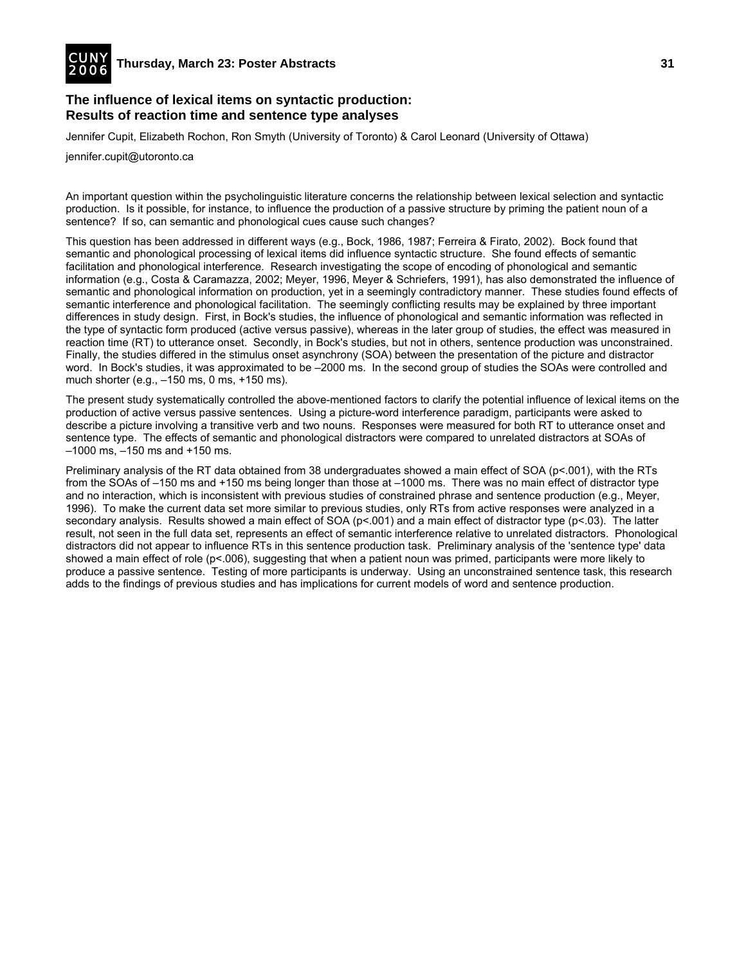

## **The influence of lexical items on syntactic production: Results of reaction time and sentence type analyses**

Jennifer Cupit, Elizabeth Rochon, Ron Smyth (University of Toronto) & Carol Leonard (University of Ottawa)

jennifer.cupit@utoronto.ca

An important question within the psycholinguistic literature concerns the relationship between lexical selection and syntactic production. Is it possible, for instance, to influence the production of a passive structure by priming the patient noun of a sentence? If so, can semantic and phonological cues cause such changes?

This question has been addressed in different ways (e.g., Bock, 1986, 1987; Ferreira & Firato, 2002). Bock found that semantic and phonological processing of lexical items did influence syntactic structure. She found effects of semantic facilitation and phonological interference. Research investigating the scope of encoding of phonological and semantic information (e.g., Costa & Caramazza, 2002; Meyer, 1996, Meyer & Schriefers, 1991), has also demonstrated the influence of semantic and phonological information on production, yet in a seemingly contradictory manner. These studies found effects of semantic interference and phonological facilitation. The seemingly conflicting results may be explained by three important differences in study design. First, in Bock's studies, the influence of phonological and semantic information was reflected in the type of syntactic form produced (active versus passive), whereas in the later group of studies, the effect was measured in reaction time (RT) to utterance onset. Secondly, in Bock's studies, but not in others, sentence production was unconstrained. Finally, the studies differed in the stimulus onset asynchrony (SOA) between the presentation of the picture and distractor word. In Bock's studies, it was approximated to be –2000 ms. In the second group of studies the SOAs were controlled and much shorter (e.g., –150 ms, 0 ms, +150 ms).

The present study systematically controlled the above-mentioned factors to clarify the potential influence of lexical items on the production of active versus passive sentences. Using a picture-word interference paradigm, participants were asked to describe a picture involving a transitive verb and two nouns. Responses were measured for both RT to utterance onset and sentence type. The effects of semantic and phonological distractors were compared to unrelated distractors at SOAs of –1000 ms, –150 ms and +150 ms.

Preliminary analysis of the RT data obtained from 38 undergraduates showed a main effect of SOA (p<.001), with the RTs from the SOAs of –150 ms and +150 ms being longer than those at –1000 ms. There was no main effect of distractor type and no interaction, which is inconsistent with previous studies of constrained phrase and sentence production (e.g., Meyer, 1996). To make the current data set more similar to previous studies, only RTs from active responses were analyzed in a secondary analysis. Results showed a main effect of SOA (p<.001) and a main effect of distractor type (p<.03). The latter result, not seen in the full data set, represents an effect of semantic interference relative to unrelated distractors. Phonological distractors did not appear to influence RTs in this sentence production task. Preliminary analysis of the 'sentence type' data showed a main effect of role (p<.006), suggesting that when a patient noun was primed, participants were more likely to produce a passive sentence. Testing of more participants is underway. Using an unconstrained sentence task, this research adds to the findings of previous studies and has implications for current models of word and sentence production.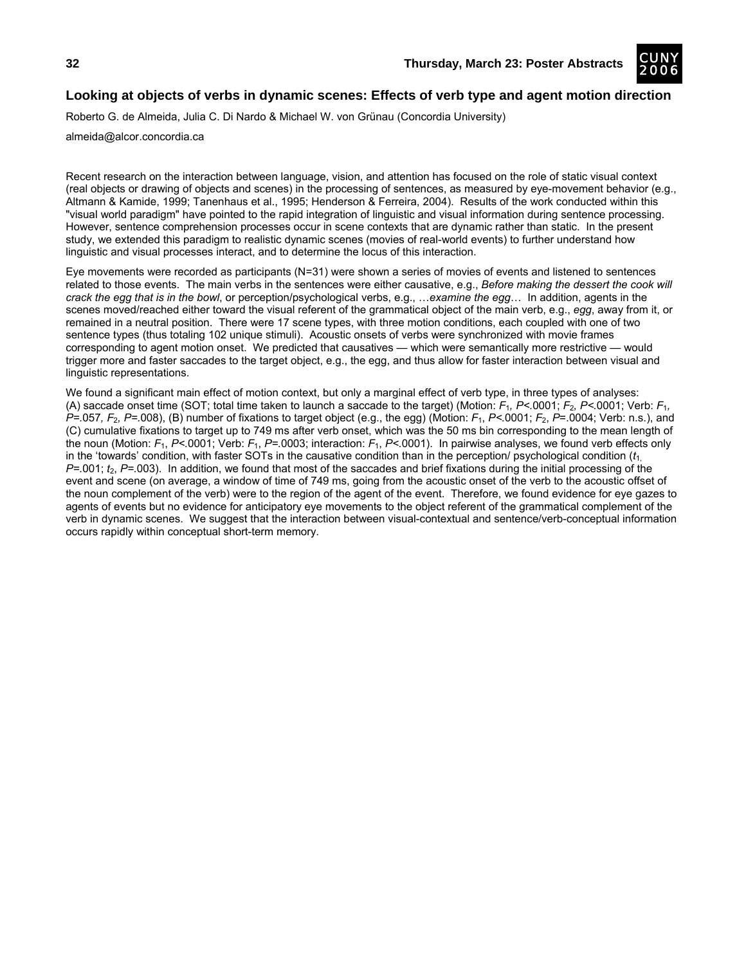

# **Looking at objects of verbs in dynamic scenes: Effects of verb type and agent motion direction**

Roberto G. de Almeida, Julia C. Di Nardo & Michael W. von Grünau (Concordia University)

almeida@alcor.concordia.ca

Recent research on the interaction between language, vision, and attention has focused on the role of static visual context (real objects or drawing of objects and scenes) in the processing of sentences, as measured by eye-movement behavior (e.g., Altmann & Kamide, 1999; Tanenhaus et al., 1995; Henderson & Ferreira, 2004). Results of the work conducted within this "visual world paradigm" have pointed to the rapid integration of linguistic and visual information during sentence processing. However, sentence comprehension processes occur in scene contexts that are dynamic rather than static. In the present study, we extended this paradigm to realistic dynamic scenes (movies of real-world events) to further understand how linguistic and visual processes interact, and to determine the locus of this interaction.

Eye movements were recorded as participants (N=31) were shown a series of movies of events and listened to sentences related to those events. The main verbs in the sentences were either causative, e.g., *Before making the dessert the cook will crack the egg that is in the bowl*, or perception/psychological verbs, e.g., …*examine the egg*… In addition, agents in the scenes moved/reached either toward the visual referent of the grammatical object of the main verb, e.g., *egg*, away from it, or remained in a neutral position. There were 17 scene types, with three motion conditions, each coupled with one of two sentence types (thus totaling 102 unique stimuli). Acoustic onsets of verbs were synchronized with movie frames corresponding to agent motion onset. We predicted that causatives — which were semantically more restrictive — would trigger more and faster saccades to the target object, e.g., the egg, and thus allow for faster interaction between visual and linguistic representations.

We found a significant main effect of motion context, but only a marginal effect of verb type, in three types of analyses: (A) saccade onset time (SOT; total time taken to launch a saccade to the target) (Motion: *F*1*, P<.*0001; *F*2*, P<.*0001; Verb: *F*1*, P=.*057*, F*2*, P=.*008), (B) number of fixations to target object (e.g., the egg) (Motion: *F*1, *P<.*0001; *F*2, *P*=.0004; Verb: n.s.), and (C) cumulative fixations to target up to 749 ms after verb onset, which was the 50 ms bin corresponding to the mean length of the noun (Motion: *F*1, *P<.*0001; Verb: *F*1, *P=.*0003; interaction: *F*1, *P<.*0001). In pairwise analyses, we found verb effects only in the 'towards' condition, with faster SOTs in the causative condition than in the perception/ psychological condition (*t*1, *P=.*001; *t*2, *P=.*003). In addition, we found that most of the saccades and brief fixations during the initial processing of the event and scene (on average, a window of time of 749 ms, going from the acoustic onset of the verb to the acoustic offset of the noun complement of the verb) were to the region of the agent of the event. Therefore, we found evidence for eye gazes to agents of events but no evidence for anticipatory eye movements to the object referent of the grammatical complement of the verb in dynamic scenes. We suggest that the interaction between visual-contextual and sentence/verb-conceptual information occurs rapidly within conceptual short-term memory.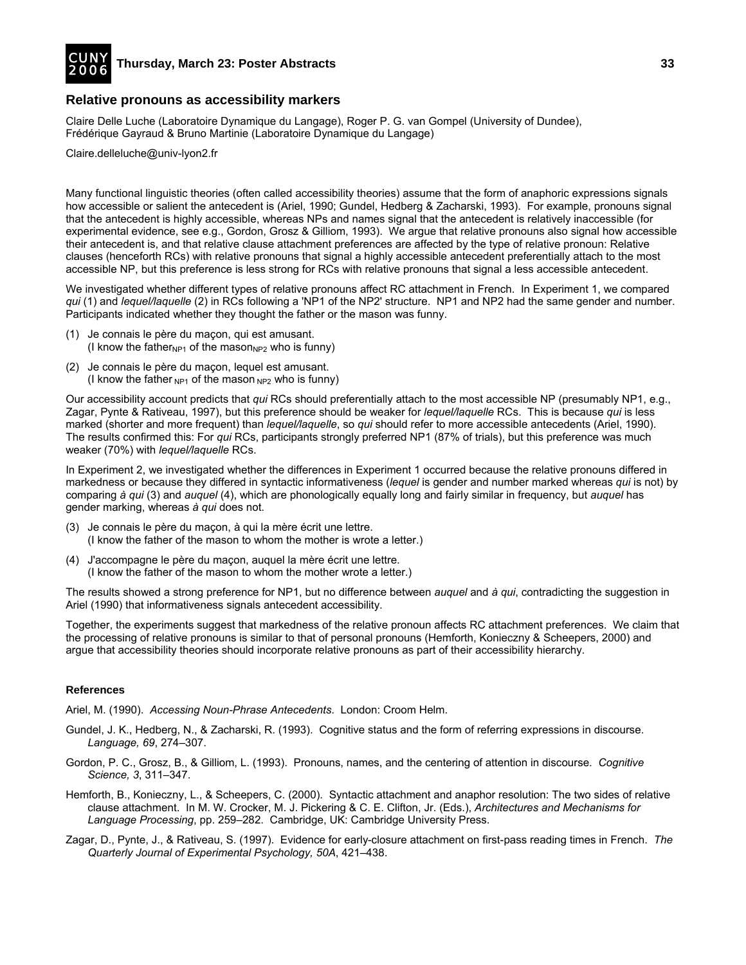

## **Relative pronouns as accessibility markers**

Claire Delle Luche (Laboratoire Dynamique du Langage), Roger P. G. van Gompel (University of Dundee), Frédérique Gayraud & Bruno Martinie (Laboratoire Dynamique du Langage)

Claire.delleluche@univ-lyon2.fr

Many functional linguistic theories (often called accessibility theories) assume that the form of anaphoric expressions signals how accessible or salient the antecedent is (Ariel, 1990; Gundel, Hedberg & Zacharski, 1993). For example, pronouns signal that the antecedent is highly accessible, whereas NPs and names signal that the antecedent is relatively inaccessible (for experimental evidence, see e.g., Gordon, Grosz & Gilliom, 1993). We argue that relative pronouns also signal how accessible their antecedent is, and that relative clause attachment preferences are affected by the type of relative pronoun: Relative clauses (henceforth RCs) with relative pronouns that signal a highly accessible antecedent preferentially attach to the most accessible NP, but this preference is less strong for RCs with relative pronouns that signal a less accessible antecedent.

We investigated whether different types of relative pronouns affect RC attachment in French. In Experiment 1, we compared *qui* (1) and *lequel/laquelle* (2) in RCs following a 'NP1 of the NP2' structure. NP1 and NP2 had the same gender and number. Participants indicated whether they thought the father or the mason was funny.

- (1) Je connais le père du maçon, qui est amusant. (I know the father<sub>NP1</sub> of the mason<sub>NP2</sub> who is funny)
- (2) Je connais le père du maçon, lequel est amusant. (I know the father  $_{NP1}$  of the mason  $_{NP2}$  who is funny)

Our accessibility account predicts that *qui* RCs should preferentially attach to the most accessible NP (presumably NP1, e.g., Zagar, Pynte & Rativeau, 1997), but this preference should be weaker for *lequel/laquelle* RCs. This is because *qui* is less marked (shorter and more frequent) than *lequel/laquelle*, so *qui* should refer to more accessible antecedents (Ariel, 1990). The results confirmed this: For *qui* RCs, participants strongly preferred NP1 (87% of trials), but this preference was much weaker (70%) with *lequel/laquelle* RCs.

In Experiment 2, we investigated whether the differences in Experiment 1 occurred because the relative pronouns differed in markedness or because they differed in syntactic informativeness (*lequel* is gender and number marked whereas *qui* is not) by comparing *à qui* (3) and *auquel* (4), which are phonologically equally long and fairly similar in frequency, but *auquel* has gender marking, whereas *à qui* does not.

- (3) Je connais le père du maçon, à qui la mère écrit une lettre. (I know the father of the mason to whom the mother is wrote a letter.)
- (4) J'accompagne le père du maçon, auquel la mère écrit une lettre. (I know the father of the mason to whom the mother wrote a letter.)

The results showed a strong preference for NP1, but no difference between *auquel* and *à qui*, contradicting the suggestion in Ariel (1990) that informativeness signals antecedent accessibility.

Together, the experiments suggest that markedness of the relative pronoun affects RC attachment preferences. We claim that the processing of relative pronouns is similar to that of personal pronouns (Hemforth, Konieczny & Scheepers, 2000) and argue that accessibility theories should incorporate relative pronouns as part of their accessibility hierarchy.

#### **References**

Ariel, M. (1990). *Accessing Noun-Phrase Antecedents*. London: Croom Helm.

- Gundel, J. K., Hedberg, N., & Zacharski, R. (1993). Cognitive status and the form of referring expressions in discourse. *Language, 69*, 274–307.
- Gordon, P. C., Grosz, B., & Gilliom, L. (1993). Pronouns, names, and the centering of attention in discourse. *Cognitive Science, 3*, 311–347.
- Hemforth, B., Konieczny, L., & Scheepers, C. (2000). Syntactic attachment and anaphor resolution: The two sides of relative clause attachment. In M. W. Crocker, M. J. Pickering & C. E. Clifton, Jr. (Eds.), *Architectures and Mechanisms for Language Processing*, pp. 259–282. Cambridge, UK: Cambridge University Press.
- Zagar, D., Pynte, J., & Rativeau, S. (1997). Evidence for early-closure attachment on first-pass reading times in French. *The Quarterly Journal of Experimental Psychology, 50A*, 421–438.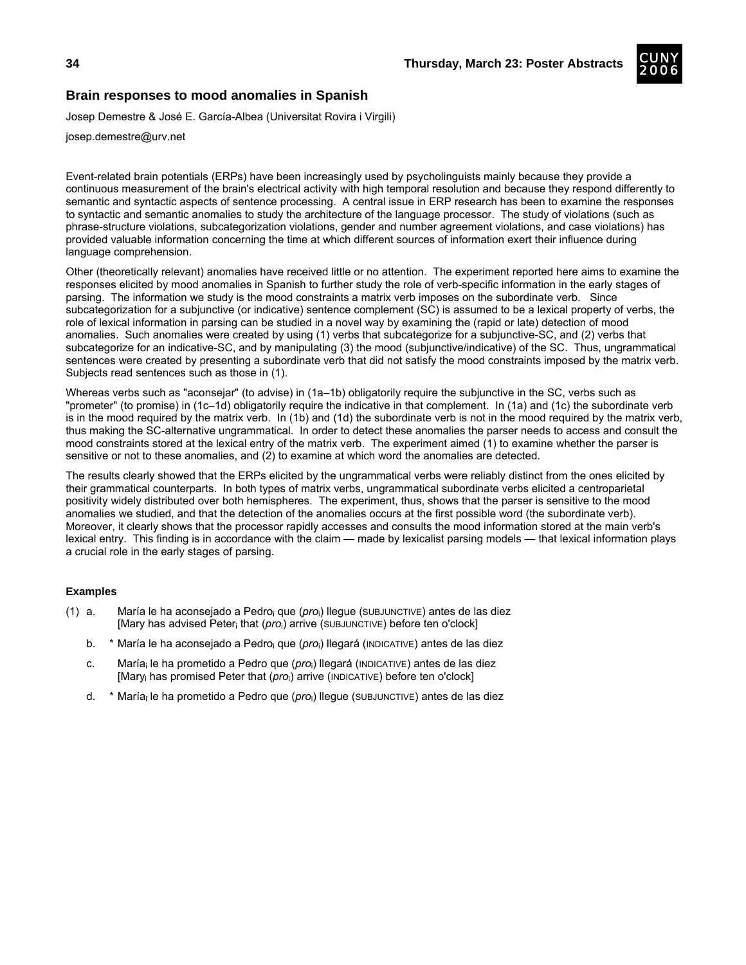

## **Brain responses to mood anomalies in Spanish**

Josep Demestre & José E. García-Albea (Universitat Rovira i Virgili)

josep.demestre@urv.net

Event-related brain potentials (ERPs) have been increasingly used by psycholinguists mainly because they provide a continuous measurement of the brain's electrical activity with high temporal resolution and because they respond differently to semantic and syntactic aspects of sentence processing. A central issue in ERP research has been to examine the responses to syntactic and semantic anomalies to study the architecture of the language processor. The study of violations (such as phrase-structure violations, subcategorization violations, gender and number agreement violations, and case violations) has provided valuable information concerning the time at which different sources of information exert their influence during language comprehension.

Other (theoretically relevant) anomalies have received little or no attention. The experiment reported here aims to examine the responses elicited by mood anomalies in Spanish to further study the role of verb-specific information in the early stages of parsing. The information we study is the mood constraints a matrix verb imposes on the subordinate verb. Since subcategorization for a subjunctive (or indicative) sentence complement (SC) is assumed to be a lexical property of verbs, the role of lexical information in parsing can be studied in a novel way by examining the (rapid or late) detection of mood anomalies. Such anomalies were created by using (1) verbs that subcategorize for a subjunctive-SC, and (2) verbs that subcategorize for an indicative-SC, and by manipulating (3) the mood (subjunctive/indicative) of the SC. Thus, ungrammatical sentences were created by presenting a subordinate verb that did not satisfy the mood constraints imposed by the matrix verb. Subjects read sentences such as those in (1).

Whereas verbs such as "aconsejar" (to advise) in (1a–1b) obligatorily require the subjunctive in the SC, verbs such as "prometer" (to promise) in (1c–1d) obligatorily require the indicative in that complement. In (1a) and (1c) the subordinate verb is in the mood required by the matrix verb. In (1b) and (1d) the subordinate verb is not in the mood required by the matrix verb, thus making the SC-alternative ungrammatical. In order to detect these anomalies the parser needs to access and consult the mood constraints stored at the lexical entry of the matrix verb. The experiment aimed (1) to examine whether the parser is sensitive or not to these anomalies, and (2) to examine at which word the anomalies are detected.

The results clearly showed that the ERPs elicited by the ungrammatical verbs were reliably distinct from the ones elicited by their grammatical counterparts. In both types of matrix verbs, ungrammatical subordinate verbs elicited a centroparietal positivity widely distributed over both hemispheres. The experiment, thus, shows that the parser is sensitive to the mood anomalies we studied, and that the detection of the anomalies occurs at the first possible word (the subordinate verb). Moreover, it clearly shows that the processor rapidly accesses and consults the mood information stored at the main verb's lexical entry. This finding is in accordance with the claim — made by lexicalist parsing models — that lexical information plays a crucial role in the early stages of parsing.

## **Examples**

- (1) a. María le ha aconsejado a Pedroi que (*pro*i) llegue (SUBJUNCTIVE) antes de las diez [Mary has advised Peteri that (*pro*i) arrive (SUBJUNCTIVE) before ten o'clock]
	- b. \* María le ha aconsejado a Pedro<sub>i</sub> que (*pro*<sub>i</sub>) llegará (INDICATIVE) antes de las diez
	- c. María<sub>i</sub> le ha prometido a Pedro que (pro<sub>i</sub>) llegará (INDICATIVE) antes de las diez [Mary<sub>i</sub> has promised Peter that (*pro*<sub>i</sub>) arrive (INDICATIVE) before ten o'clock]
	- d. \* Maríai le ha prometido a Pedro que (*pro*i) llegue (SUBJUNCTIVE) antes de las diez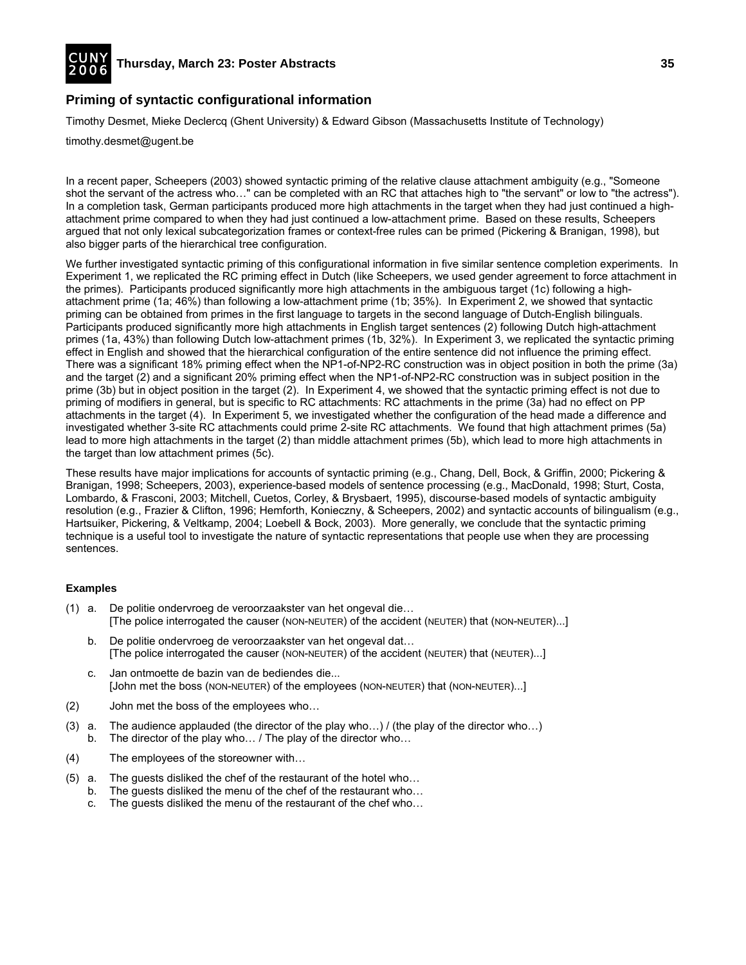

# **Priming of syntactic configurational information**

Timothy Desmet, Mieke Declercq (Ghent University) & Edward Gibson (Massachusetts Institute of Technology)

timothy.desmet@ugent.be

In a recent paper, Scheepers (2003) showed syntactic priming of the relative clause attachment ambiguity (e.g., "Someone shot the servant of the actress who…" can be completed with an RC that attaches high to "the servant" or low to "the actress"). In a completion task, German participants produced more high attachments in the target when they had just continued a highattachment prime compared to when they had just continued a low-attachment prime. Based on these results, Scheepers argued that not only lexical subcategorization frames or context-free rules can be primed (Pickering & Branigan, 1998), but also bigger parts of the hierarchical tree configuration.

We further investigated syntactic priming of this configurational information in five similar sentence completion experiments. In Experiment 1, we replicated the RC priming effect in Dutch (like Scheepers, we used gender agreement to force attachment in the primes). Participants produced significantly more high attachments in the ambiguous target (1c) following a highattachment prime (1a; 46%) than following a low-attachment prime (1b; 35%). In Experiment 2, we showed that syntactic priming can be obtained from primes in the first language to targets in the second language of Dutch-English bilinguals. Participants produced significantly more high attachments in English target sentences (2) following Dutch high-attachment primes (1a, 43%) than following Dutch low-attachment primes (1b, 32%). In Experiment 3, we replicated the syntactic priming effect in English and showed that the hierarchical configuration of the entire sentence did not influence the priming effect. There was a significant 18% priming effect when the NP1-of-NP2-RC construction was in object position in both the prime (3a) and the target (2) and a significant 20% priming effect when the NP1-of-NP2-RC construction was in subject position in the prime (3b) but in object position in the target (2). In Experiment 4, we showed that the syntactic priming effect is not due to priming of modifiers in general, but is specific to RC attachments: RC attachments in the prime (3a) had no effect on PP attachments in the target (4). In Experiment 5, we investigated whether the configuration of the head made a difference and investigated whether 3-site RC attachments could prime 2-site RC attachments. We found that high attachment primes (5a) lead to more high attachments in the target (2) than middle attachment primes (5b), which lead to more high attachments in the target than low attachment primes (5c).

These results have major implications for accounts of syntactic priming (e.g., Chang, Dell, Bock, & Griffin, 2000; Pickering & Branigan, 1998; Scheepers, 2003), experience-based models of sentence processing (e.g., MacDonald, 1998; Sturt, Costa, Lombardo, & Frasconi, 2003; Mitchell, Cuetos, Corley, & Brysbaert, 1995), discourse-based models of syntactic ambiguity resolution (e.g., Frazier & Clifton, 1996; Hemforth, Konieczny, & Scheepers, 2002) and syntactic accounts of bilingualism (e.g., Hartsuiker, Pickering, & Veltkamp, 2004; Loebell & Bock, 2003). More generally, we conclude that the syntactic priming technique is a useful tool to investigate the nature of syntactic representations that people use when they are processing sentences.

## **Examples**

- (1) a. De politie ondervroeg de veroorzaakster van het ongeval die… [The police interrogated the causer (NON-NEUTER) of the accident (NEUTER) that (NON-NEUTER)...]
	- b. De politie ondervroeg de veroorzaakster van het ongeval dat… [The police interrogated the causer (NON-NEUTER) of the accident (NEUTER) that (NEUTER)...]
	- c. Jan ontmoette de bazin van de bediendes die... [John met the boss (NON-NEUTER) of the employees (NON-NEUTER) that (NON-NEUTER)...]
- (2) John met the boss of the employees who…
- (3) a. The audience applauded (the director of the play who…) / (the play of the director who…) b. The director of the play who… / The play of the director who…
- (4) The employees of the storeowner with…
- (5) a. The guests disliked the chef of the restaurant of the hotel who…
	- b. The guests disliked the menu of the chef of the restaurant who…
		- c. The guests disliked the menu of the restaurant of the chef who…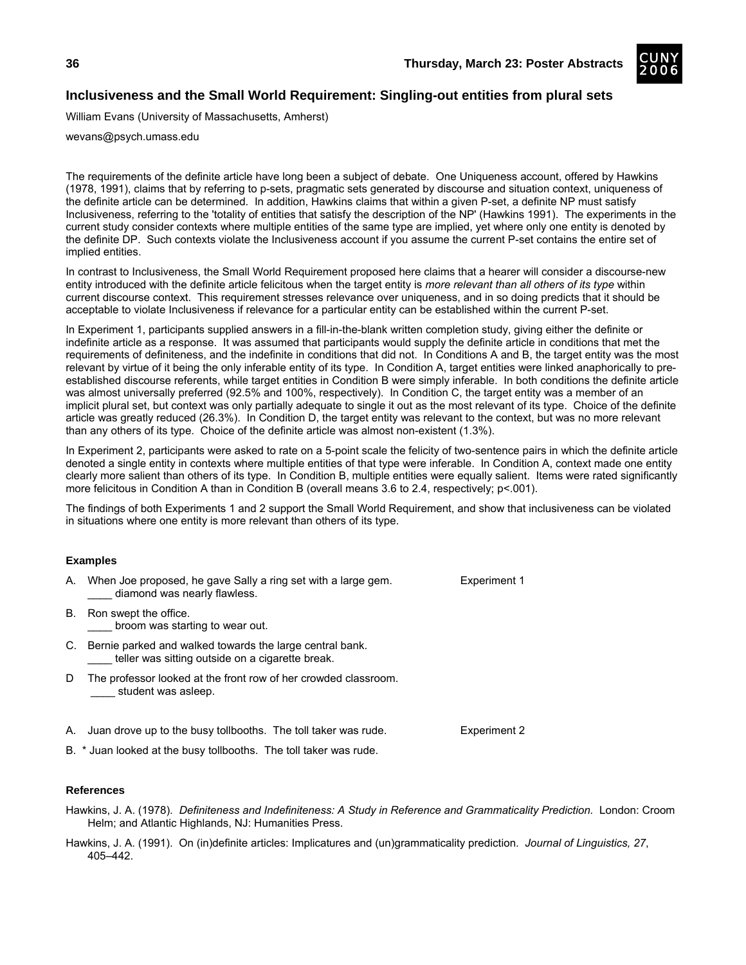

# **Inclusiveness and the Small World Requirement: Singling-out entities from plural sets**

William Evans (University of Massachusetts, Amherst)

wevans@psych.umass.edu

The requirements of the definite article have long been a subject of debate. One Uniqueness account, offered by Hawkins (1978, 1991), claims that by referring to p-sets, pragmatic sets generated by discourse and situation context, uniqueness of the definite article can be determined. In addition, Hawkins claims that within a given P-set, a definite NP must satisfy Inclusiveness, referring to the 'totality of entities that satisfy the description of the NP' (Hawkins 1991). The experiments in the current study consider contexts where multiple entities of the same type are implied, yet where only one entity is denoted by the definite DP. Such contexts violate the Inclusiveness account if you assume the current P-set contains the entire set of implied entities.

In contrast to Inclusiveness, the Small World Requirement proposed here claims that a hearer will consider a discourse-new entity introduced with the definite article felicitous when the target entity is *more relevant than all others of its type* within current discourse context. This requirement stresses relevance over uniqueness, and in so doing predicts that it should be acceptable to violate Inclusiveness if relevance for a particular entity can be established within the current P-set.

In Experiment 1, participants supplied answers in a fill-in-the-blank written completion study, giving either the definite or indefinite article as a response. It was assumed that participants would supply the definite article in conditions that met the requirements of definiteness, and the indefinite in conditions that did not. In Conditions A and B, the target entity was the most relevant by virtue of it being the only inferable entity of its type. In Condition A, target entities were linked anaphorically to preestablished discourse referents, while target entities in Condition B were simply inferable. In both conditions the definite article was almost universally preferred (92.5% and 100%, respectively). In Condition C, the target entity was a member of an implicit plural set, but context was only partially adequate to single it out as the most relevant of its type. Choice of the definite article was greatly reduced (26.3%). In Condition D, the target entity was relevant to the context, but was no more relevant than any others of its type. Choice of the definite article was almost non-existent (1.3%).

In Experiment 2, participants were asked to rate on a 5-point scale the felicity of two-sentence pairs in which the definite article denoted a single entity in contexts where multiple entities of that type were inferable. In Condition A, context made one entity clearly more salient than others of its type. In Condition B, multiple entities were equally salient. Items were rated significantly more felicitous in Condition A than in Condition B (overall means 3.6 to 2.4, respectively; p<.001).

The findings of both Experiments 1 and 2 support the Small World Requirement, and show that inclusiveness can be violated in situations where one entity is more relevant than others of its type.

## **Examples**

- When Joe proposed, he gave Sally a ring set with a large gem. Experiment 1 diamond was nearly flawless.
- B. Ron swept the office. broom was starting to wear out.
- C. Bernie parked and walked towards the large central bank. teller was sitting outside on a cigarette break.
- D The professor looked at the front row of her crowded classroom. student was asleep.
- A. Juan drove up to the busy tollbooths. The toll taker was rude. Experiment 2
- B. \* Juan looked at the busy tollbooths. The toll taker was rude.

- Hawkins, J. A. (1978). *Definiteness and Indefiniteness: A Study in Reference and Grammaticality Prediction.* London: Croom Helm; and Atlantic Highlands, NJ: Humanities Press.
- Hawkins, J. A. (1991). On (in)definite articles: Implicatures and (un)grammaticality prediction. *Journal of Linguistics, 27*, 405–442.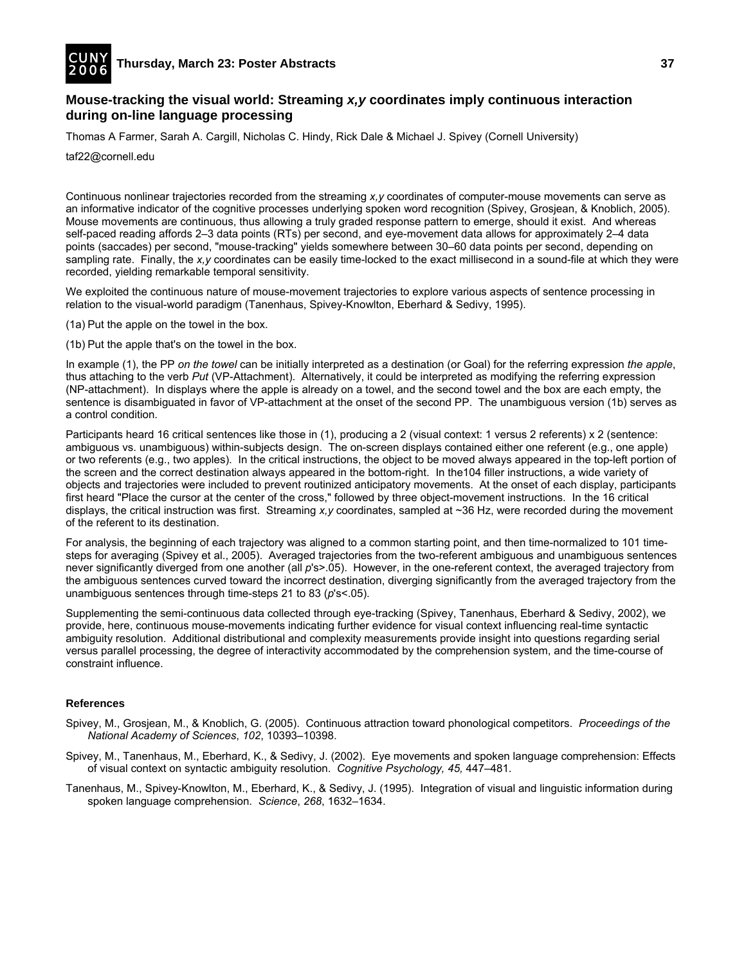

# **Mouse-tracking the visual world: Streaming** *x,y* **coordinates imply continuous interaction during on-line language processing**

Thomas A Farmer, Sarah A. Cargill, Nicholas C. Hindy, Rick Dale & Michael J. Spivey (Cornell University)

taf22@cornell.edu

Continuous nonlinear trajectories recorded from the streaming *x,y* coordinates of computer-mouse movements can serve as an informative indicator of the cognitive processes underlying spoken word recognition (Spivey, Grosjean, & Knoblich, 2005). Mouse movements are continuous, thus allowing a truly graded response pattern to emerge, should it exist. And whereas self-paced reading affords 2–3 data points (RTs) per second, and eye-movement data allows for approximately 2–4 data points (saccades) per second, "mouse-tracking" yields somewhere between 30–60 data points per second, depending on sampling rate. Finally, the x, y coordinates can be easily time-locked to the exact millisecond in a sound-file at which they were recorded, yielding remarkable temporal sensitivity.

We exploited the continuous nature of mouse-movement trajectories to explore various aspects of sentence processing in relation to the visual-world paradigm (Tanenhaus, Spivey-Knowlton, Eberhard & Sedivy, 1995).

- (1a) Put the apple on the towel in the box.
- (1b) Put the apple that's on the towel in the box.

In example (1), the PP *on the towel* can be initially interpreted as a destination (or Goal) for the referring expression *the apple*, thus attaching to the verb *Put* (VP-Attachment). Alternatively, it could be interpreted as modifying the referring expression (NP-attachment). In displays where the apple is already on a towel, and the second towel and the box are each empty, the sentence is disambiguated in favor of VP-attachment at the onset of the second PP. The unambiguous version (1b) serves as a control condition.

Participants heard 16 critical sentences like those in (1), producing a 2 (visual context: 1 versus 2 referents) x 2 (sentence: ambiguous vs. unambiguous) within-subjects design. The on-screen displays contained either one referent (e.g., one apple) or two referents (e.g., two apples). In the critical instructions, the object to be moved always appeared in the top-left portion of the screen and the correct destination always appeared in the bottom-right. In the104 filler instructions, a wide variety of objects and trajectories were included to prevent routinized anticipatory movements. At the onset of each display, participants first heard "Place the cursor at the center of the cross," followed by three object-movement instructions. In the 16 critical displays, the critical instruction was first. Streaming *x,y* coordinates, sampled at ~36 Hz, were recorded during the movement of the referent to its destination.

For analysis, the beginning of each trajectory was aligned to a common starting point, and then time-normalized to 101 timesteps for averaging (Spivey et al., 2005). Averaged trajectories from the two-referent ambiguous and unambiguous sentences never significantly diverged from one another (all  $p's$  > .05). However, in the one-referent context, the averaged trajectory from the ambiguous sentences curved toward the incorrect destination, diverging significantly from the averaged trajectory from the unambiguous sentences through time-steps 21 to 83 (*p*'s<.05).

Supplementing the semi-continuous data collected through eye-tracking (Spivey, Tanenhaus, Eberhard & Sedivy, 2002), we provide, here, continuous mouse-movements indicating further evidence for visual context influencing real-time syntactic ambiguity resolution. Additional distributional and complexity measurements provide insight into questions regarding serial versus parallel processing, the degree of interactivity accommodated by the comprehension system, and the time-course of constraint influence.

- Spivey, M., Grosjean, M., & Knoblich, G. (2005). Continuous attraction toward phonological competitors. *Proceedings of the National Academy of Sciences*, *102*, 10393–10398.
- Spivey, M., Tanenhaus, M., Eberhard, K., & Sedivy, J. (2002). Eye movements and spoken language comprehension: Effects of visual context on syntactic ambiguity resolution. *Cognitive Psychology, 45,* 447–481.
- Tanenhaus, M., Spivey-Knowlton, M., Eberhard, K., & Sedivy, J. (1995). Integration of visual and linguistic information during spoken language comprehension. *Science*, *268*, 1632–1634.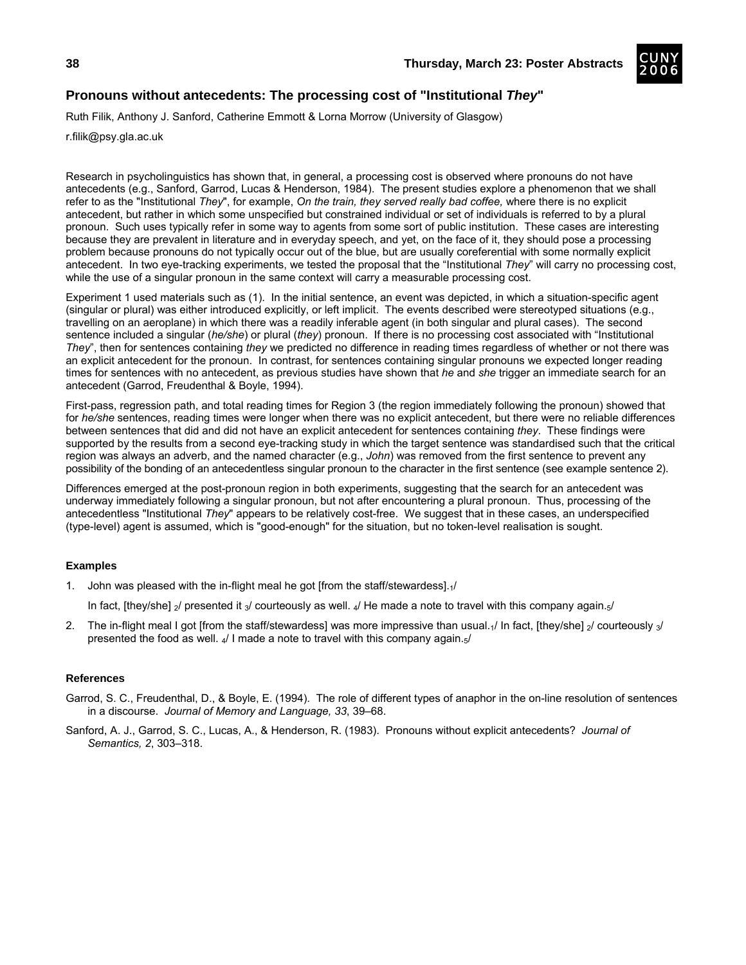

# **Pronouns without antecedents: The processing cost of "Institutional** *They***"**

Ruth Filik, Anthony J. Sanford, Catherine Emmott & Lorna Morrow (University of Glasgow)

r.filik@psy.gla.ac.uk

Research in psycholinguistics has shown that, in general, a processing cost is observed where pronouns do not have antecedents (e.g., Sanford, Garrod, Lucas & Henderson, 1984). The present studies explore a phenomenon that we shall refer to as the "Institutional *They*", for example, *On the train, they served really bad coffee,* where there is no explicit antecedent, but rather in which some unspecified but constrained individual or set of individuals is referred to by a plural pronoun. Such uses typically refer in some way to agents from some sort of public institution. These cases are interesting because they are prevalent in literature and in everyday speech, and yet, on the face of it, they should pose a processing problem because pronouns do not typically occur out of the blue, but are usually coreferential with some normally explicit antecedent. In two eye-tracking experiments, we tested the proposal that the "Institutional *They*" will carry no processing cost, while the use of a singular pronoun in the same context will carry a measurable processing cost.

Experiment 1 used materials such as (1). In the initial sentence, an event was depicted, in which a situation-specific agent (singular or plural) was either introduced explicitly, or left implicit. The events described were stereotyped situations (e.g., travelling on an aeroplane) in which there was a readily inferable agent (in both singular and plural cases). The second sentence included a singular (*he/she*) or plural (*they*) pronoun. If there is no processing cost associated with "Institutional *They*", then for sentences containing *they* we predicted no difference in reading times regardless of whether or not there was an explicit antecedent for the pronoun. In contrast, for sentences containing singular pronouns we expected longer reading times for sentences with no antecedent, as previous studies have shown that *he* and *she* trigger an immediate search for an antecedent (Garrod, Freudenthal & Boyle, 1994).

First-pass, regression path, and total reading times for Region 3 (the region immediately following the pronoun) showed that for *he/she* sentences, reading times were longer when there was no explicit antecedent, but there were no reliable differences between sentences that did and did not have an explicit antecedent for sentences containing *they*. These findings were supported by the results from a second eye-tracking study in which the target sentence was standardised such that the critical region was always an adverb, and the named character (e.g., *John*) was removed from the first sentence to prevent any possibility of the bonding of an antecedentless singular pronoun to the character in the first sentence (see example sentence 2).

Differences emerged at the post-pronoun region in both experiments, suggesting that the search for an antecedent was underway immediately following a singular pronoun, but not after encountering a plural pronoun. Thus, processing of the antecedentless "Institutional *They*" appears to be relatively cost-free. We suggest that in these cases, an underspecified (type-level) agent is assumed, which is "good-enough" for the situation, but no token-level realisation is sought.

## **Examples**

- 1. John was pleased with the in-flight meal he got [from the staff/stewardess].1/
	- In fact, [they/she]  $_2$ / presented it  $_3$ / courteously as well.  $_4$ / He made a note to travel with this company again. $_5$ /
- 2. The in-flight meal I got [from the staff/stewardess] was more impressive than usual. $\frac{1}{1}$  In fact, [they/she]  $\frac{1}{2}$ / courteously  $\frac{1}{3}$ presented the food as well.  $\frac{1}{4}$  I made a note to travel with this company again. $\frac{1}{5}$

- Garrod, S. C., Freudenthal, D., & Boyle, E. (1994). The role of different types of anaphor in the on-line resolution of sentences in a discourse. *Journal of Memory and Language, 33*, 39–68.
- Sanford, A. J., Garrod, S. C., Lucas, A., & Henderson, R. (1983). Pronouns without explicit antecedents? *Journal of Semantics, 2*, 303–318.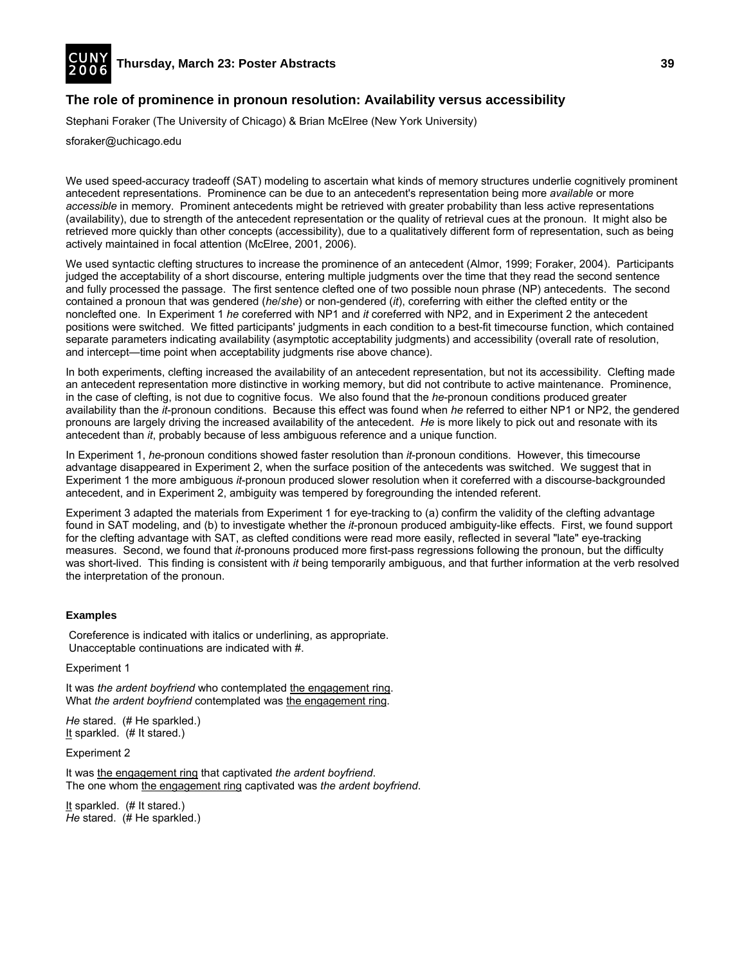

## **The role of prominence in pronoun resolution: Availability versus accessibility**

Stephani Foraker (The University of Chicago) & Brian McElree (New York University)

sforaker@uchicago.edu

We used speed-accuracy tradeoff (SAT) modeling to ascertain what kinds of memory structures underlie cognitively prominent antecedent representations. Prominence can be due to an antecedent's representation being more *available* or more *accessible* in memory. Prominent antecedents might be retrieved with greater probability than less active representations (availability), due to strength of the antecedent representation or the quality of retrieval cues at the pronoun. It might also be retrieved more quickly than other concepts (accessibility), due to a qualitatively different form of representation, such as being actively maintained in focal attention (McElree, 2001, 2006).

We used syntactic clefting structures to increase the prominence of an antecedent (Almor, 1999; Foraker, 2004). Participants judged the acceptability of a short discourse, entering multiple judgments over the time that they read the second sentence and fully processed the passage. The first sentence clefted one of two possible noun phrase (NP) antecedents. The second contained a pronoun that was gendered (*he*/*she*) or non-gendered (*it*), coreferring with either the clefted entity or the nonclefted one. In Experiment 1 *he* coreferred with NP1 and *it* coreferred with NP2, and in Experiment 2 the antecedent positions were switched. We fitted participants' judgments in each condition to a best-fit timecourse function, which contained separate parameters indicating availability (asymptotic acceptability judgments) and accessibility (overall rate of resolution, and intercept—time point when acceptability judgments rise above chance).

In both experiments, clefting increased the availability of an antecedent representation, but not its accessibility. Clefting made an antecedent representation more distinctive in working memory, but did not contribute to active maintenance. Prominence, in the case of clefting, is not due to cognitive focus. We also found that the *he*-pronoun conditions produced greater availability than the *it*-pronoun conditions. Because this effect was found when *he* referred to either NP1 or NP2, the gendered pronouns are largely driving the increased availability of the antecedent. *He* is more likely to pick out and resonate with its antecedent than *it*, probably because of less ambiguous reference and a unique function.

In Experiment 1, *he*-pronoun conditions showed faster resolution than *it*-pronoun conditions. However, this timecourse advantage disappeared in Experiment 2, when the surface position of the antecedents was switched. We suggest that in Experiment 1 the more ambiguous *it*-pronoun produced slower resolution when it coreferred with a discourse-backgrounded antecedent, and in Experiment 2, ambiguity was tempered by foregrounding the intended referent.

Experiment 3 adapted the materials from Experiment 1 for eye-tracking to (a) confirm the validity of the clefting advantage found in SAT modeling, and (b) to investigate whether the *it*-pronoun produced ambiguity-like effects. First, we found support for the clefting advantage with SAT, as clefted conditions were read more easily, reflected in several "late" eye-tracking measures. Second, we found that *it*-pronouns produced more first-pass regressions following the pronoun, but the difficulty was short-lived. This finding is consistent with *it* being temporarily ambiguous, and that further information at the verb resolved the interpretation of the pronoun.

#### **Examples**

 Coreference is indicated with italics or underlining, as appropriate. Unacceptable continuations are indicated with #.

Experiment 1

It was *the ardent boyfriend* who contemplated the engagement ring. What *the ardent boyfriend* contemplated was the engagement ring.

*He* stared. (# He sparkled.) It sparkled. (# It stared.)

Experiment 2

It was the engagement ring that captivated *the ardent boyfriend*. The one whom the engagement ring captivated was *the ardent boyfriend*.

It sparkled. (# It stared.) *He* stared. (# He sparkled.)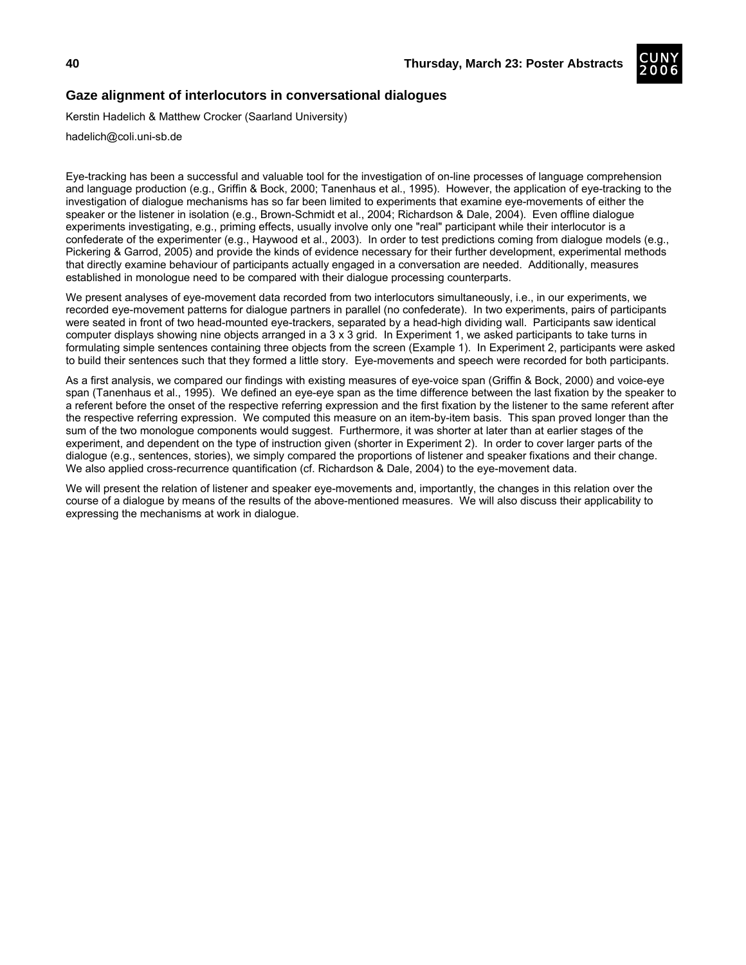

# **Gaze alignment of interlocutors in conversational dialogues**

Kerstin Hadelich & Matthew Crocker (Saarland University)

hadelich@coli.uni-sb.de

Eye-tracking has been a successful and valuable tool for the investigation of on-line processes of language comprehension and language production (e.g., Griffin & Bock, 2000; Tanenhaus et al., 1995). However, the application of eye-tracking to the investigation of dialogue mechanisms has so far been limited to experiments that examine eye-movements of either the speaker or the listener in isolation (e.g., Brown-Schmidt et al., 2004; Richardson & Dale, 2004). Even offline dialogue experiments investigating, e.g., priming effects, usually involve only one "real" participant while their interlocutor is a confederate of the experimenter (e.g., Haywood et al., 2003). In order to test predictions coming from dialogue models (e.g., Pickering & Garrod, 2005) and provide the kinds of evidence necessary for their further development, experimental methods that directly examine behaviour of participants actually engaged in a conversation are needed. Additionally, measures established in monologue need to be compared with their dialogue processing counterparts.

We present analyses of eye-movement data recorded from two interlocutors simultaneously, i.e., in our experiments, we recorded eye-movement patterns for dialogue partners in parallel (no confederate). In two experiments, pairs of participants were seated in front of two head-mounted eye-trackers, separated by a head-high dividing wall. Participants saw identical computer displays showing nine objects arranged in a 3 x 3 grid. In Experiment 1, we asked participants to take turns in formulating simple sentences containing three objects from the screen (Example 1). In Experiment 2, participants were asked to build their sentences such that they formed a little story. Eye-movements and speech were recorded for both participants.

As a first analysis, we compared our findings with existing measures of eye-voice span (Griffin & Bock, 2000) and voice-eye span (Tanenhaus et al., 1995). We defined an eye-eye span as the time difference between the last fixation by the speaker to a referent before the onset of the respective referring expression and the first fixation by the listener to the same referent after the respective referring expression. We computed this measure on an item-by-item basis. This span proved longer than the sum of the two monologue components would suggest. Furthermore, it was shorter at later than at earlier stages of the experiment, and dependent on the type of instruction given (shorter in Experiment 2). In order to cover larger parts of the dialogue (e.g., sentences, stories), we simply compared the proportions of listener and speaker fixations and their change. We also applied cross-recurrence quantification (cf. Richardson & Dale, 2004) to the eye-movement data.

We will present the relation of listener and speaker eye-movements and, importantly, the changes in this relation over the course of a dialogue by means of the results of the above-mentioned measures. We will also discuss their applicability to expressing the mechanisms at work in dialogue.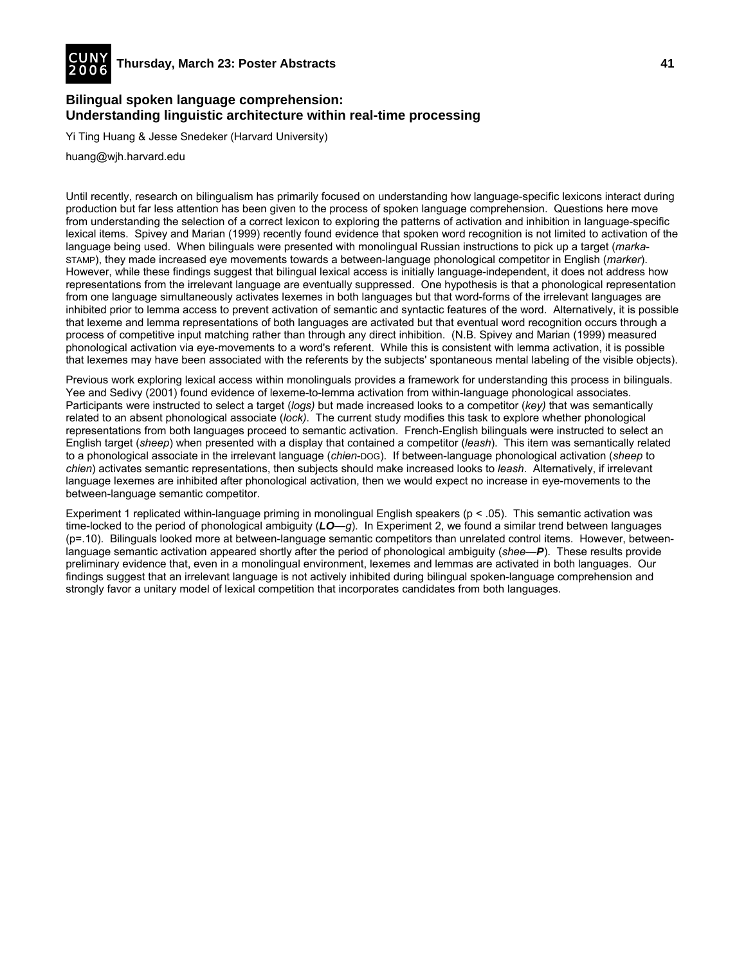

# **Bilingual spoken language comprehension: Understanding linguistic architecture within real-time processing**

Yi Ting Huang & Jesse Snedeker (Harvard University)

huang@wjh.harvard.edu

Until recently, research on bilingualism has primarily focused on understanding how language-specific lexicons interact during production but far less attention has been given to the process of spoken language comprehension. Questions here move from understanding the selection of a correct lexicon to exploring the patterns of activation and inhibition in language-specific lexical items. Spivey and Marian (1999) recently found evidence that spoken word recognition is not limited to activation of the language being used. When bilinguals were presented with monolingual Russian instructions to pick up a target (*marka*-STAMP), they made increased eye movements towards a between-language phonological competitor in English (*marker*). However, while these findings suggest that bilingual lexical access is initially language-independent, it does not address how representations from the irrelevant language are eventually suppressed. One hypothesis is that a phonological representation from one language simultaneously activates lexemes in both languages but that word-forms of the irrelevant languages are inhibited prior to lemma access to prevent activation of semantic and syntactic features of the word. Alternatively, it is possible that lexeme and lemma representations of both languages are activated but that eventual word recognition occurs through a process of competitive input matching rather than through any direct inhibition. (N.B. Spivey and Marian (1999) measured phonological activation via eye-movements to a word's referent. While this is consistent with lemma activation, it is possible that lexemes may have been associated with the referents by the subjects' spontaneous mental labeling of the visible objects).

Previous work exploring lexical access within monolinguals provides a framework for understanding this process in bilinguals. Yee and Sedivy (2001) found evidence of lexeme-to-lemma activation from within-language phonological associates. Participants were instructed to select a target (*logs)* but made increased looks to a competitor (*key)* that was semantically related to an absent phonological associate (*lock)*. The current study modifies this task to explore whether phonological representations from both languages proceed to semantic activation. French-English bilinguals were instructed to select an English target (*sheep*) when presented with a display that contained a competitor (*leash*). This item was semantically related to a phonological associate in the irrelevant language (*chien*-DOG). If between-language phonological activation (*sheep* to *chien*) activates semantic representations, then subjects should make increased looks to *leash*. Alternatively, if irrelevant language lexemes are inhibited after phonological activation, then we would expect no increase in eye-movements to the between-language semantic competitor.

Experiment 1 replicated within-language priming in monolingual English speakers ( $p < 0.05$ ). This semantic activation was time-locked to the period of phonological ambiguity (*LO*—*g*). In Experiment 2, we found a similar trend between languages (p=.10). Bilinguals looked more at between-language semantic competitors than unrelated control items. However, betweenlanguage semantic activation appeared shortly after the period of phonological ambiguity (*shee—P*). These results provide preliminary evidence that, even in a monolingual environment, lexemes and lemmas are activated in both languages. Our findings suggest that an irrelevant language is not actively inhibited during bilingual spoken-language comprehension and strongly favor a unitary model of lexical competition that incorporates candidates from both languages.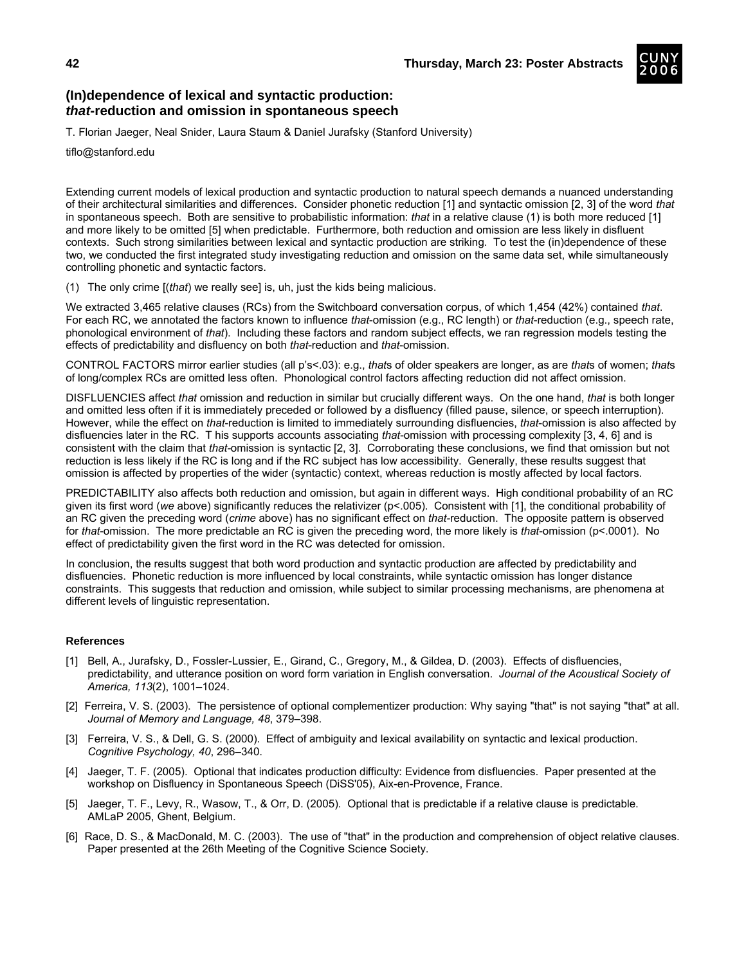

# **(In)dependence of lexical and syntactic production:**  *that***-reduction and omission in spontaneous speech**

T. Florian Jaeger, Neal Snider, Laura Staum & Daniel Jurafsky (Stanford University)

tiflo@stanford.edu

Extending current models of lexical production and syntactic production to natural speech demands a nuanced understanding of their architectural similarities and differences. Consider phonetic reduction [1] and syntactic omission [2, 3] of the word *that* in spontaneous speech. Both are sensitive to probabilistic information: *that* in a relative clause (1) is both more reduced [1] and more likely to be omitted [5] when predictable. Furthermore, both reduction and omission are less likely in disfluent contexts. Such strong similarities between lexical and syntactic production are striking. To test the (in)dependence of these two, we conducted the first integrated study investigating reduction and omission on the same data set, while simultaneously controlling phonetic and syntactic factors.

(1) The only crime [(*that*) we really see] is, uh, just the kids being malicious.

We extracted 3,465 relative clauses (RCs) from the Switchboard conversation corpus, of which 1,454 (42%) contained *that*. For each RC, we annotated the factors known to influence *that*-omission (e.g., RC length) or *that*-reduction (e.g., speech rate, phonological environment of *that*). Including these factors and random subject effects, we ran regression models testing the effects of predictability and disfluency on both *that*-reduction and *that*-omission.

CONTROL FACTORS mirror earlier studies (all p's<.03): e.g., *that*s of older speakers are longer, as are *that*s of women; *that*s of long/complex RCs are omitted less often. Phonological control factors affecting reduction did not affect omission.

DISFLUENCIES affect *that* omission and reduction in similar but crucially different ways. On the one hand, *that* is both longer and omitted less often if it is immediately preceded or followed by a disfluency (filled pause, silence, or speech interruption). However, while the effect on *that*-reduction is limited to immediately surrounding disfluencies, *that*-omission is also affected by disfluencies later in the RC. T his supports accounts associating *that*-omission with processing complexity [3, 4, 6] and is consistent with the claim that *that-*omission is syntactic [2, 3]. Corroborating these conclusions, we find that omission but not reduction is less likely if the RC is long and if the RC subject has low accessibility. Generally, these results suggest that omission is affected by properties of the wider (syntactic) context, whereas reduction is mostly affected by local factors.

PREDICTABILITY also affects both reduction and omission, but again in different ways. High conditional probability of an RC given its first word (*we* above) significantly reduces the relativizer (p<.005). Consistent with [1], the conditional probability of an RC given the preceding word (*crime* above) has no significant effect on *that-*reduction. The opposite pattern is observed for *that*-omission. The more predictable an RC is given the preceding word, the more likely is *that*-omission (p<.0001). No effect of predictability given the first word in the RC was detected for omission.

In conclusion, the results suggest that both word production and syntactic production are affected by predictability and disfluencies. Phonetic reduction is more influenced by local constraints, while syntactic omission has longer distance constraints. This suggests that reduction and omission, while subject to similar processing mechanisms, are phenomena at different levels of linguistic representation.

- [1] Bell, A., Jurafsky, D., Fossler-Lussier, E., Girand, C., Gregory, M., & Gildea, D. (2003). Effects of disfluencies, predictability, and utterance position on word form variation in English conversation. *Journal of the Acoustical Society of America, 113*(2), 1001–1024.
- [2] Ferreira, V. S. (2003). The persistence of optional complementizer production: Why saying "that" is not saying "that" at all. *Journal of Memory and Language, 48*, 379–398.
- [3] Ferreira, V. S., & Dell, G. S. (2000). Effect of ambiguity and lexical availability on syntactic and lexical production. *Cognitive Psychology, 40*, 296–340.
- [4] Jaeger, T. F. (2005). Optional that indicates production difficulty: Evidence from disfluencies. Paper presented at the workshop on Disfluency in Spontaneous Speech (DiSS'05), Aix-en-Provence, France.
- [5] Jaeger, T. F., Levy, R., Wasow, T., & Orr, D. (2005). Optional that is predictable if a relative clause is predictable. AMLaP 2005, Ghent, Belgium.
- [6] Race, D. S., & MacDonald, M. C. (2003). The use of "that" in the production and comprehension of object relative clauses. Paper presented at the 26th Meeting of the Cognitive Science Society.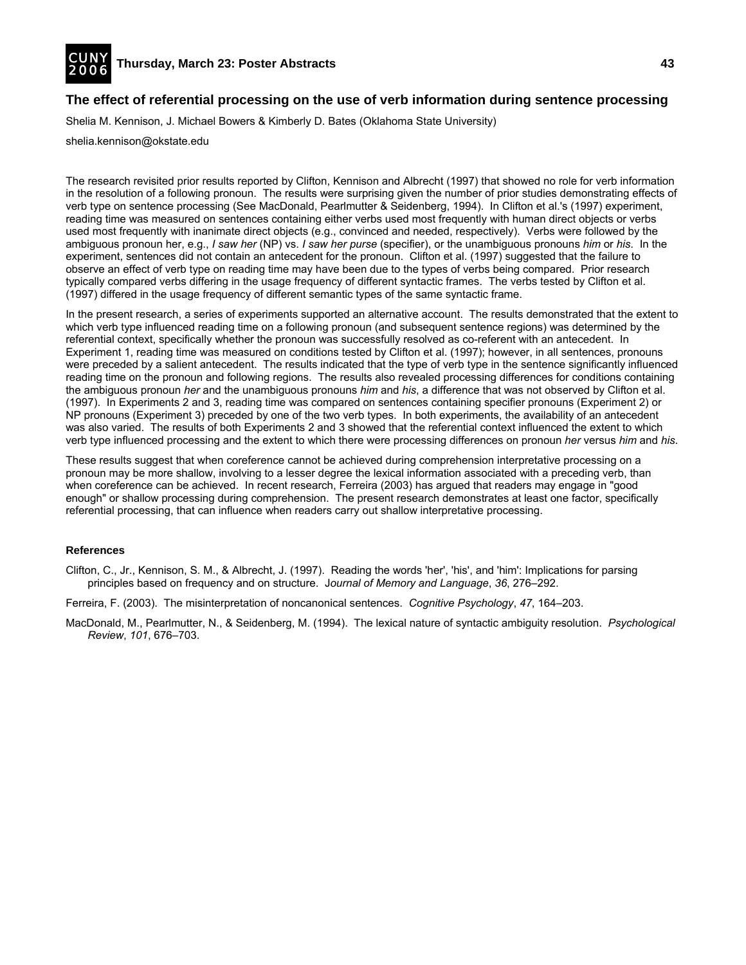

# **The effect of referential processing on the use of verb information during sentence processing**

Shelia M. Kennison, J. Michael Bowers & Kimberly D. Bates (Oklahoma State University)

#### shelia.kennison@okstate.edu

The research revisited prior results reported by Clifton, Kennison and Albrecht (1997) that showed no role for verb information in the resolution of a following pronoun. The results were surprising given the number of prior studies demonstrating effects of verb type on sentence processing (See MacDonald, Pearlmutter & Seidenberg, 1994). In Clifton et al.'s (1997) experiment, reading time was measured on sentences containing either verbs used most frequently with human direct objects or verbs used most frequently with inanimate direct objects (e.g., convinced and needed, respectively). Verbs were followed by the ambiguous pronoun her, e.g., *I saw her* (NP) vs. *I saw her purse* (specifier), or the unambiguous pronouns *him* or *his*. In the experiment, sentences did not contain an antecedent for the pronoun. Clifton et al. (1997) suggested that the failure to observe an effect of verb type on reading time may have been due to the types of verbs being compared. Prior research typically compared verbs differing in the usage frequency of different syntactic frames. The verbs tested by Clifton et al. (1997) differed in the usage frequency of different semantic types of the same syntactic frame.

In the present research, a series of experiments supported an alternative account. The results demonstrated that the extent to which verb type influenced reading time on a following pronoun (and subsequent sentence regions) was determined by the referential context, specifically whether the pronoun was successfully resolved as co-referent with an antecedent. In Experiment 1, reading time was measured on conditions tested by Clifton et al. (1997); however, in all sentences, pronouns were preceded by a salient antecedent. The results indicated that the type of verb type in the sentence significantly influenced reading time on the pronoun and following regions. The results also revealed processing differences for conditions containing the ambiguous pronoun *her* and the unambiguous pronouns *him* and *his*, a difference that was not observed by Clifton et al. (1997). In Experiments 2 and 3, reading time was compared on sentences containing specifier pronouns (Experiment 2) or NP pronouns (Experiment 3) preceded by one of the two verb types. In both experiments, the availability of an antecedent was also varied. The results of both Experiments 2 and 3 showed that the referential context influenced the extent to which verb type influenced processing and the extent to which there were processing differences on pronoun *her* versus *him* and *his*.

These results suggest that when coreference cannot be achieved during comprehension interpretative processing on a pronoun may be more shallow, involving to a lesser degree the lexical information associated with a preceding verb, than when coreference can be achieved. In recent research, Ferreira (2003) has argued that readers may engage in "good enough" or shallow processing during comprehension. The present research demonstrates at least one factor, specifically referential processing, that can influence when readers carry out shallow interpretative processing.

#### **References**

Clifton, C., Jr., Kennison, S. M., & Albrecht, J. (1997). Reading the words 'her', 'his', and 'him': Implications for parsing principles based on frequency and on structure. J*ournal of Memory and Language*, *36*, 276–292.

- Ferreira, F. (2003). The misinterpretation of noncanonical sentences. *Cognitive Psychology*, *47*, 164–203.
- MacDonald, M., Pearlmutter, N., & Seidenberg, M. (1994). The lexical nature of syntactic ambiguity resolution. *Psychological Review*, *101*, 676–703.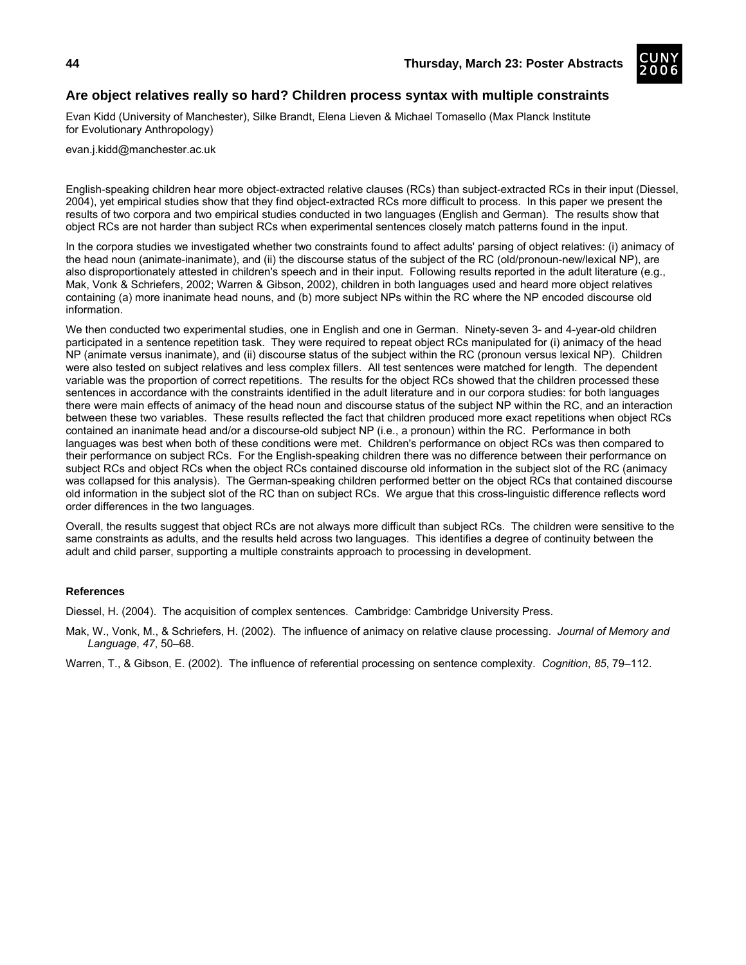

# **Are object relatives really so hard? Children process syntax with multiple constraints**

Evan Kidd (University of Manchester), Silke Brandt, Elena Lieven & Michael Tomasello (Max Planck Institute for Evolutionary Anthropology)

evan.j.kidd@manchester.ac.uk

English-speaking children hear more object-extracted relative clauses (RCs) than subject-extracted RCs in their input (Diessel, 2004), yet empirical studies show that they find object-extracted RCs more difficult to process. In this paper we present the results of two corpora and two empirical studies conducted in two languages (English and German). The results show that object RCs are not harder than subject RCs when experimental sentences closely match patterns found in the input.

In the corpora studies we investigated whether two constraints found to affect adults' parsing of object relatives: (i) animacy of the head noun (animate-inanimate), and (ii) the discourse status of the subject of the RC (old/pronoun-new/lexical NP), are also disproportionately attested in children's speech and in their input. Following results reported in the adult literature (e.g., Mak, Vonk & Schriefers, 2002; Warren & Gibson, 2002), children in both languages used and heard more object relatives containing (a) more inanimate head nouns, and (b) more subject NPs within the RC where the NP encoded discourse old information.

We then conducted two experimental studies, one in English and one in German. Ninety-seven 3- and 4-year-old children participated in a sentence repetition task. They were required to repeat object RCs manipulated for (i) animacy of the head NP (animate versus inanimate), and (ii) discourse status of the subject within the RC (pronoun versus lexical NP). Children were also tested on subject relatives and less complex fillers. All test sentences were matched for length. The dependent variable was the proportion of correct repetitions. The results for the object RCs showed that the children processed these sentences in accordance with the constraints identified in the adult literature and in our corpora studies: for both languages there were main effects of animacy of the head noun and discourse status of the subject NP within the RC, and an interaction between these two variables. These results reflected the fact that children produced more exact repetitions when object RCs contained an inanimate head and/or a discourse-old subject NP (i.e., a pronoun) within the RC. Performance in both languages was best when both of these conditions were met. Children's performance on object RCs was then compared to their performance on subject RCs. For the English-speaking children there was no difference between their performance on subject RCs and object RCs when the object RCs contained discourse old information in the subject slot of the RC (animacy was collapsed for this analysis). The German-speaking children performed better on the object RCs that contained discourse old information in the subject slot of the RC than on subject RCs. We argue that this cross-linguistic difference reflects word order differences in the two languages.

Overall, the results suggest that object RCs are not always more difficult than subject RCs. The children were sensitive to the same constraints as adults, and the results held across two languages. This identifies a degree of continuity between the adult and child parser, supporting a multiple constraints approach to processing in development.

#### **References**

Diessel, H. (2004). The acquisition of complex sentences. Cambridge: Cambridge University Press.

Mak, W., Vonk, M., & Schriefers, H. (2002). The influence of animacy on relative clause processing. *Journal of Memory and Language*, *47*, 50–68.

Warren, T., & Gibson, E. (2002). The influence of referential processing on sentence complexity. *Cognition*, *85*, 79–112.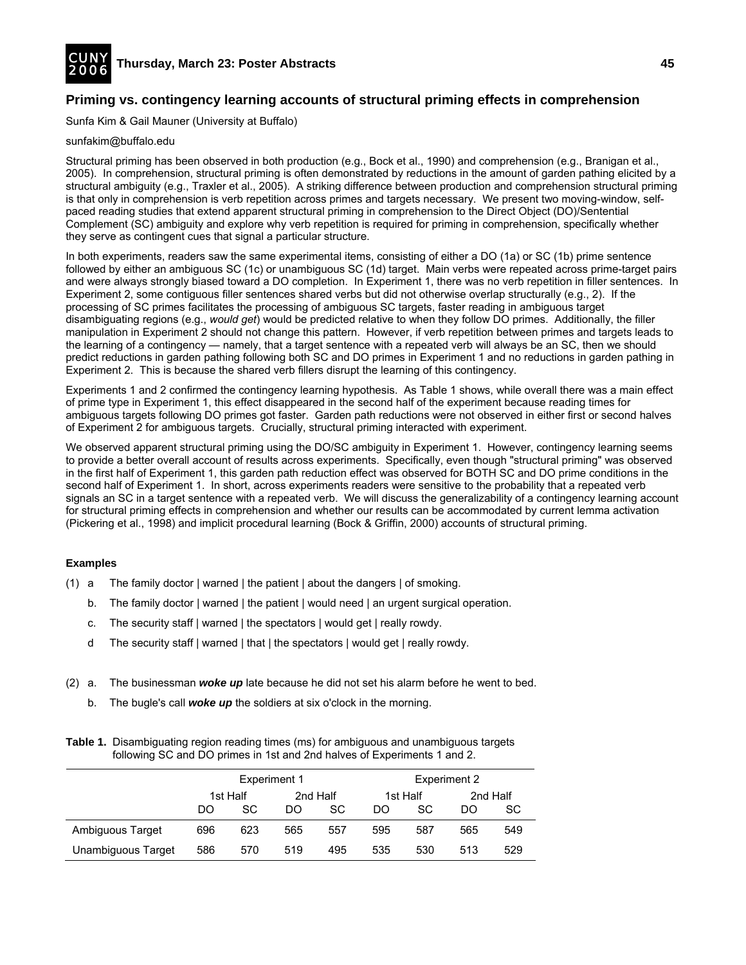

# **Priming vs. contingency learning accounts of structural priming effects in comprehension**

Sunfa Kim & Gail Mauner (University at Buffalo)

#### sunfakim@buffalo.edu

Structural priming has been observed in both production (e.g., Bock et al., 1990) and comprehension (e.g., Branigan et al., 2005). In comprehension, structural priming is often demonstrated by reductions in the amount of garden pathing elicited by a structural ambiguity (e.g., Traxler et al., 2005). A striking difference between production and comprehension structural priming is that only in comprehension is verb repetition across primes and targets necessary. We present two moving-window, selfpaced reading studies that extend apparent structural priming in comprehension to the Direct Object (DO)/Sentential Complement (SC) ambiguity and explore why verb repetition is required for priming in comprehension, specifically whether they serve as contingent cues that signal a particular structure.

In both experiments, readers saw the same experimental items, consisting of either a DO (1a) or SC (1b) prime sentence followed by either an ambiguous SC (1c) or unambiguous SC (1d) target. Main verbs were repeated across prime-target pairs and were always strongly biased toward a DO completion. In Experiment 1, there was no verb repetition in filler sentences. In Experiment 2, some contiguous filler sentences shared verbs but did not otherwise overlap structurally (e.g., 2). If the processing of SC primes facilitates the processing of ambiguous SC targets, faster reading in ambiguous target disambiguating regions (e.g., *would get*) would be predicted relative to when they follow DO primes. Additionally, the filler manipulation in Experiment 2 should not change this pattern. However, if verb repetition between primes and targets leads to the learning of a contingency — namely, that a target sentence with a repeated verb will always be an SC, then we should predict reductions in garden pathing following both SC and DO primes in Experiment 1 and no reductions in garden pathing in Experiment 2. This is because the shared verb fillers disrupt the learning of this contingency.

Experiments 1 and 2 confirmed the contingency learning hypothesis. As Table 1 shows, while overall there was a main effect of prime type in Experiment 1, this effect disappeared in the second half of the experiment because reading times for ambiguous targets following DO primes got faster. Garden path reductions were not observed in either first or second halves of Experiment 2 for ambiguous targets. Crucially, structural priming interacted with experiment.

We observed apparent structural priming using the DO/SC ambiguity in Experiment 1. However, contingency learning seems to provide a better overall account of results across experiments. Specifically, even though "structural priming" was observed in the first half of Experiment 1, this garden path reduction effect was observed for BOTH SC and DO prime conditions in the second half of Experiment 1. In short, across experiments readers were sensitive to the probability that a repeated verb signals an SC in a target sentence with a repeated verb. We will discuss the generalizability of a contingency learning account for structural priming effects in comprehension and whether our results can be accommodated by current lemma activation (Pickering et al., 1998) and implicit procedural learning (Bock & Griffin, 2000) accounts of structural priming.

## **Examples**

- (1) a The family doctor | warned | the patient | about the dangers | of smoking.
	- b. The family doctor | warned | the patient | would need | an urgent surgical operation.
	- c. The security staff | warned | the spectators | would get | really rowdy.
	- d The security staff | warned | that | the spectators | would get | really rowdy.
- (2) a. The businessman *woke up* late because he did not set his alarm before he went to bed.
	- b. The bugle's call *woke up* the soldiers at six o'clock in the morning.

#### **Table 1.** Disambiguating region reading times (ms) for ambiguous and unambiguous targets following SC and DO primes in 1st and 2nd halves of Experiments 1 and 2.

|                    | <b>Experiment 1</b> |          |     | Experiment 2 |     |               |     |           |
|--------------------|---------------------|----------|-----|--------------|-----|---------------|-----|-----------|
|                    |                     | 1st Half |     | 2nd Half     |     | 1st Half      |     | 2nd Half  |
|                    | DO                  | SC.      | DO  | SC.          | DO  | <sub>SC</sub> | DO  | <b>SC</b> |
| Ambiguous Target   | 696                 | 623      | 565 | 557          | 595 | 587           | 565 | 549       |
| Unambiguous Target | 586                 | 570      | 519 | 495          | 535 | 530           | 513 | 529       |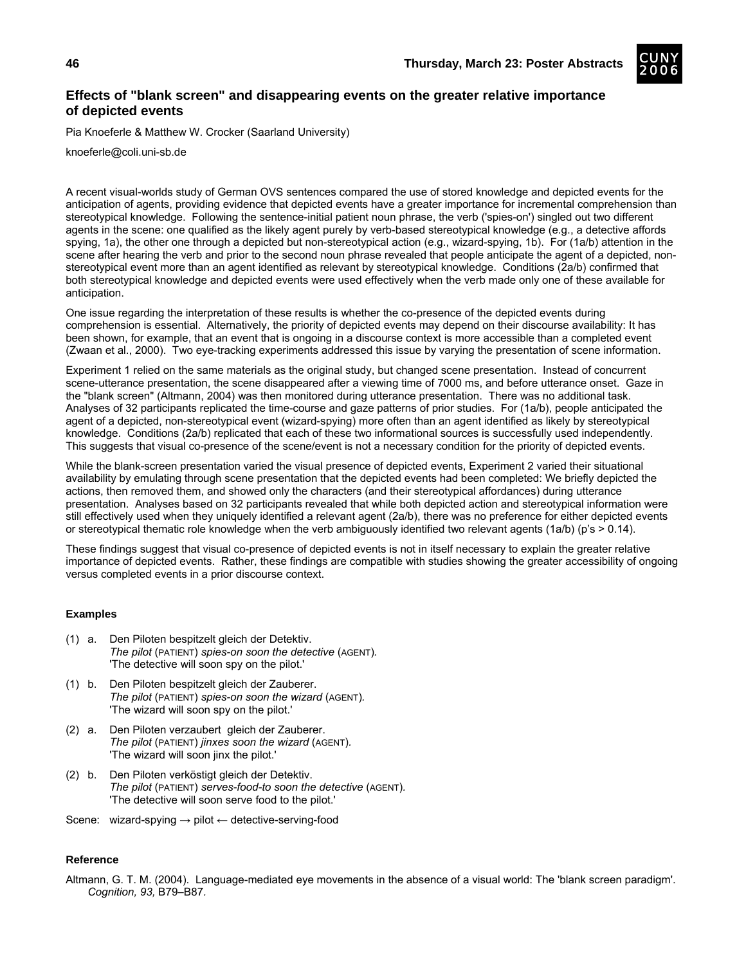

# **Effects of "blank screen" and disappearing events on the greater relative importance of depicted events**

Pia Knoeferle & Matthew W. Crocker (Saarland University)

knoeferle@coli.uni-sb.de

A recent visual-worlds study of German OVS sentences compared the use of stored knowledge and depicted events for the anticipation of agents, providing evidence that depicted events have a greater importance for incremental comprehension than stereotypical knowledge. Following the sentence-initial patient noun phrase, the verb ('spies-on') singled out two different agents in the scene: one qualified as the likely agent purely by verb-based stereotypical knowledge (e.g., a detective affords spying, 1a), the other one through a depicted but non-stereotypical action (e.g., wizard-spying, 1b). For (1a/b) attention in the scene after hearing the verb and prior to the second noun phrase revealed that people anticipate the agent of a depicted, nonstereotypical event more than an agent identified as relevant by stereotypical knowledge. Conditions (2a/b) confirmed that both stereotypical knowledge and depicted events were used effectively when the verb made only one of these available for anticipation.

One issue regarding the interpretation of these results is whether the co-presence of the depicted events during comprehension is essential. Alternatively, the priority of depicted events may depend on their discourse availability: It has been shown, for example, that an event that is ongoing in a discourse context is more accessible than a completed event (Zwaan et al., 2000). Two eye-tracking experiments addressed this issue by varying the presentation of scene information.

Experiment 1 relied on the same materials as the original study, but changed scene presentation. Instead of concurrent scene-utterance presentation, the scene disappeared after a viewing time of 7000 ms, and before utterance onset. Gaze in the "blank screen" (Altmann, 2004) was then monitored during utterance presentation. There was no additional task. Analyses of 32 participants replicated the time-course and gaze patterns of prior studies. For (1a/b), people anticipated the agent of a depicted, non-stereotypical event (wizard-spying) more often than an agent identified as likely by stereotypical knowledge. Conditions (2a/b) replicated that each of these two informational sources is successfully used independently. This suggests that visual co-presence of the scene/event is not a necessary condition for the priority of depicted events.

While the blank-screen presentation varied the visual presence of depicted events, Experiment 2 varied their situational availability by emulating through scene presentation that the depicted events had been completed: We briefly depicted the actions, then removed them, and showed only the characters (and their stereotypical affordances) during utterance presentation. Analyses based on 32 participants revealed that while both depicted action and stereotypical information were still effectively used when they uniquely identified a relevant agent (2a/b), there was no preference for either depicted events or stereotypical thematic role knowledge when the verb ambiguously identified two relevant agents (1a/b) (p's > 0.14).

These findings suggest that visual co-presence of depicted events is not in itself necessary to explain the greater relative importance of depicted events. Rather, these findings are compatible with studies showing the greater accessibility of ongoing versus completed events in a prior discourse context.

## **Examples**

- (1) a. Den Piloten bespitzelt gleich der Detektiv.  *The pilot* (PATIENT) *spies-on soon the detective* (AGENT)*.*  'The detective will soon spy on the pilot.'
- (1) b. Den Piloten bespitzelt gleich der Zauberer.  *The pilot* (PATIENT) *spies-on soon the wizard* (AGENT)*.*  'The wizard will soon spy on the pilot.'
- (2) a. Den Piloten verzaubert gleich der Zauberer.  *The pilot* (PATIENT) *jinxes soon the wizard* (AGENT)*.*  'The wizard will soon jinx the pilot.'
- (2) b. Den Piloten verköstigt gleich der Detektiv.  *The pilot* (PATIENT) *serves-food-to soon the detective* (AGENT)*.*  'The detective will soon serve food to the pilot.'
- Scene: wizard-spying  $\rightarrow$  pilot  $\leftarrow$  detective-serving-food

#### **Reference**

Altmann, G. T. M. (2004). Language-mediated eye movements in the absence of a visual world: The 'blank screen paradigm'. *Cognition, 93,* B79–B87*.*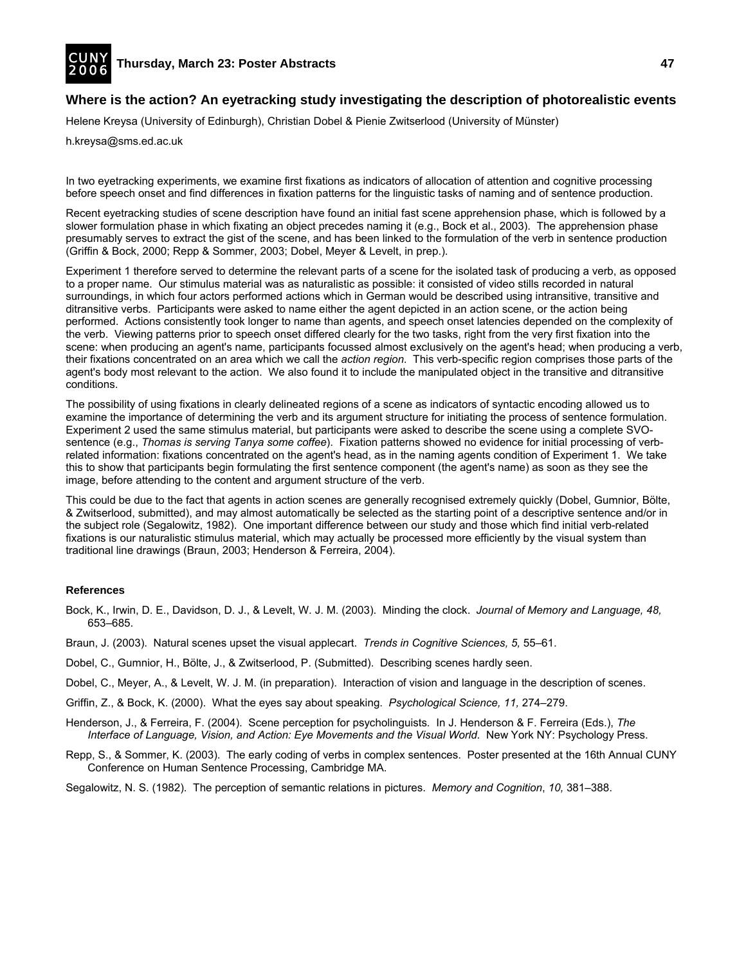

## **Where is the action? An eyetracking study investigating the description of photorealistic events**

Helene Kreysa (University of Edinburgh), Christian Dobel & Pienie Zwitserlood (University of Münster)

h.kreysa@sms.ed.ac.uk

In two eyetracking experiments, we examine first fixations as indicators of allocation of attention and cognitive processing before speech onset and find differences in fixation patterns for the linguistic tasks of naming and of sentence production.

Recent eyetracking studies of scene description have found an initial fast scene apprehension phase, which is followed by a slower formulation phase in which fixating an object precedes naming it (e.g., Bock et al., 2003). The apprehension phase presumably serves to extract the gist of the scene, and has been linked to the formulation of the verb in sentence production (Griffin & Bock, 2000; Repp & Sommer, 2003; Dobel, Meyer & Levelt, in prep.).

Experiment 1 therefore served to determine the relevant parts of a scene for the isolated task of producing a verb, as opposed to a proper name. Our stimulus material was as naturalistic as possible: it consisted of video stills recorded in natural surroundings, in which four actors performed actions which in German would be described using intransitive, transitive and ditransitive verbs. Participants were asked to name either the agent depicted in an action scene, or the action being performed. Actions consistently took longer to name than agents, and speech onset latencies depended on the complexity of the verb. Viewing patterns prior to speech onset differed clearly for the two tasks, right from the very first fixation into the scene: when producing an agent's name, participants focussed almost exclusively on the agent's head; when producing a verb, their fixations concentrated on an area which we call the *action region*. This verb-specific region comprises those parts of the agent's body most relevant to the action. We also found it to include the manipulated object in the transitive and ditransitive conditions.

The possibility of using fixations in clearly delineated regions of a scene as indicators of syntactic encoding allowed us to examine the importance of determining the verb and its argument structure for initiating the process of sentence formulation. Experiment 2 used the same stimulus material, but participants were asked to describe the scene using a complete SVOsentence (e.g., *Thomas is serving Tanya some coffee*). Fixation patterns showed no evidence for initial processing of verbrelated information: fixations concentrated on the agent's head, as in the naming agents condition of Experiment 1. We take this to show that participants begin formulating the first sentence component (the agent's name) as soon as they see the image, before attending to the content and argument structure of the verb.

This could be due to the fact that agents in action scenes are generally recognised extremely quickly (Dobel, Gumnior, Bölte, & Zwitserlood, submitted), and may almost automatically be selected as the starting point of a descriptive sentence and/or in the subject role (Segalowitz, 1982). One important difference between our study and those which find initial verb-related fixations is our naturalistic stimulus material, which may actually be processed more efficiently by the visual system than traditional line drawings (Braun, 2003; Henderson & Ferreira, 2004).

- Bock, K., Irwin, D. E., Davidson, D. J., & Levelt, W. J. M. (2003). Minding the clock. *Journal of Memory and Language, 48,* 653–685.
- Braun, J. (2003). Natural scenes upset the visual applecart. *Trends in Cognitive Sciences, 5,* 55–61.
- Dobel, C., Gumnior, H., Bölte, J., & Zwitserlood, P. (Submitted). Describing scenes hardly seen.
- Dobel, C., Meyer, A., & Levelt, W. J. M. (in preparation). Interaction of vision and language in the description of scenes.
- Griffin, Z., & Bock, K. (2000). What the eyes say about speaking. *Psychological Science, 11,* 274–279.
- Henderson, J., & Ferreira, F. (2004). Scene perception for psycholinguists*.* In J. Henderson & F. Ferreira (Eds.), *The Interface of Language, Vision, and Action: Eye Movements and the Visual World. New York NY: Psychology Press.*
- Repp, S., & Sommer, K. (2003). The early coding of verbs in complex sentences. Poster presented at the 16th Annual CUNY Conference on Human Sentence Processing, Cambridge MA.
- Segalowitz, N. S. (1982). The perception of semantic relations in pictures. *Memory and Cognition*, *10,* 381–388.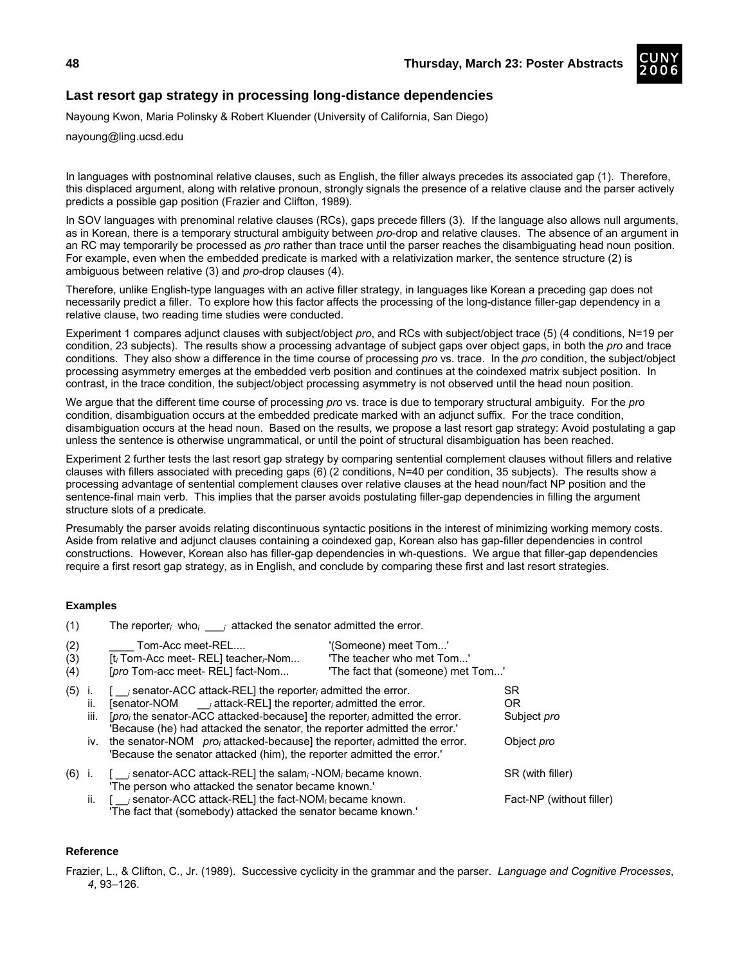

# **Last resort gap strategy in processing long-distance dependencies**

Nayoung Kwon, Maria Polinsky & Robert Kluender (University of California, San Diego)

nayoung@ling.ucsd.edu

In languages with postnominal relative clauses, such as English, the filler always precedes its associated gap (1). Therefore, this displaced argument, along with relative pronoun, strongly signals the presence of a relative clause and the parser actively predicts a possible gap position (Frazier and Clifton, 1989).

In SOV languages with prenominal relative clauses (RCs), gaps precede fillers (3). If the language also allows null arguments, as in Korean, there is a temporary structural ambiguity between *pro*-drop and relative clauses. The absence of an argument in an RC may temporarily be processed as *pro* rather than trace until the parser reaches the disambiguating head noun position. For example, even when the embedded predicate is marked with a relativization marker, the sentence structure (2) is ambiguous between relative (3) and *pro-*drop clauses (4).

Therefore, unlike English-type languages with an active filler strategy, in languages like Korean a preceding gap does not necessarily predict a filler. To explore how this factor affects the processing of the long-distance filler-gap dependency in a relative clause, two reading time studies were conducted.

Experiment 1 compares adjunct clauses with subject/object *pro*, and RCs with subject/object trace (5) (4 conditions, N=19 per condition, 23 subjects). The results show a processing advantage of subject gaps over object gaps, in both the *pro* and trace conditions. They also show a difference in the time course of processing *pro* vs. trace. In the *pro* condition, the subject/object processing asymmetry emerges at the embedded verb position and continues at the coindexed matrix subject position. In contrast, in the trace condition, the subject/object processing asymmetry is not observed until the head noun position.

We argue that the different time course of processing *pro* vs. trace is due to temporary structural ambiguity. For the *pro* condition, disambiguation occurs at the embedded predicate marked with an adjunct suffix. For the trace condition, disambiguation occurs at the head noun. Based on the results, we propose a last resort gap strategy: Avoid postulating a gap unless the sentence is otherwise ungrammatical, or until the point of structural disambiguation has been reached.

Experiment 2 further tests the last resort gap strategy by comparing sentential complement clauses without fillers and relative clauses with fillers associated with preceding gaps (6) (2 conditions, N=40 per condition, 35 subjects). The results show a processing advantage of sentential complement clauses over relative clauses at the head noun/fact NP position and the sentence-final main verb. This implies that the parser avoids postulating filler-gap dependencies in filling the argument structure slots of a predicate.

Presumably the parser avoids relating discontinuous syntactic positions in the interest of minimizing working memory costs. Aside from relative and adjunct clauses containing a coindexed gap, Korean also has gap-filler dependencies in control constructions. However, Korean also has filler-gap dependencies in wh-questions. We argue that filler-gap dependencies require a first resort gap strategy, as in English, and conclude by comparing these first and last resort strategies.

## **Examples**

| (1)               |                  | The reporter, who, $\frac{1}{i}$ attacked the senator admitted the error.                                                                                                                                                                                                                                                                                                                                                                                                     |                                                                                        |                                                             |
|-------------------|------------------|-------------------------------------------------------------------------------------------------------------------------------------------------------------------------------------------------------------------------------------------------------------------------------------------------------------------------------------------------------------------------------------------------------------------------------------------------------------------------------|----------------------------------------------------------------------------------------|-------------------------------------------------------------|
| (2)<br>(3)<br>(4) |                  | Tom-Acc meet-REL<br>[t; Tom-Acc meet- REL] teacher;-Nom<br>[pro Tom-acc meet- REL] fact-Nom                                                                                                                                                                                                                                                                                                                                                                                   | '(Someone) meet Tom'<br>'The teacher who met Tom'<br>'The fact that (someone) met Tom' |                                                             |
| (5)               | Ι.<br>Ш.<br>iii. | $\int$ isenator-ACC attack-REL the reporter admitted the error.<br>[senator-NOM $\qquad \qquad$ attack-REL] the reporter, admitted the error.<br>[pro <sub>i</sub> the senator-ACC attacked-because] the reporter admitted the error.<br>'Because (he) had attacked the senator, the reporter admitted the error.'<br>iv. the senator-NOM $proj$ attacked-because] the reporter admitted the error.<br>"Because the senator attacked (him), the reporter admitted the error." |                                                                                        | SR.<br><b>OR</b><br>Subject <i>pro</i><br>Object <i>pro</i> |
| $(6)$ i.          |                  | senator-ACC attack-REL] the salam, -NOM, became known.<br>'The person who attacked the senator became known.'                                                                                                                                                                                                                                                                                                                                                                 |                                                                                        | SR (with filler)                                            |
|                   |                  | ii. $\int$ is enator-ACC attack-REL the fact-NOM, became known.<br>'The fact that (somebody) attacked the senator became known.'                                                                                                                                                                                                                                                                                                                                              |                                                                                        | Fact-NP (without filler)                                    |

## **Reference**

Frazier, L., & Clifton, C., Jr. (1989). Successive cyclicity in the grammar and the parser. *Language and Cognitive Processes*, *4*, 93–126.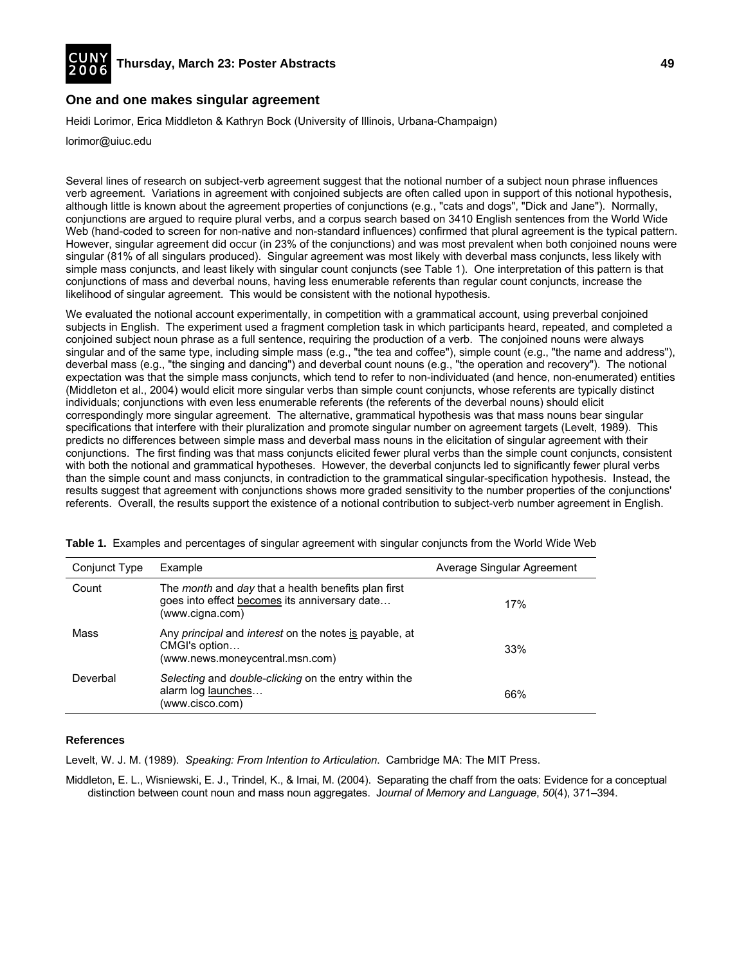

## **One and one makes singular agreement**

Heidi Lorimor, Erica Middleton & Kathryn Bock (University of Illinois, Urbana-Champaign)

lorimor@uiuc.edu

Several lines of research on subject-verb agreement suggest that the notional number of a subject noun phrase influences verb agreement. Variations in agreement with conjoined subjects are often called upon in support of this notional hypothesis, although little is known about the agreement properties of conjunctions (e.g., "cats and dogs", "Dick and Jane"). Normally, conjunctions are argued to require plural verbs, and a corpus search based on 3410 English sentences from the World Wide Web (hand-coded to screen for non-native and non-standard influences) confirmed that plural agreement is the typical pattern. However, singular agreement did occur (in 23% of the conjunctions) and was most prevalent when both conjoined nouns were singular (81% of all singulars produced). Singular agreement was most likely with deverbal mass conjuncts, less likely with simple mass conjuncts, and least likely with singular count conjuncts (see Table 1). One interpretation of this pattern is that conjunctions of mass and deverbal nouns, having less enumerable referents than regular count conjuncts, increase the likelihood of singular agreement. This would be consistent with the notional hypothesis.

We evaluated the notional account experimentally, in competition with a grammatical account, using preverbal conjoined subjects in English. The experiment used a fragment completion task in which participants heard, repeated, and completed a conjoined subject noun phrase as a full sentence, requiring the production of a verb. The conjoined nouns were always singular and of the same type, including simple mass (e.g., "the tea and coffee"), simple count (e.g., "the name and address"), deverbal mass (e.g., "the singing and dancing") and deverbal count nouns (e.g., "the operation and recovery"). The notional expectation was that the simple mass conjuncts, which tend to refer to non-individuated (and hence, non-enumerated) entities (Middleton et al., 2004) would elicit more singular verbs than simple count conjuncts, whose referents are typically distinct individuals; conjunctions with even less enumerable referents (the referents of the deverbal nouns) should elicit correspondingly more singular agreement. The alternative, grammatical hypothesis was that mass nouns bear singular specifications that interfere with their pluralization and promote singular number on agreement targets (Levelt, 1989). This predicts no differences between simple mass and deverbal mass nouns in the elicitation of singular agreement with their conjunctions. The first finding was that mass conjuncts elicited fewer plural verbs than the simple count conjuncts, consistent with both the notional and grammatical hypotheses. However, the deverbal conjuncts led to significantly fewer plural verbs than the simple count and mass conjuncts, in contradiction to the grammatical singular-specification hypothesis. Instead, the results suggest that agreement with conjunctions shows more graded sensitivity to the number properties of the conjunctions' referents. Overall, the results support the existence of a notional contribution to subject-verb number agreement in English.

| Conjunct Type | Example                                                                                                                        | Average Singular Agreement |
|---------------|--------------------------------------------------------------------------------------------------------------------------------|----------------------------|
| Count         | The <i>month</i> and day that a health benefits plan first<br>goes into effect becomes its anniversary date<br>(www.cigna.com) | 17%                        |
| Mass          | Any <i>principal</i> and <i>interest</i> on the notes is payable, at<br>CMGI's option<br>(www.news.moneycentral.msn.com)       | 33%                        |
| Deverbal      | Selecting and double-clicking on the entry within the<br>alarm log launches<br>(www.cisco.com)                                 | 66%                        |

**Table 1.** Examples and percentages of singular agreement with singular conjuncts from the World Wide Web

#### **References**

Levelt, W. J. M. (1989). *Speaking: From Intention to Articulation*. Cambridge MA: The MIT Press.

Middleton, E. L., Wisniewski, E. J., Trindel, K., & Imai, M. (2004). Separating the chaff from the oats: Evidence for a conceptual distinction between count noun and mass noun aggregates. J*ournal of Memory and Language*, *50*(4), 371–394.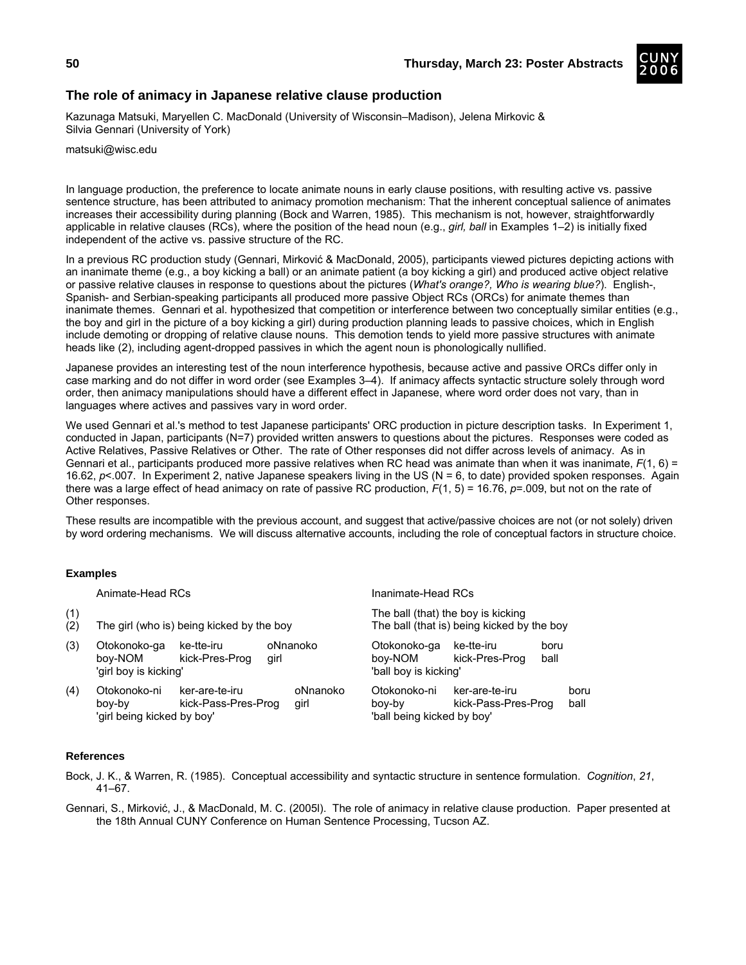## **The role of animacy in Japanese relative clause production**

Kazunaga Matsuki, Maryellen C. MacDonald (University of Wisconsin–Madison), Jelena Mirkovic & Silvia Gennari (University of York)

matsuki@wisc.edu

In language production, the preference to locate animate nouns in early clause positions, with resulting active vs. passive sentence structure, has been attributed to animacy promotion mechanism: That the inherent conceptual salience of animates increases their accessibility during planning (Bock and Warren, 1985). This mechanism is not, however, straightforwardly applicable in relative clauses (RCs), where the position of the head noun (e.g., *girl, ball* in Examples 1–2) is initially fixed independent of the active vs. passive structure of the RC.

In a previous RC production study (Gennari, Mirković & MacDonald, 2005), participants viewed pictures depicting actions with an inanimate theme (e.g., a boy kicking a ball) or an animate patient (a boy kicking a girl) and produced active object relative or passive relative clauses in response to questions about the pictures (*What's orange?, Who is wearing blue?*). English-, Spanish- and Serbian-speaking participants all produced more passive Object RCs (ORCs) for animate themes than inanimate themes. Gennari et al. hypothesized that competition or interference between two conceptually similar entities (e.g., the boy and girl in the picture of a boy kicking a girl) during production planning leads to passive choices, which in English include demoting or dropping of relative clause nouns. This demotion tends to yield more passive structures with animate heads like (2), including agent-dropped passives in which the agent noun is phonologically nullified.

Japanese provides an interesting test of the noun interference hypothesis, because active and passive ORCs differ only in case marking and do not differ in word order (see Examples 3–4). If animacy affects syntactic structure solely through word order, then animacy manipulations should have a different effect in Japanese, where word order does not vary, than in languages where actives and passives vary in word order.

We used Gennari et al.'s method to test Japanese participants' ORC production in picture description tasks. In Experiment 1, conducted in Japan, participants (N=7) provided written answers to questions about the pictures. Responses were coded as Active Relatives, Passive Relatives or Other. The rate of Other responses did not differ across levels of animacy. As in Gennari et al., participants produced more passive relatives when RC head was animate than when it was inanimate, *F*(1, 6) = 16.62, *p*<.007. In Experiment 2, native Japanese speakers living in the US (N = 6, to date) provided spoken responses. Again there was a large effect of head animacy on rate of passive RC production, *F*(1, 5) = 16.76, *p*=.009, but not on the rate of Other responses.

These results are incompatible with the previous account, and suggest that active/passive choices are not (or not solely) driven by word ordering mechanisms. We will discuss alternative accounts, including the role of conceptual factors in structure choice.

## **Examples**

|            | Animate-Head RCs                                     |                                       |      | Inanimate-Head RCs                                                               |                                                      |                                       |              |              |
|------------|------------------------------------------------------|---------------------------------------|------|----------------------------------------------------------------------------------|------------------------------------------------------|---------------------------------------|--------------|--------------|
| (1)<br>(2) | The girl (who is) being kicked by the boy            |                                       |      | The ball (that) the boy is kicking<br>The ball (that is) being kicked by the boy |                                                      |                                       |              |              |
| (3)        | Otokonoko-ga<br>boy-NOM<br>'girl boy is kicking'     | ke-tte-iru<br>kick-Pres-Prog          | girl | oNnanoko                                                                         | Otokonoko-ga<br>boy-NOM<br>'ball boy is kicking'     | ke-tte-iru<br>kick-Pres-Prog          | boru<br>ball |              |
| (4)        | Otokonoko-ni<br>bov-by<br>'girl being kicked by boy' | ker-are-te-iru<br>kick-Pass-Pres-Prog |      | oNnanoko<br>girl                                                                 | Otokonoko-ni<br>bov-by<br>'ball being kicked by boy' | ker-are-te-iru<br>kick-Pass-Pres-Prog |              | boru<br>ball |

#### **References**

Bock, J. K., & Warren, R. (1985). Conceptual accessibility and syntactic structure in sentence formulation. *Cognition*, *21*, 41–67.

Gennari, S., Mirković, J., & MacDonald, M. C. (2005l). The role of animacy in relative clause production. Paper presented at the 18th Annual CUNY Conference on Human Sentence Processing, Tucson AZ.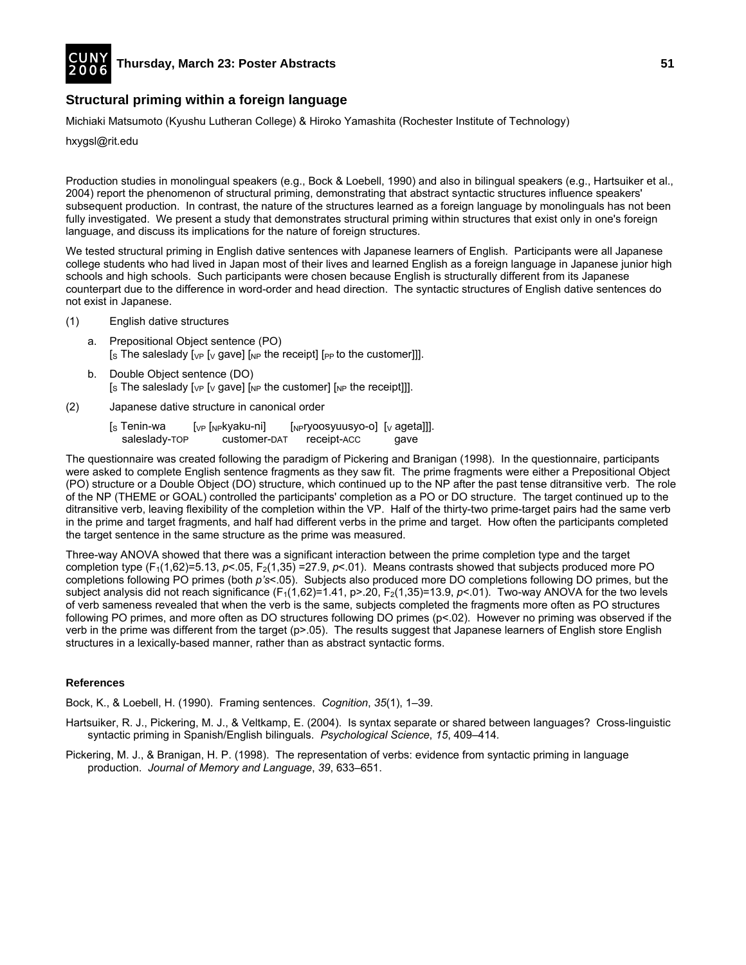

# **Structural priming within a foreign language**

Michiaki Matsumoto (Kyushu Lutheran College) & Hiroko Yamashita (Rochester Institute of Technology)

hxygsl@rit.edu

Production studies in monolingual speakers (e.g., Bock & Loebell, 1990) and also in bilingual speakers (e.g., Hartsuiker et al., 2004) report the phenomenon of structural priming, demonstrating that abstract syntactic structures influence speakers' subsequent production. In contrast, the nature of the structures learned as a foreign language by monolinguals has not been fully investigated. We present a study that demonstrates structural priming within structures that exist only in one's foreign language, and discuss its implications for the nature of foreign structures.

We tested structural priming in English dative sentences with Japanese learners of English. Participants were all Japanese college students who had lived in Japan most of their lives and learned English as a foreign language in Japanese junior high schools and high schools. Such participants were chosen because English is structurally different from its Japanese counterpart due to the difference in word-order and head direction. The syntactic structures of English dative sentences do not exist in Japanese.

- (1) English dative structures
	- a. Prepositional Object sentence (PO) [s The saleslady [ $VP$  [ $V$  gave] [ $NP$  the receipt] [ $PP$  to the customer]]].
	- b. Double Object sentence (DO) [s The saleslady [ $VP$  [ $V$  gave] [ $NP$  the customer] [ $NP$  the receipt]]].
- (2) Japanese dative structure in canonical order
	- [s Tenin-wa [<sub>VP</sub> [<sub>NP</sub>kyaku-ni] [<sub>NP</sub>ryoosyuusyo-o] [v ageta]]]. saleslady-TOP customer-DAT receipt-ACC gave

The questionnaire was created following the paradigm of Pickering and Branigan (1998). In the questionnaire, participants were asked to complete English sentence fragments as they saw fit. The prime fragments were either a Prepositional Object (PO) structure or a Double Object (DO) structure, which continued up to the NP after the past tense ditransitive verb. The role of the NP (THEME or GOAL) controlled the participants' completion as a PO or DO structure. The target continued up to the ditransitive verb, leaving flexibility of the completion within the VP. Half of the thirty-two prime-target pairs had the same verb in the prime and target fragments, and half had different verbs in the prime and target. How often the participants completed the target sentence in the same structure as the prime was measured.

Three-way ANOVA showed that there was a significant interaction between the prime completion type and the target completion type (F<sub>1</sub>(1,62)=5.13, *p*<.05, F<sub>2</sub>(1,35) =27.9, *p*<.01). Means contrasts showed that subjects produced more PO completions following PO primes (both *p's*<.05). Subjects also produced more DO completions following DO primes, but the subject analysis did not reach significance  $(F_1(1,62)=1.41, p>20, F_2(1,35)=13.9, p<0.1)$ . Two-way ANOVA for the two levels of verb sameness revealed that when the verb is the same, subjects completed the fragments more often as PO structures following PO primes, and more often as DO structures following DO primes  $(p<.02)$ . However no priming was observed if the verb in the prime was different from the target (p>.05). The results suggest that Japanese learners of English store English structures in a lexically-based manner, rather than as abstract syntactic forms.

#### **References**

Bock, K., & Loebell, H. (1990). Framing sentences. *Cognition*, *35*(1), 1–39.

- Hartsuiker, R. J., Pickering, M. J., & Veltkamp, E. (2004). Is syntax separate or shared between languages? Cross-linguistic syntactic priming in Spanish/English bilinguals. *Psychological Science*, *15*, 409–414*.*
- Pickering, M. J., & Branigan, H. P. (1998). The representation of verbs: evidence from syntactic priming in language production. *Journal of Memory and Language*, *39*, 633–651.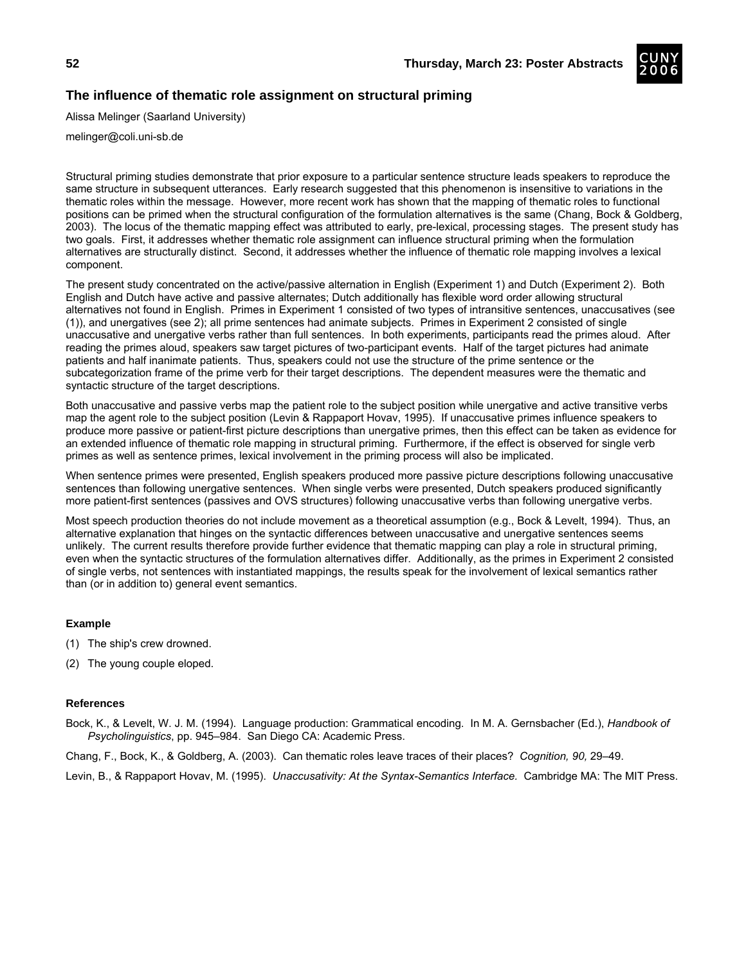

Alissa Melinger (Saarland University)

melinger@coli.uni-sb.de

Structural priming studies demonstrate that prior exposure to a particular sentence structure leads speakers to reproduce the same structure in subsequent utterances. Early research suggested that this phenomenon is insensitive to variations in the thematic roles within the message. However, more recent work has shown that the mapping of thematic roles to functional positions can be primed when the structural configuration of the formulation alternatives is the same (Chang, Bock & Goldberg, 2003). The locus of the thematic mapping effect was attributed to early, pre-lexical, processing stages. The present study has two goals. First, it addresses whether thematic role assignment can influence structural priming when the formulation alternatives are structurally distinct. Second, it addresses whether the influence of thematic role mapping involves a lexical component.

The present study concentrated on the active/passive alternation in English (Experiment 1) and Dutch (Experiment 2). Both English and Dutch have active and passive alternates; Dutch additionally has flexible word order allowing structural alternatives not found in English. Primes in Experiment 1 consisted of two types of intransitive sentences, unaccusatives (see (1)), and unergatives (see 2); all prime sentences had animate subjects. Primes in Experiment 2 consisted of single unaccusative and unergative verbs rather than full sentences. In both experiments, participants read the primes aloud. After reading the primes aloud, speakers saw target pictures of two-participant events. Half of the target pictures had animate patients and half inanimate patients. Thus, speakers could not use the structure of the prime sentence or the subcategorization frame of the prime verb for their target descriptions. The dependent measures were the thematic and syntactic structure of the target descriptions.

Both unaccusative and passive verbs map the patient role to the subject position while unergative and active transitive verbs map the agent role to the subject position (Levin & Rappaport Hovav, 1995). If unaccusative primes influence speakers to produce more passive or patient-first picture descriptions than unergative primes, then this effect can be taken as evidence for an extended influence of thematic role mapping in structural priming. Furthermore, if the effect is observed for single verb primes as well as sentence primes, lexical involvement in the priming process will also be implicated.

When sentence primes were presented, English speakers produced more passive picture descriptions following unaccusative sentences than following unergative sentences. When single verbs were presented, Dutch speakers produced significantly more patient-first sentences (passives and OVS structures) following unaccusative verbs than following unergative verbs.

Most speech production theories do not include movement as a theoretical assumption (e.g., Bock & Levelt, 1994). Thus, an alternative explanation that hinges on the syntactic differences between unaccusative and unergative sentences seems unlikely. The current results therefore provide further evidence that thematic mapping can play a role in structural priming, even when the syntactic structures of the formulation alternatives differ. Additionally, as the primes in Experiment 2 consisted of single verbs, not sentences with instantiated mappings, the results speak for the involvement of lexical semantics rather than (or in addition to) general event semantics.

## **Example**

- (1) The ship's crew drowned.
- (2) The young couple eloped.

## **References**

Bock, K., & Levelt, W. J. M. (1994). Language production: Grammatical encoding. In M. A. Gernsbacher (Ed.), *Handbook of Psycholinguistics*, pp. 945–984. San Diego CA: Academic Press.

Chang, F., Bock, K., & Goldberg, A. (2003). Can thematic roles leave traces of their places? *Cognition, 90,* 29–49.

Levin, B., & Rappaport Hovav, M. (1995). *Unaccusativity: At the Syntax-Semantics Interface.* Cambridge MA: The MIT Press.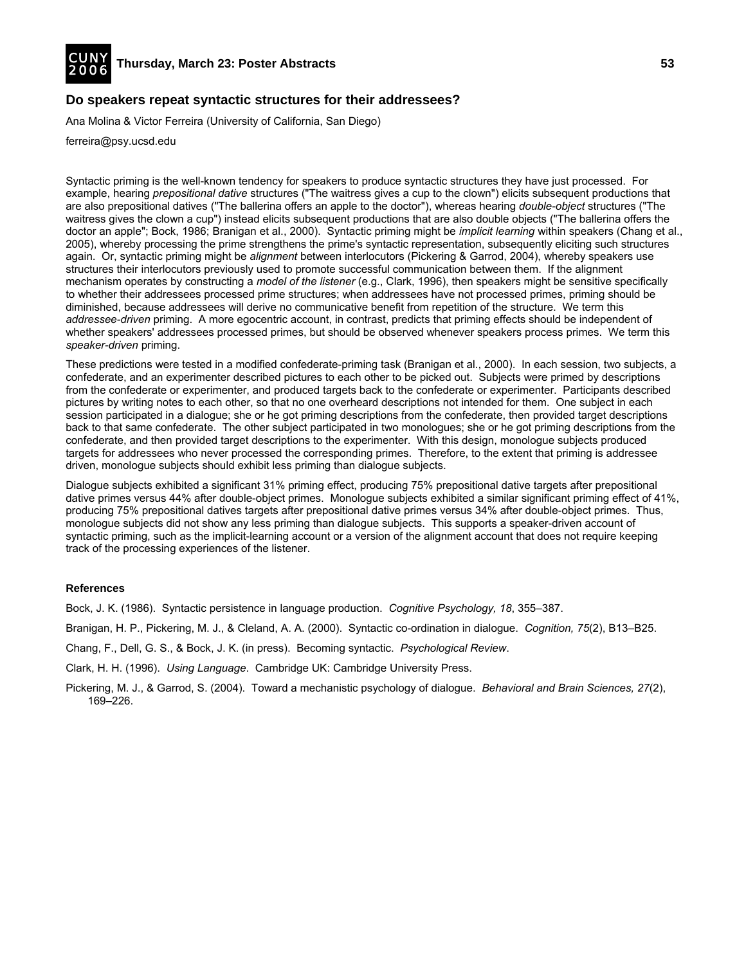![](_page_28_Picture_0.jpeg)

## **Do speakers repeat syntactic structures for their addressees?**

Ana Molina & Victor Ferreira (University of California, San Diego)

ferreira@psy.ucsd.edu

Syntactic priming is the well-known tendency for speakers to produce syntactic structures they have just processed. For example, hearing *prepositional dative* structures ("The waitress gives a cup to the clown") elicits subsequent productions that are also prepositional datives ("The ballerina offers an apple to the doctor"), whereas hearing *double-object* structures ("The waitress gives the clown a cup") instead elicits subsequent productions that are also double objects ("The ballerina offers the doctor an apple"; Bock, 1986; Branigan et al., 2000). Syntactic priming might be *implicit learning* within speakers (Chang et al., 2005), whereby processing the prime strengthens the prime's syntactic representation, subsequently eliciting such structures again. Or, syntactic priming might be *alignment* between interlocutors (Pickering & Garrod, 2004), whereby speakers use structures their interlocutors previously used to promote successful communication between them. If the alignment mechanism operates by constructing a *model of the listener* (e.g., Clark, 1996), then speakers might be sensitive specifically to whether their addressees processed prime structures; when addressees have not processed primes, priming should be diminished, because addressees will derive no communicative benefit from repetition of the structure. We term this *addressee-driven* priming. A more egocentric account, in contrast, predicts that priming effects should be independent of whether speakers' addressees processed primes, but should be observed whenever speakers process primes. We term this *speaker-driven* priming.

These predictions were tested in a modified confederate-priming task (Branigan et al., 2000). In each session, two subjects, a confederate, and an experimenter described pictures to each other to be picked out. Subjects were primed by descriptions from the confederate or experimenter, and produced targets back to the confederate or experimenter. Participants described pictures by writing notes to each other, so that no one overheard descriptions not intended for them. One subject in each session participated in a dialogue; she or he got priming descriptions from the confederate, then provided target descriptions back to that same confederate. The other subject participated in two monologues; she or he got priming descriptions from the confederate, and then provided target descriptions to the experimenter. With this design, monologue subjects produced targets for addressees who never processed the corresponding primes. Therefore, to the extent that priming is addressee driven, monologue subjects should exhibit less priming than dialogue subjects.

Dialogue subjects exhibited a significant 31% priming effect, producing 75% prepositional dative targets after prepositional dative primes versus 44% after double-object primes. Monologue subjects exhibited a similar significant priming effect of 41%, producing 75% prepositional datives targets after prepositional dative primes versus 34% after double-object primes. Thus, monologue subjects did not show any less priming than dialogue subjects. This supports a speaker-driven account of syntactic priming, such as the implicit-learning account or a version of the alignment account that does not require keeping track of the processing experiences of the listener.

#### **References**

Bock, J. K. (1986). Syntactic persistence in language production. *Cognitive Psychology, 18*, 355–387.

Branigan, H. P., Pickering, M. J., & Cleland, A. A. (2000). Syntactic co-ordination in dialogue. *Cognition, 75*(2), B13–B25.

Chang, F., Dell, G. S., & Bock, J. K. (in press). Becoming syntactic. *Psychological Review*.

Clark, H. H. (1996). *Using Language*. Cambridge UK: Cambridge University Press.

Pickering, M. J., & Garrod, S. (2004). Toward a mechanistic psychology of dialogue. *Behavioral and Brain Sciences, 27*(2), 169–226.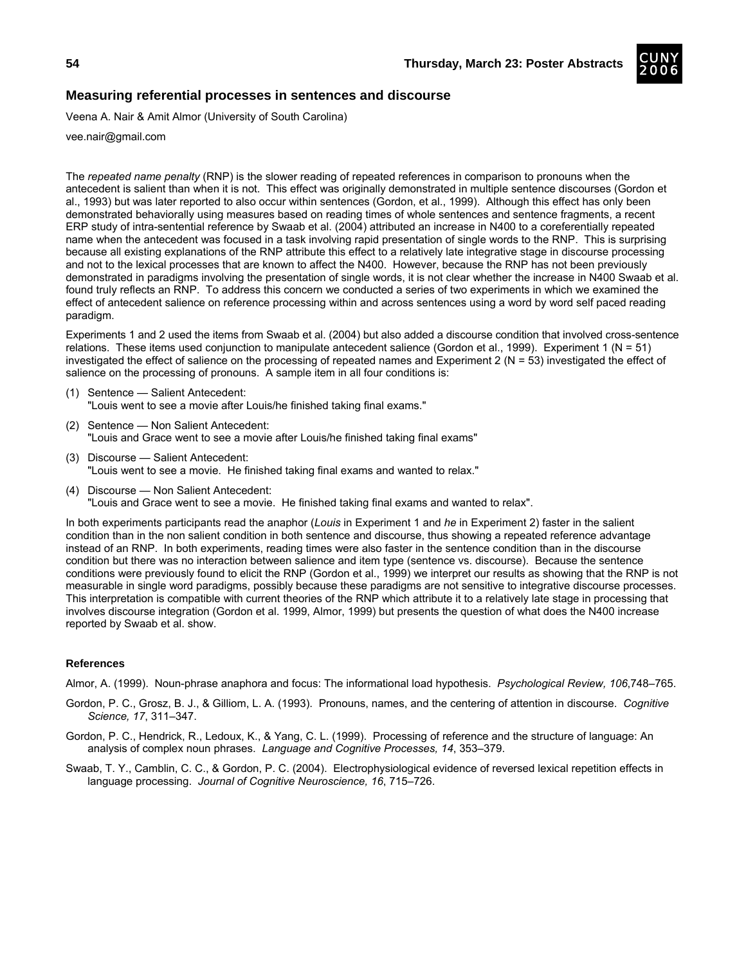![](_page_29_Picture_2.jpeg)

## **Measuring referential processes in sentences and discourse**

Veena A. Nair & Amit Almor (University of South Carolina)

vee.nair@gmail.com

The *repeated name penalty* (RNP) is the slower reading of repeated references in comparison to pronouns when the antecedent is salient than when it is not. This effect was originally demonstrated in multiple sentence discourses (Gordon et al., 1993) but was later reported to also occur within sentences (Gordon, et al., 1999). Although this effect has only been demonstrated behaviorally using measures based on reading times of whole sentences and sentence fragments, a recent ERP study of intra-sentential reference by Swaab et al. (2004) attributed an increase in N400 to a coreferentially repeated name when the antecedent was focused in a task involving rapid presentation of single words to the RNP. This is surprising because all existing explanations of the RNP attribute this effect to a relatively late integrative stage in discourse processing and not to the lexical processes that are known to affect the N400. However, because the RNP has not been previously demonstrated in paradigms involving the presentation of single words, it is not clear whether the increase in N400 Swaab et al. found truly reflects an RNP. To address this concern we conducted a series of two experiments in which we examined the effect of antecedent salience on reference processing within and across sentences using a word by word self paced reading paradigm.

Experiments 1 and 2 used the items from Swaab et al. (2004) but also added a discourse condition that involved cross-sentence relations. These items used conjunction to manipulate antecedent salience (Gordon et al., 1999). Experiment 1 (N = 51) investigated the effect of salience on the processing of repeated names and Experiment 2 (N = 53) investigated the effect of salience on the processing of pronouns. A sample item in all four conditions is:

- (1) Sentence Salient Antecedent: "Louis went to see a movie after Louis/he finished taking final exams."
- (2) Sentence Non Salient Antecedent: "Louis and Grace went to see a movie after Louis/he finished taking final exams"
- (3) Discourse Salient Antecedent: "Louis went to see a movie. He finished taking final exams and wanted to relax."
- (4) Discourse Non Salient Antecedent: "Louis and Grace went to see a movie. He finished taking final exams and wanted to relax".

In both experiments participants read the anaphor (*Louis* in Experiment 1 and *he* in Experiment 2) faster in the salient condition than in the non salient condition in both sentence and discourse, thus showing a repeated reference advantage instead of an RNP. In both experiments, reading times were also faster in the sentence condition than in the discourse condition but there was no interaction between salience and item type (sentence vs. discourse). Because the sentence conditions were previously found to elicit the RNP (Gordon et al., 1999) we interpret our results as showing that the RNP is not measurable in single word paradigms, possibly because these paradigms are not sensitive to integrative discourse processes. This interpretation is compatible with current theories of the RNP which attribute it to a relatively late stage in processing that involves discourse integration (Gordon et al. 1999, Almor, 1999) but presents the question of what does the N400 increase reported by Swaab et al. show.

#### **References**

Almor, A. (1999). Noun-phrase anaphora and focus: The informational load hypothesis. *Psychological Review, 106*,748–765.

- Gordon, P. C., Grosz, B. J., & Gilliom, L. A. (1993). Pronouns, names, and the centering of attention in discourse. *Cognitive Science, 17*, 311–347.
- Gordon, P. C., Hendrick, R., Ledoux, K., & Yang, C. L. (1999). Processing of reference and the structure of language: An analysis of complex noun phrases. *Language and Cognitive Processes, 14*, 353–379.
- Swaab, T. Y., Camblin, C. C., & Gordon, P. C. (2004). Electrophysiological evidence of reversed lexical repetition effects in language processing. *Journal of Cognitive Neuroscience, 16*, 715–726.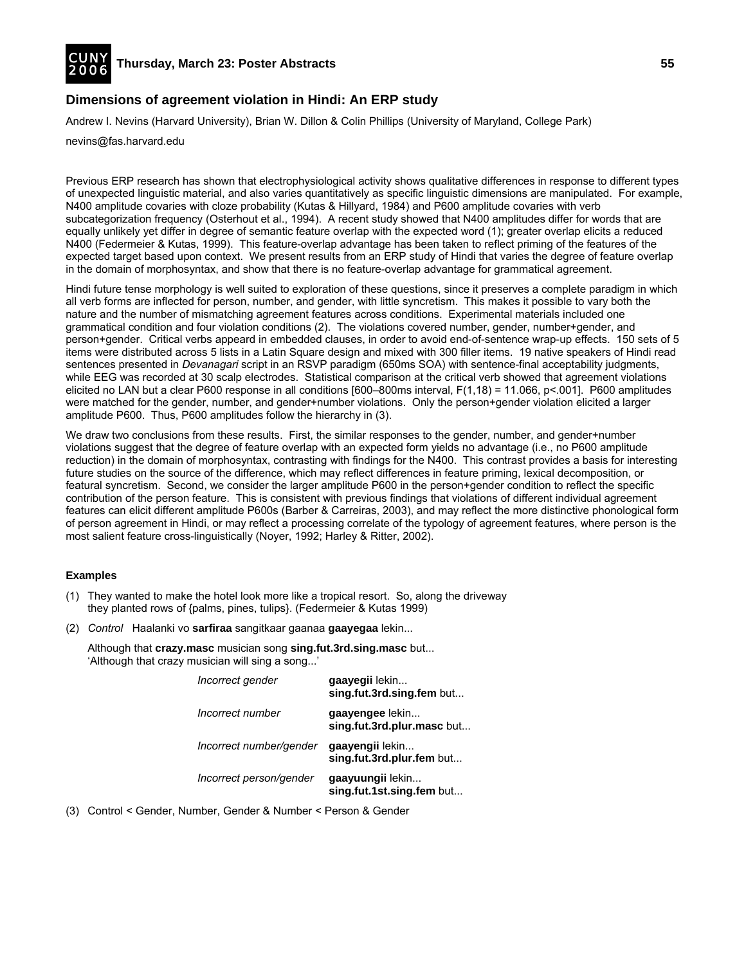![](_page_30_Picture_0.jpeg)

# **Dimensions of agreement violation in Hindi: An ERP study**

Andrew I. Nevins (Harvard University), Brian W. Dillon & Colin Phillips (University of Maryland, College Park)

nevins@fas.harvard.edu

Previous ERP research has shown that electrophysiological activity shows qualitative differences in response to different types of unexpected linguistic material, and also varies quantitatively as specific linguistic dimensions are manipulated. For example, N400 amplitude covaries with cloze probability (Kutas & Hillyard, 1984) and P600 amplitude covaries with verb subcategorization frequency (Osterhout et al., 1994). A recent study showed that N400 amplitudes differ for words that are equally unlikely yet differ in degree of semantic feature overlap with the expected word (1); greater overlap elicits a reduced N400 (Federmeier & Kutas, 1999). This feature-overlap advantage has been taken to reflect priming of the features of the expected target based upon context. We present results from an ERP study of Hindi that varies the degree of feature overlap in the domain of morphosyntax, and show that there is no feature-overlap advantage for grammatical agreement.

Hindi future tense morphology is well suited to exploration of these questions, since it preserves a complete paradigm in which all verb forms are inflected for person, number, and gender, with little syncretism. This makes it possible to vary both the nature and the number of mismatching agreement features across conditions. Experimental materials included one grammatical condition and four violation conditions (2). The violations covered number, gender, number+gender, and person+gender. Critical verbs appeard in embedded clauses, in order to avoid end-of-sentence wrap-up effects. 150 sets of 5 items were distributed across 5 lists in a Latin Square design and mixed with 300 filler items. 19 native speakers of Hindi read sentences presented in *Devanagari* script in an RSVP paradigm (650ms SOA) with sentence-final acceptability judgments, while EEG was recorded at 30 scalp electrodes. Statistical comparison at the critical verb showed that agreement violations elicited no LAN but a clear P600 response in all conditions [600–800ms interval, F(1,18) = 11.066, p<.001]. P600 amplitudes were matched for the gender, number, and gender+number violations. Only the person+gender violation elicited a larger amplitude P600. Thus, P600 amplitudes follow the hierarchy in (3).

We draw two conclusions from these results. First, the similar responses to the gender, number, and gender+number violations suggest that the degree of feature overlap with an expected form yields no advantage (i.e., no P600 amplitude reduction) in the domain of morphosyntax, contrasting with findings for the N400. This contrast provides a basis for interesting future studies on the source of the difference, which may reflect differences in feature priming, lexical decomposition, or featural syncretism. Second, we consider the larger amplitude P600 in the person+gender condition to reflect the specific contribution of the person feature. This is consistent with previous findings that violations of different individual agreement features can elicit different amplitude P600s (Barber & Carreiras, 2003), and may reflect the more distinctive phonological form of person agreement in Hindi, or may reflect a processing correlate of the typology of agreement features, where person is the most salient feature cross-linguistically (Noyer, 1992; Harley & Ritter, 2002).

## **Examples**

- (1) They wanted to make the hotel look more like a tropical resort. So, along the driveway they planted rows of {palms, pines, tulips}. (Federmeier & Kutas 1999)
- (2) *Control* Haalanki vo **sarfiraa** sangitkaar gaanaa **gaayegaa** lekin...

 Although that **crazy.masc** musician song **sing.fut.3rd.sing.masc** but... 'Although that crazy musician will sing a song...'

| Incorrect gender        | gaayegii lekin<br>sing.fut.3rd.sing.fem but   |
|-------------------------|-----------------------------------------------|
| Incorrect number        | gaayengee lekin<br>sing.fut.3rd.plur.masc but |
| Incorrect number/gender | gaayengii lekin<br>sing.fut.3rd.plur.fem but  |
| Incorrect person/gender | gaayuungii lekin<br>sing.fut.1st.sing.fem but |

(3) Control < Gender, Number, Gender & Number < Person & Gender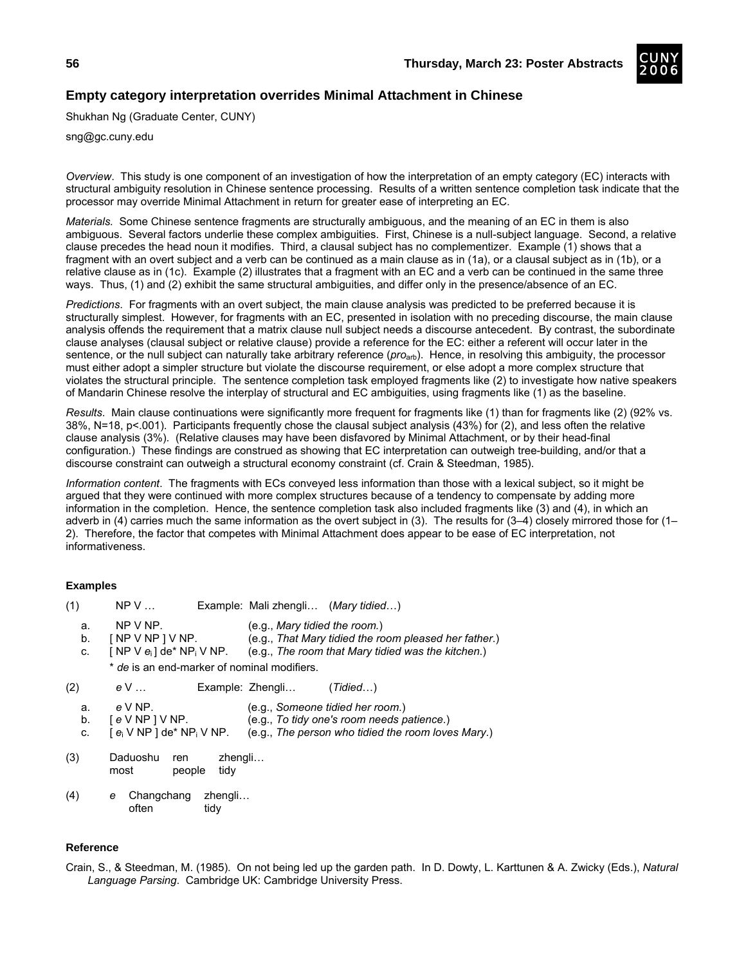# **Empty category interpretation overrides Minimal Attachment in Chinese**

Shukhan Ng (Graduate Center, CUNY)

sng@gc.cuny.edu

*Overview*. This study is one component of an investigation of how the interpretation of an empty category (EC) interacts with structural ambiguity resolution in Chinese sentence processing. Results of a written sentence completion task indicate that the processor may override Minimal Attachment in return for greater ease of interpreting an EC.

*Materials.* Some Chinese sentence fragments are structurally ambiguous, and the meaning of an EC in them is also ambiguous. Several factors underlie these complex ambiguities. First, Chinese is a null-subject language. Second, a relative clause precedes the head noun it modifies. Third, a clausal subject has no complementizer. Example (1) shows that a fragment with an overt subject and a verb can be continued as a main clause as in (1a), or a clausal subject as in (1b), or a relative clause as in (1c). Example (2) illustrates that a fragment with an EC and a verb can be continued in the same three ways. Thus, (1) and (2) exhibit the same structural ambiguities, and differ only in the presence/absence of an EC.

*Predictions*. For fragments with an overt subject, the main clause analysis was predicted to be preferred because it is structurally simplest. However, for fragments with an EC, presented in isolation with no preceding discourse, the main clause analysis offends the requirement that a matrix clause null subject needs a discourse antecedent. By contrast, the subordinate clause analyses (clausal subject or relative clause) provide a reference for the EC: either a referent will occur later in the sentence, or the null subject can naturally take arbitrary reference (*pro*arb). Hence, in resolving this ambiguity, the processor must either adopt a simpler structure but violate the discourse requirement, or else adopt a more complex structure that violates the structural principle. The sentence completion task employed fragments like (2) to investigate how native speakers of Mandarin Chinese resolve the interplay of structural and EC ambiguities, using fragments like (1) as the baseline.

*Results*. Main clause continuations were significantly more frequent for fragments like (1) than for fragments like (2) (92% vs. 38%, N=18, p<.001). Participants frequently chose the clausal subject analysis (43%) for (2), and less often the relative clause analysis (3%). (Relative clauses may have been disfavored by Minimal Attachment, or by their head-final configuration.) These findings are construed as showing that EC interpretation can outweigh tree-building, and/or that a discourse constraint can outweigh a structural economy constraint (cf. Crain & Steedman, 1985).

*Information content*. The fragments with ECs conveyed less information than those with a lexical subject, so it might be argued that they were continued with more complex structures because of a tendency to compensate by adding more information in the completion. Hence, the sentence completion task also included fragments like (3) and (4), in which an adverb in (4) carries much the same information as the overt subject in (3). The results for (3–4) closely mirrored those for (1– 2). Therefore, the factor that competes with Minimal Attachment does appear to be ease of EC interpretation, not informativeness.

## **Examples**

| (1) | NPV                                      |                                             | Example: Mali zhengli (Mary tidied) |                                                       |
|-----|------------------------------------------|---------------------------------------------|-------------------------------------|-------------------------------------------------------|
| a.  | $NP V NP$ .                              |                                             | (e.g., Mary tidied the room.)       |                                                       |
| b.  | [NP V NP] V NP.                          |                                             |                                     | (e.g., That Mary tidied the room pleased her father.) |
| C.  |                                          | [ NP V $e_i$ ] de* NP <sub>i</sub> V NP.    |                                     | (e.g., The room that Mary tidied was the kitchen.)    |
|     |                                          | * de is an end-marker of nominal modifiers. |                                     |                                                       |
| (2) | e V …                                    |                                             | Example: Zhengli                    | (Tidied)                                              |
| a.  | $e$ V NP.                                |                                             |                                     | (e.g., Someone tidied her room.)                      |
| b.  | $eVNP$   $VNP$ .                         |                                             |                                     | (e.g., To tidy one's room needs patience.)            |
| C.  | [ $e_i$ V NP ] de* NP <sub>i</sub> V NP. |                                             |                                     | (e.g., The person who tidied the room loves Mary.)    |
| (3) | Daduoshu<br>most                         | zhengli<br>ren.<br>tidy<br>people           |                                     |                                                       |

(4) *e* Changchang zhengli… often tidy

## **Reference**

Crain, S., & Steedman, M. (1985). On not being led up the garden path. In D. Dowty, L. Karttunen & A. Zwicky (Eds.), *Natural Language Parsing*. Cambridge UK: Cambridge University Press.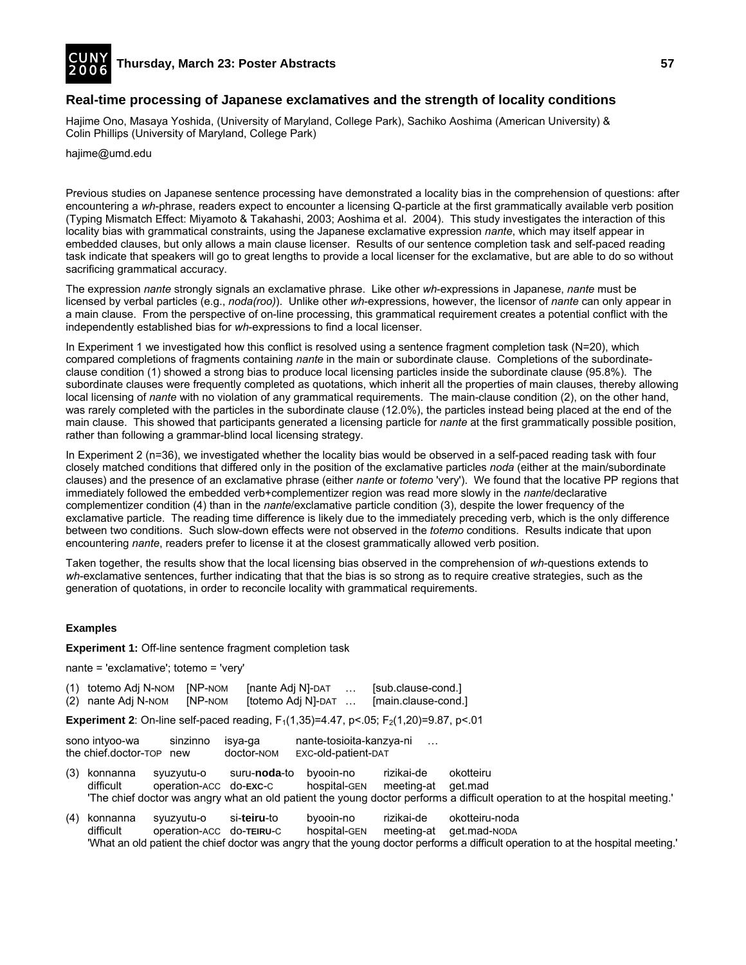![](_page_32_Picture_0.jpeg)

# **Real-time processing of Japanese exclamatives and the strength of locality conditions**

Hajime Ono, Masaya Yoshida, (University of Maryland, College Park), Sachiko Aoshima (American University) & Colin Phillips (University of Maryland, College Park)

hajime@umd.edu

Previous studies on Japanese sentence processing have demonstrated a locality bias in the comprehension of questions: after encountering a *wh*-phrase, readers expect to encounter a licensing Q-particle at the first grammatically available verb position (Typing Mismatch Effect: Miyamoto & Takahashi, 2003; Aoshima et al. 2004). This study investigates the interaction of this locality bias with grammatical constraints, using the Japanese exclamative expression *nante*, which may itself appear in embedded clauses, but only allows a main clause licenser. Results of our sentence completion task and self-paced reading task indicate that speakers will go to great lengths to provide a local licenser for the exclamative, but are able to do so without sacrificing grammatical accuracy.

The expression *nante* strongly signals an exclamative phrase. Like other *wh*-expressions in Japanese, *nante* must be licensed by verbal particles (e.g., *noda(roo)*). Unlike other *wh*-expressions, however, the licensor of *nante* can only appear in a main clause. From the perspective of on-line processing, this grammatical requirement creates a potential conflict with the independently established bias for *wh*-expressions to find a local licenser.

In Experiment 1 we investigated how this conflict is resolved using a sentence fragment completion task (N=20), which compared completions of fragments containing *nante* in the main or subordinate clause. Completions of the subordinateclause condition (1) showed a strong bias to produce local licensing particles inside the subordinate clause (95.8%). The subordinate clauses were frequently completed as quotations, which inherit all the properties of main clauses, thereby allowing local licensing of *nante* with no violation of any grammatical requirements. The main-clause condition (2), on the other hand, was rarely completed with the particles in the subordinate clause (12.0%), the particles instead being placed at the end of the main clause. This showed that participants generated a licensing particle for *nante* at the first grammatically possible position, rather than following a grammar-blind local licensing strategy.

In Experiment 2 (n=36), we investigated whether the locality bias would be observed in a self-paced reading task with four closely matched conditions that differed only in the position of the exclamative particles *noda* (either at the main/subordinate clauses) and the presence of an exclamative phrase (either *nante* or *totemo* 'very'). We found that the locative PP regions that immediately followed the embedded verb+complementizer region was read more slowly in the *nante*/declarative complementizer condition (4) than in the *nante*/exclamative particle condition (3), despite the lower frequency of the exclamative particle. The reading time difference is likely due to the immediately preceding verb, which is the only difference between two conditions. Such slow-down effects were not observed in the *totemo* conditions. Results indicate that upon encountering *nante*, readers prefer to license it at the closest grammatically allowed verb position.

Taken together, the results show that the local licensing bias observed in the comprehension of *wh*-questions extends to *wh*-exclamative sentences, further indicating that that the bias is so strong as to require creative strategies, such as the generation of quotations, in order to reconcile locality with grammatical requirements.

## **Examples**

**Experiment 1:** Off-line sentence fragment completion task

nante = 'exclamative'; totemo = 'very'

| (1) totemo Adj N-NOM [NP-NOM] |                | [nante Adj N]-DAT  | . | [sub.clause-cond.]  |
|-------------------------------|----------------|--------------------|---|---------------------|
| (2) nante Adj N-NOM           | <b>INP-NOM</b> | [totemo Adj N]-DAT |   | [main.clause-cond.] |

**Experiment 2**: On-line self-paced reading,  $F_1(1,35)=4.47$ ,  $p<.05$ ;  $F_2(1,20)=9.87$ ,  $p<.01$ 

sono intyoo-wa sinzinno isya-ga nante-tosioita-kanzya-ni the chief.doctor-TOP new doctor-NOM EXC-old-patient-DAT

- (3) konnanna syuzyutu-o suru-**noda**-to byooin-no rizikai-de okotteiru difficult operation-ACC do-**EXC**-C hospital-GEN meeting-at get.mad 'The chief doctor was angry what an old patient the young doctor performs a difficult operation to at the hospital meeting.'
- (4) konnanna syuzyutu-o si-**teiru**-to byooin-no rizikai-de okotteiru-noda difficult operation-ACC do-**TEIRU**-C hospital-GEN meeting-at get.mad-NODA 'What an old patient the chief doctor was angry that the young doctor performs a difficult operation to at the hospital meeting.'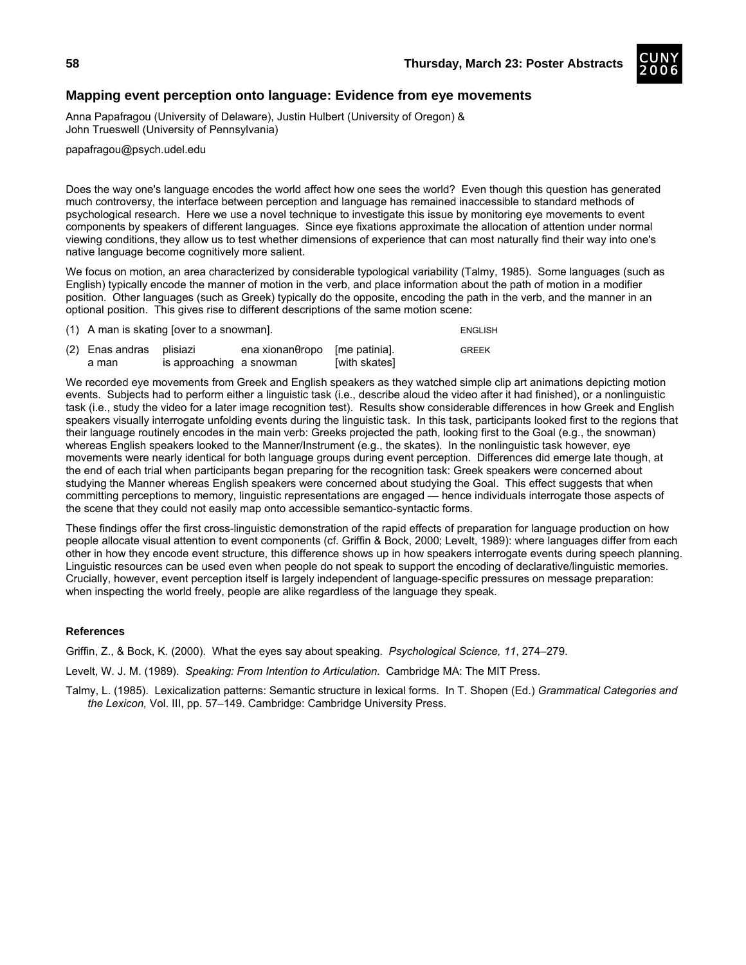![](_page_33_Picture_1.jpeg)

# **Mapping event perception onto language: Evidence from eye movements**

Anna Papafragou (University of Delaware), Justin Hulbert (University of Oregon) & John Trueswell (University of Pennsylvania)

papafragou@psych.udel.edu

Does the way one's language encodes the world affect how one sees the world? Even though this question has generated much controversy, the interface between perception and language has remained inaccessible to standard methods of psychological research. Here we use a novel technique to investigate this issue by monitoring eye movements to event components by speakers of different languages. Since eye fixations approximate the allocation of attention under normal viewing conditions, they allow us to test whether dimensions of experience that can most naturally find their way into one's native language become cognitively more salient.

We focus on motion, an area characterized by considerable typological variability (Talmy, 1985). Some languages (such as English) typically encode the manner of motion in the verb, and place information about the path of motion in a modifier position. Other languages (such as Greek) typically do the opposite, encoding the path in the verb, and the manner in an optional position. This gives rise to different descriptions of the same motion scene:

| $(1)$ A man is skating fover to a snowman. |                          |                                      |               | <b>ENGLISH</b> |
|--------------------------------------------|--------------------------|--------------------------------------|---------------|----------------|
| (2) Enas andras plisiazi<br>a man          | is approaching a snowman | $ena xionan\thetaropo$ [me patinia]. | [with skates] | <b>GREEK</b>   |

We recorded eye movements from Greek and English speakers as they watched simple clip art animations depicting motion events. Subjects had to perform either a linguistic task (i.e., describe aloud the video after it had finished), or a nonlinguistic task (i.e., study the video for a later image recognition test). Results show considerable differences in how Greek and English speakers visually interrogate unfolding events during the linguistic task. In this task, participants looked first to the regions that their language routinely encodes in the main verb: Greeks projected the path, looking first to the Goal (e.g., the snowman) whereas English speakers looked to the Manner/Instrument (e.g., the skates). In the nonlinguistic task however, eye movements were nearly identical for both language groups during event perception. Differences did emerge late though, at the end of each trial when participants began preparing for the recognition task: Greek speakers were concerned about studying the Manner whereas English speakers were concerned about studying the Goal. This effect suggests that when committing perceptions to memory, linguistic representations are engaged — hence individuals interrogate those aspects of the scene that they could not easily map onto accessible semantico-syntactic forms.

These findings offer the first cross-linguistic demonstration of the rapid effects of preparation for language production on how people allocate visual attention to event components (cf. Griffin & Bock, 2000; Levelt, 1989): where languages differ from each other in how they encode event structure, this difference shows up in how speakers interrogate events during speech planning. Linguistic resources can be used even when people do not speak to support the encoding of declarative/linguistic memories. Crucially, however, event perception itself is largely independent of language-specific pressures on message preparation: when inspecting the world freely, people are alike regardless of the language they speak.

## **References**

Griffin, Z., & Bock, K. (2000). What the eyes say about speaking. *Psychological Science, 11*, 274–279.

Levelt, W. J. M. (1989). *Speaking: From Intention to Articulation*. Cambridge MA: The MIT Press.

Talmy, L. (1985). Lexicalization patterns: Semantic structure in lexical forms. In T. Shopen (Ed.) *Grammatical Categories and the Lexicon,* Vol. III, pp. 57–149. Cambridge: Cambridge University Press.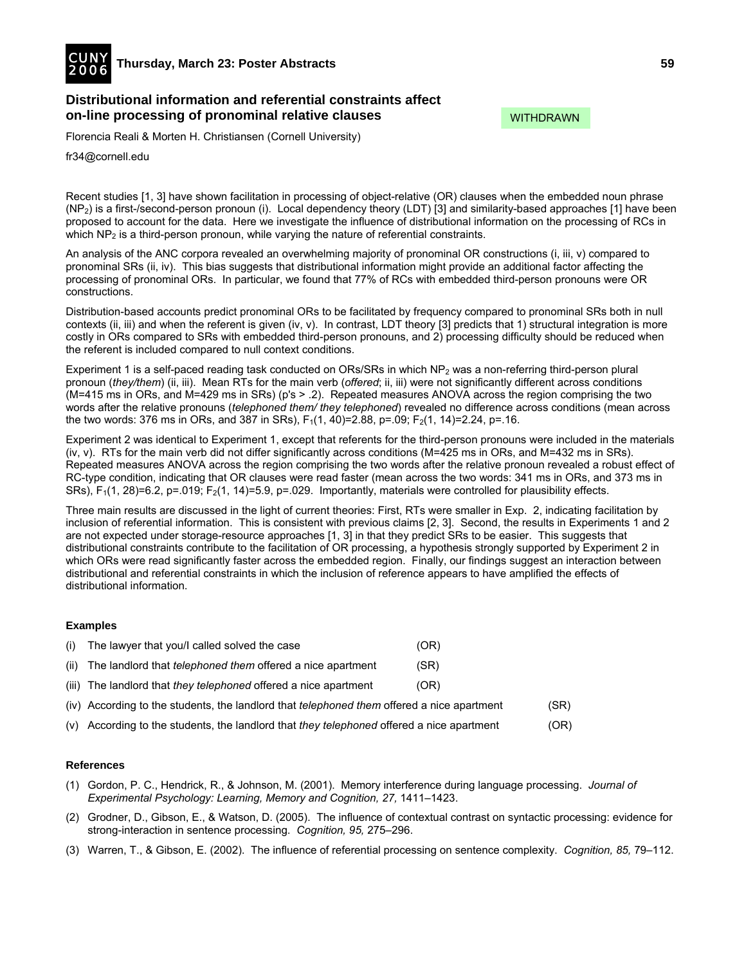![](_page_34_Picture_0.jpeg)

# **Distributional information and referential constraints affect on-line processing of pronominal relative clauses**

Florencia Reali & Morten H. Christiansen (Cornell University)

fr34@cornell.edu

Recent studies [1, 3] have shown facilitation in processing of object-relative (OR) clauses when the embedded noun phrase  $(NP_2)$  is a first-/second-person pronoun (i). Local dependency theory (LDT) [3] and similarity-based approaches [1] have been proposed to account for the data. Here we investigate the influence of distributional information on the processing of RCs in which NP<sub>2</sub> is a third-person pronoun, while varying the nature of referential constraints.

An analysis of the ANC corpora revealed an overwhelming majority of pronominal OR constructions (i, iii, v) compared to pronominal SRs (ii, iv). This bias suggests that distributional information might provide an additional factor affecting the processing of pronominal ORs. In particular, we found that 77% of RCs with embedded third-person pronouns were OR constructions.

Distribution-based accounts predict pronominal ORs to be facilitated by frequency compared to pronominal SRs both in null contexts (ii, iii) and when the referent is given (iv, v). In contrast, LDT theory [3] predicts that 1) structural integration is more costly in ORs compared to SRs with embedded third-person pronouns, and 2) processing difficulty should be reduced when the referent is included compared to null context conditions.

Experiment 1 is a self-paced reading task conducted on ORs/SRs in which  $NP<sub>2</sub>$  was a non-referring third-person plural pronoun (*they/them*) (ii, iii). Mean RTs for the main verb (*offered*; ii, iii) were not significantly different across conditions (M=415 ms in ORs, and M=429 ms in SRs) (p's > .2). Repeated measures ANOVA across the region comprising the two words after the relative pronouns (*telephoned them/ they telephoned*) revealed no difference across conditions (mean across the two words: 376 ms in ORs, and 387 in SRs),  $F_1(1, 40)=2.88$ ,  $p=.09$ ;  $F_2(1, 14)=2.24$ ,  $p=.16$ .

Experiment 2 was identical to Experiment 1, except that referents for the third-person pronouns were included in the materials (iv, v). RTs for the main verb did not differ significantly across conditions (M=425 ms in ORs, and M=432 ms in SRs). Repeated measures ANOVA across the region comprising the two words after the relative pronoun revealed a robust effect of RC-type condition, indicating that OR clauses were read faster (mean across the two words: 341 ms in ORs, and 373 ms in SRs),  $F_1(1, 28)=6.2$ , p=.019;  $F_2(1, 14)=5.9$ , p=.029. Importantly, materials were controlled for plausibility effects.

Three main results are discussed in the light of current theories: First, RTs were smaller in Exp. 2, indicating facilitation by inclusion of referential information. This is consistent with previous claims [2, 3]. Second, the results in Experiments 1 and 2 are not expected under storage-resource approaches [1, 3] in that they predict SRs to be easier. This suggests that distributional constraints contribute to the facilitation of OR processing, a hypothesis strongly supported by Experiment 2 in which ORs were read significantly faster across the embedded region. Finally, our findings suggest an interaction between distributional and referential constraints in which the inclusion of reference appears to have amplified the effects of distributional information.

## **Examples**

| (i)  | The lawyer that you/I called solved the case                                                      | (OR) |      |
|------|---------------------------------------------------------------------------------------------------|------|------|
| (ii) | The landlord that <i>telephoned them</i> offered a nice apartment                                 | (SR) |      |
|      | (iii) The landlord that they telephoned offered a nice apartment                                  | (OR) |      |
|      | (iv) According to the students, the landlord that <i>telephoned them</i> offered a nice apartment |      | (SR) |
|      | (v) According to the students, the landlord that they telephoned offered a nice apartment         |      | (OR) |

#### **References**

- (1) Gordon, P. C., Hendrick, R., & Johnson, M. (2001). Memory interference during language processing. *Journal of*  Experimental Psychology: Learning, Memory and Cognition, 27, 1411–1423.
- (2) Grodner, D., Gibson, E., & Watson, D. (2005). The influence of contextual contrast on syntactic processing: evidence for strong-interaction in sentence processing. *Cognition, 95,* 275–296.
- (3) Warren, T., & Gibson, E. (2002). The influence of referential processing on sentence complexity. *Cognition, 85,* 79–112.

WITHDRAWN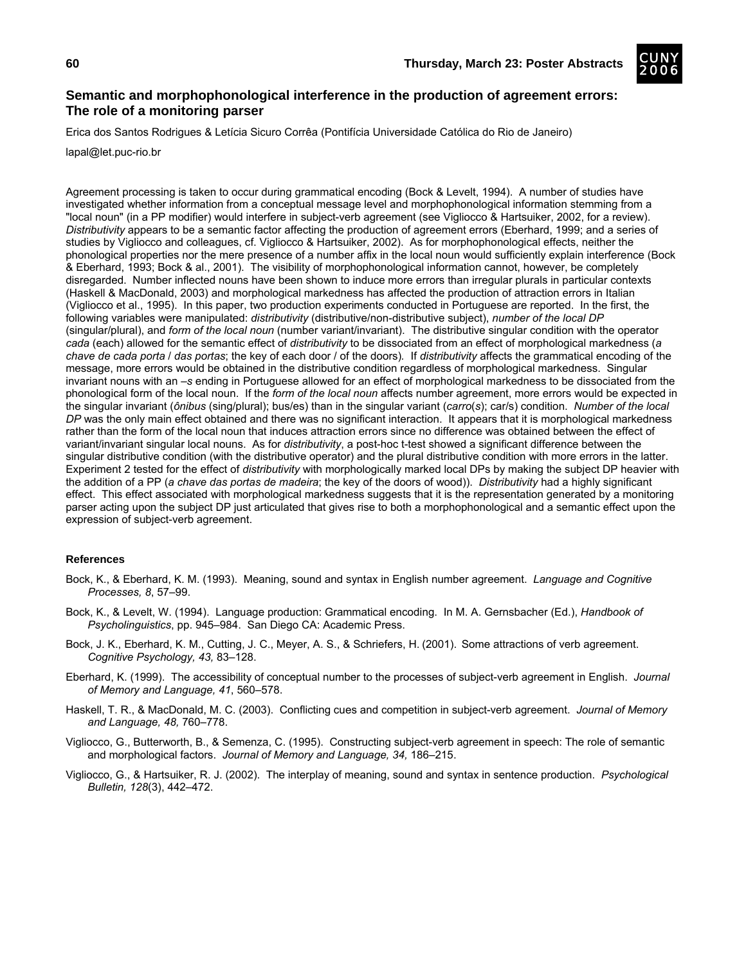![](_page_35_Picture_2.jpeg)

# **Semantic and morphophonological interference in the production of agreement errors: The role of a monitoring parser**

Erica dos Santos Rodrigues & Letícia Sicuro Corrêa (Pontifícia Universidade Católica do Rio de Janeiro)

lapal@let.puc-rio.br

Agreement processing is taken to occur during grammatical encoding (Bock & Levelt, 1994). A number of studies have investigated whether information from a conceptual message level and morphophonological information stemming from a "local noun" (in a PP modifier) would interfere in subject-verb agreement (see Vigliocco & Hartsuiker, 2002, for a review). *Distributivity* appears to be a semantic factor affecting the production of agreement errors (Eberhard, 1999; and a series of studies by Vigliocco and colleagues, cf. Vigliocco & Hartsuiker, 2002). As for morphophonological effects, neither the phonological properties nor the mere presence of a number affix in the local noun would sufficiently explain interference (Bock & Eberhard, 1993; Bock & al., 2001). The visibility of morphophonological information cannot, however, be completely disregarded. Number inflected nouns have been shown to induce more errors than irregular plurals in particular contexts (Haskell & MacDonald, 2003) and morphological markedness has affected the production of attraction errors in Italian (Vigliocco et al., 1995). In this paper, two production experiments conducted in Portuguese are reported. In the first, the following variables were manipulated: *distributivity* (distributive/non-distributive subject), *number of the local DP* (singular/plural), and *form of the local noun* (number variant/invariant). The distributive singular condition with the operator *cada* (each) allowed for the semantic effect of *distributivity* to be dissociated from an effect of morphological markedness (*a chave de cada porta* / *das portas*; the key of each door / of the doors)*.* If *distributivity* affects the grammatical encoding of the message, more errors would be obtained in the distributive condition regardless of morphological markedness. Singular invariant nouns with an *–s* ending in Portuguese allowed for an effect of morphological markedness to be dissociated from the phonological form of the local noun. If the *form of the local noun* affects number agreement, more errors would be expected in the singular invariant (*ônibus* (sing/plural); bus/es) than in the singular variant (*carro*(*s*); car/s) condition. *Number of the local DP* was the only main effect obtained and there was no significant interaction. It appears that it is morphological markedness rather than the form of the local noun that induces attraction errors since no difference was obtained between the effect of variant/invariant singular local nouns. As for *distributivity*, a post-hoc t-test showed a significant difference between the singular distributive condition (with the distributive operator) and the plural distributive condition with more errors in the latter. Experiment 2 tested for the effect of *distributivity* with morphologically marked local DPs by making the subject DP heavier with the addition of a PP (*a chave das portas de madeira*; the key of the doors of wood)). *Distributivity* had a highly significant effect. This effect associated with morphological markedness suggests that it is the representation generated by a monitoring parser acting upon the subject DP just articulated that gives rise to both a morphophonological and a semantic effect upon the expression of subject-verb agreement.

- Bock, K., & Eberhard, K. M. (1993). Meaning, sound and syntax in English number agreement. *Language and Cognitive Processes, 8*, 57–99.
- Bock, K., & Levelt, W. (1994). Language production: Grammatical encoding. In M. A. Gernsbacher (Ed.), *Handbook of Psycholinguistics*, pp. 945–984. San Diego CA: Academic Press.
- Bock, J. K., Eberhard, K. M., Cutting, J. C., Meyer, A. S., & Schriefers, H. (2001). Some attractions of verb agreement. *Cognitive Psychology, 43,* 83–128.
- Eberhard, K. (1999). The accessibility of conceptual number to the processes of subject-verb agreement in English. *Journal of Memory and Language, 41*, 560–578.
- Haskell, T. R., & MacDonald, M. C. (2003). Conflicting cues and competition in subject-verb agreement. *Journal of Memory and Language, 48,* 760–778.
- Vigliocco, G., Butterworth, B., & Semenza, C. (1995). Constructing subject-verb agreement in speech: The role of semantic and morphological factors. *Journal of Memory and Language, 34,* 186–215.
- Vigliocco, G., & Hartsuiker, R. J. (2002). The interplay of meaning, sound and syntax in sentence production. *Psychological Bulletin, 128*(3), 442–472.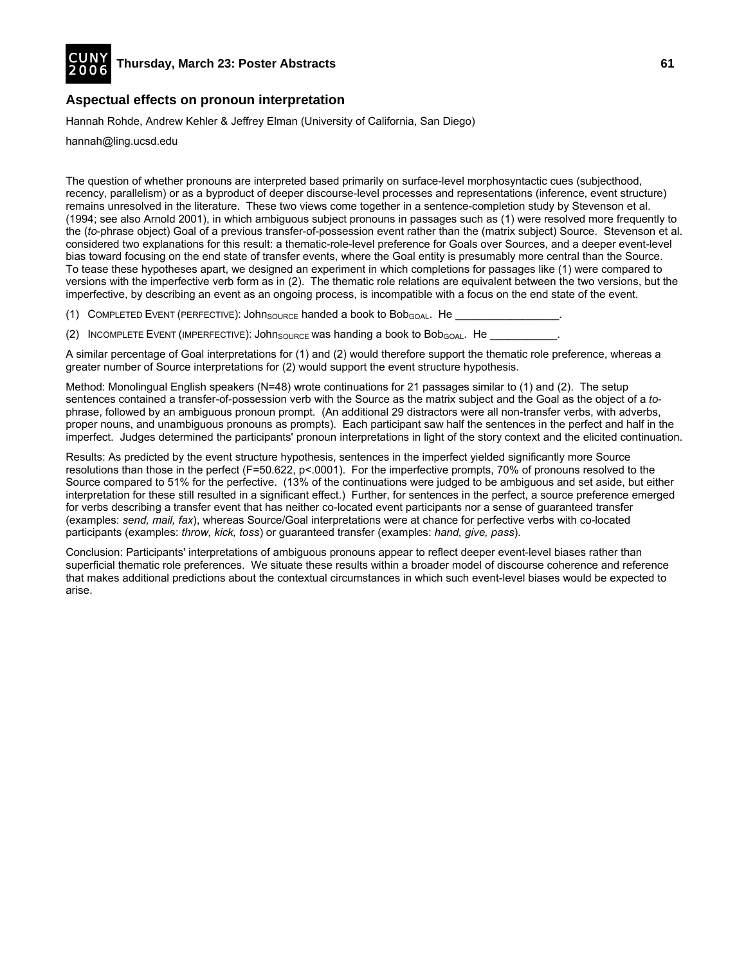![](_page_36_Picture_0.jpeg)

# **Aspectual effects on pronoun interpretation**

Hannah Rohde, Andrew Kehler & Jeffrey Elman (University of California, San Diego)

hannah@ling.ucsd.edu

The question of whether pronouns are interpreted based primarily on surface-level morphosyntactic cues (subjecthood, recency, parallelism) or as a byproduct of deeper discourse-level processes and representations (inference, event structure) remains unresolved in the literature. These two views come together in a sentence-completion study by Stevenson et al. (1994; see also Arnold 2001), in which ambiguous subject pronouns in passages such as (1) were resolved more frequently to the (*to*-phrase object) Goal of a previous transfer-of-possession event rather than the (matrix subject) Source. Stevenson et al. considered two explanations for this result: a thematic-role-level preference for Goals over Sources, and a deeper event-level bias toward focusing on the end state of transfer events, where the Goal entity is presumably more central than the Source. To tease these hypotheses apart, we designed an experiment in which completions for passages like (1) were compared to versions with the imperfective verb form as in (2). The thematic role relations are equivalent between the two versions, but the imperfective, by describing an event as an ongoing process, is incompatible with a focus on the end state of the event.

(1) COMPLETED EVENT (PERFECTIVE): JohnSOURCE handed a book to Bob<sub>GOAL</sub>. He

(2) INCOMPLETE EVENT (IMPERFECTIVE): John SOURCE Was handing a book to Bob<sub>GOAL</sub>. He

A similar percentage of Goal interpretations for (1) and (2) would therefore support the thematic role preference, whereas a greater number of Source interpretations for (2) would support the event structure hypothesis.

Method: Monolingual English speakers (N=48) wrote continuations for 21 passages similar to (1) and (2). The setup sentences contained a transfer-of-possession verb with the Source as the matrix subject and the Goal as the object of a *to*phrase, followed by an ambiguous pronoun prompt. (An additional 29 distractors were all non-transfer verbs, with adverbs, proper nouns, and unambiguous pronouns as prompts). Each participant saw half the sentences in the perfect and half in the imperfect. Judges determined the participants' pronoun interpretations in light of the story context and the elicited continuation.

Results: As predicted by the event structure hypothesis, sentences in the imperfect yielded significantly more Source resolutions than those in the perfect (F=50.622, p<.0001). For the imperfective prompts, 70% of pronouns resolved to the Source compared to 51% for the perfective. (13% of the continuations were judged to be ambiguous and set aside, but either interpretation for these still resulted in a significant effect.) Further, for sentences in the perfect, a source preference emerged for verbs describing a transfer event that has neither co-located event participants nor a sense of guaranteed transfer (examples: *send, mail, fax*), whereas Source/Goal interpretations were at chance for perfective verbs with co-located participants (examples: *throw, kick, toss*) or guaranteed transfer (examples: *hand, give, pass*).

Conclusion: Participants' interpretations of ambiguous pronouns appear to reflect deeper event-level biases rather than superficial thematic role preferences. We situate these results within a broader model of discourse coherence and reference that makes additional predictions about the contextual circumstances in which such event-level biases would be expected to arise.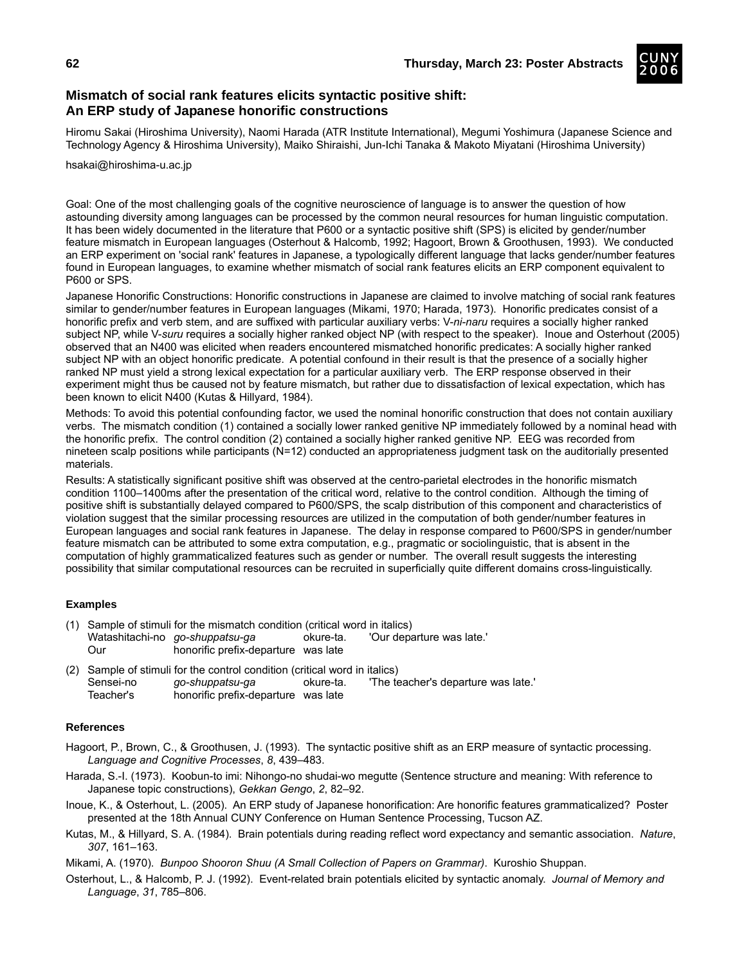![](_page_37_Picture_2.jpeg)

# **Mismatch of social rank features elicits syntactic positive shift: An ERP study of Japanese honorific constructions**

Hiromu Sakai (Hiroshima University), Naomi Harada (ATR Institute International), Megumi Yoshimura (Japanese Science and Technology Agency & Hiroshima University), Maiko Shiraishi, Jun-Ichi Tanaka & Makoto Miyatani (Hiroshima University)

hsakai@hiroshima-u.ac.jp

Goal: One of the most challenging goals of the cognitive neuroscience of language is to answer the question of how astounding diversity among languages can be processed by the common neural resources for human linguistic computation. It has been widely documented in the literature that P600 or a syntactic positive shift (SPS) is elicited by gender/number feature mismatch in European languages (Osterhout & Halcomb, 1992; Hagoort, Brown & Groothusen, 1993). We conducted an ERP experiment on 'social rank' features in Japanese, a typologically different language that lacks gender/number features found in European languages, to examine whether mismatch of social rank features elicits an ERP component equivalent to P600 or SPS.

Japanese Honorific Constructions: Honorific constructions in Japanese are claimed to involve matching of social rank features similar to gender/number features in European languages (Mikami, 1970; Harada, 1973). Honorific predicates consist of a honorific prefix and verb stem, and are suffixed with particular auxiliary verbs: V-*ni-naru* requires a socially higher ranked subject NP, while V-*suru* requires a socially higher ranked object NP (with respect to the speaker). Inoue and Osterhout (2005) observed that an N400 was elicited when readers encountered mismatched honorific predicates: A socially higher ranked subject NP with an object honorific predicate. A potential confound in their result is that the presence of a socially higher ranked NP must yield a strong lexical expectation for a particular auxiliary verb. The ERP response observed in their experiment might thus be caused not by feature mismatch, but rather due to dissatisfaction of lexical expectation, which has been known to elicit N400 (Kutas & Hillyard, 1984).

Methods: To avoid this potential confounding factor, we used the nominal honorific construction that does not contain auxiliary verbs. The mismatch condition (1) contained a socially lower ranked genitive NP immediately followed by a nominal head with the honorific prefix. The control condition (2) contained a socially higher ranked genitive NP. EEG was recorded from nineteen scalp positions while participants (N=12) conducted an appropriateness judgment task on the auditorially presented materials.

Results: A statistically significant positive shift was observed at the centro-parietal electrodes in the honorific mismatch condition 1100–1400ms after the presentation of the critical word, relative to the control condition. Although the timing of positive shift is substantially delayed compared to P600/SPS, the scalp distribution of this component and characteristics of violation suggest that the similar processing resources are utilized in the computation of both gender/number features in European languages and social rank features in Japanese. The delay in response compared to P600/SPS in gender/number feature mismatch can be attributed to some extra computation, e.g., pragmatic or sociolinguistic, that is absent in the computation of highly grammaticalized features such as gender or number. The overall result suggests the interesting possibility that similar computational resources can be recruited in superficially quite different domains cross-linguistically.

## **Examples**

- (1) Sample of stimuli for the mismatch condition (critical word in italics) Watashitachi-no *go-shuppatsu-ga* okure-ta. 'Our departure was late.' Our honorific prefix-departure was late
- (2) Sample of stimuli for the control condition (critical word in italics)<br>Sensei-no go-shuppatsu-ga okure-ta. The te Sensei-no *go-shuppatsu-ga* okure-ta. 'The teacher's departure was late.' Teacher's honorific prefix-departure was late

- Hagoort, P., Brown, C., & Groothusen, J. (1993). The syntactic positive shift as an ERP measure of syntactic processing. *Language and Cognitive Processes*, *8*, 439–483.
- Harada, S.-I. (1973). Koobun-to imi: Nihongo-no shudai-wo megutte (Sentence structure and meaning: With reference to Japanese topic constructions), *Gekkan Gengo*, *2*, 82–92.
- Inoue, K., & Osterhout, L. (2005). An ERP study of Japanese honorification: Are honorific features grammaticalized? Poster presented at the 18th Annual CUNY Conference on Human Sentence Processing, Tucson AZ.
- Kutas, M., & Hillyard, S. A. (1984). Brain potentials during reading reflect word expectancy and semantic association. *Nature*, *307*, 161–163.
- Mikami, A. (1970). *Bunpoo Shooron Shuu (A Small Collection of Papers on Grammar)*. Kuroshio Shuppan.
- Osterhout, L., & Halcomb, P. J. (1992). Event-related brain potentials elicited by syntactic anomaly. *Journal of Memory and Language*, *31*, 785–806.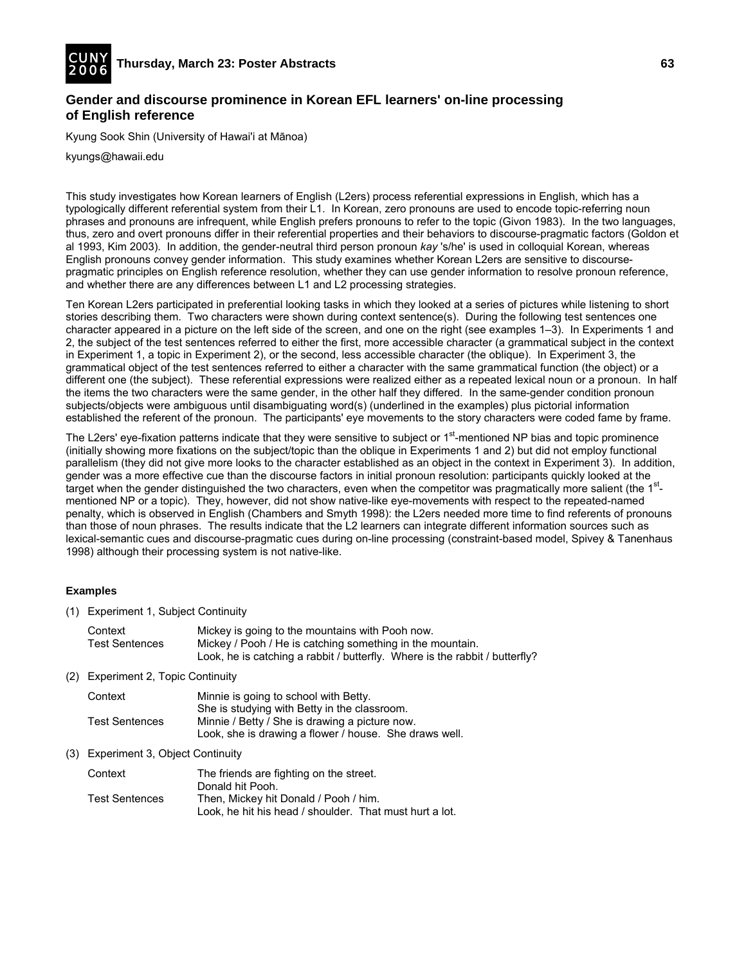![](_page_38_Picture_0.jpeg)

# **Gender and discourse prominence in Korean EFL learners' on-line processing of English reference**

Kyung Sook Shin (University of Hawai'i at Mānoa)

kyungs@hawaii.edu

This study investigates how Korean learners of English (L2ers) process referential expressions in English, which has a typologically different referential system from their L1. In Korean, zero pronouns are used to encode topic-referring noun phrases and pronouns are infrequent, while English prefers pronouns to refer to the topic (Givon 1983). In the two languages, thus, zero and overt pronouns differ in their referential properties and their behaviors to discourse-pragmatic factors (Goldon et al 1993, Kim 2003). In addition, the gender-neutral third person pronoun *kay* 's/he' is used in colloquial Korean, whereas English pronouns convey gender information. This study examines whether Korean L2ers are sensitive to discoursepragmatic principles on English reference resolution, whether they can use gender information to resolve pronoun reference, and whether there are any differences between L1 and L2 processing strategies.

Ten Korean L2ers participated in preferential looking tasks in which they looked at a series of pictures while listening to short stories describing them. Two characters were shown during context sentence(s). During the following test sentences one character appeared in a picture on the left side of the screen, and one on the right (see examples 1–3). In Experiments 1 and 2, the subject of the test sentences referred to either the first, more accessible character (a grammatical subject in the context in Experiment 1, a topic in Experiment 2), or the second, less accessible character (the oblique). In Experiment 3, the grammatical object of the test sentences referred to either a character with the same grammatical function (the object) or a different one (the subject). These referential expressions were realized either as a repeated lexical noun or a pronoun. In half the items the two characters were the same gender, in the other half they differed. In the same-gender condition pronoun subjects/objects were ambiguous until disambiguating word(s) (underlined in the examples) plus pictorial information established the referent of the pronoun. The participants' eye movements to the story characters were coded fame by frame.

The L2ers' eye-fixation patterns indicate that they were sensitive to subject or 1<sup>st</sup>-mentioned NP bias and topic prominence (initially showing more fixations on the subject/topic than the oblique in Experiments 1 and 2) but did not employ functional parallelism (they did not give more looks to the character established as an object in the context in Experiment 3). In addition, gender was a more effective cue than the discourse factors in initial pronoun resolution: participants quickly looked at the target when the gender distinguished the two characters, even when the competitor was pragmatically more salient (the 1<sup>st</sup>mentioned NP or a topic). They, however, did not show native-like eye-movements with respect to the repeated-named penalty, which is observed in English (Chambers and Smyth 1998): the L2ers needed more time to find referents of pronouns than those of noun phrases. The results indicate that the L2 learners can integrate different information sources such as lexical-semantic cues and discourse-pragmatic cues during on-line processing (constraint-based model, Spivey & Tanenhaus 1998) although their processing system is not native-like.

## **Examples**

(1) Experiment 1, Subject Continuity

| Context               | Mickey is going to the mountains with Pooh now.                             |
|-----------------------|-----------------------------------------------------------------------------|
| <b>Test Sentences</b> | Mickey / Pooh / He is catching something in the mountain.                   |
|                       | Look, he is catching a rabbit / butterfly. Where is the rabbit / butterfly? |

(2) Experiment 2, Topic Continuity

| Context               | Minnie is going to school with Betty.                  |  |
|-----------------------|--------------------------------------------------------|--|
|                       | She is studying with Betty in the classroom.           |  |
| <b>Test Sentences</b> | Minnie / Betty / She is drawing a picture now.         |  |
|                       | Look, she is drawing a flower / house. She draws well. |  |

## (3) Experiment 3, Object Continuity

| Context               | The friends are fighting on the street.                 |  |
|-----------------------|---------------------------------------------------------|--|
|                       | Donald hit Pooh.                                        |  |
| <b>Test Sentences</b> | Then, Mickey hit Donald / Pooh / him.                   |  |
|                       | Look, he hit his head / shoulder. That must hurt a lot. |  |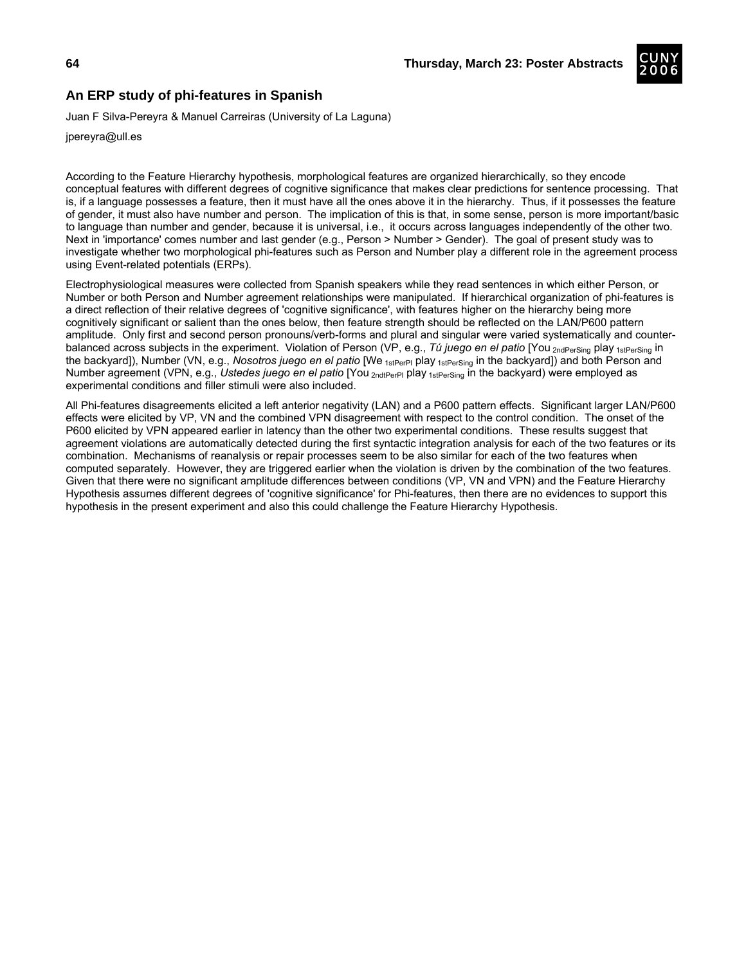![](_page_39_Picture_2.jpeg)

## **An ERP study of phi-features in Spanish**

Juan F Silva-Pereyra & Manuel Carreiras (University of La Laguna)

jpereyra@ull.es

According to the Feature Hierarchy hypothesis, morphological features are organized hierarchically, so they encode conceptual features with different degrees of cognitive significance that makes clear predictions for sentence processing. That is, if a language possesses a feature, then it must have all the ones above it in the hierarchy. Thus, if it possesses the feature of gender, it must also have number and person. The implication of this is that, in some sense, person is more important/basic to language than number and gender, because it is universal, i.e., it occurs across languages independently of the other two. Next in 'importance' comes number and last gender (e.g., Person > Number > Gender). The goal of present study was to investigate whether two morphological phi-features such as Person and Number play a different role in the agreement process using Event-related potentials (ERPs).

Electrophysiological measures were collected from Spanish speakers while they read sentences in which either Person, or Number or both Person and Number agreement relationships were manipulated. If hierarchical organization of phi-features is a direct reflection of their relative degrees of 'cognitive significance', with features higher on the hierarchy being more cognitively significant or salient than the ones below, then feature strength should be reflected on the LAN/P600 pattern amplitude. Only first and second person pronouns/verb-forms and plural and singular were varied systematically and counterbalanced across subjects in the experiment. Violation of Person (VP, e.g., *Tú juego en el patio* [You <sub>2ndPerSing</sub> play 1stPerSing in the backyard]), Number (VN, e.g., *Nosotros juego en el patio* [We <sub>1stPerPl</sub> play <sub>1stPerSing</sub> in the backyard]) and both Person and Number agreement (VPN, e.g., *Ustedes juego en el patio* [You <sub>2ndtPerPl</sub> play <sub>1stPerSing</sub> in the backyard) were employed as experimental conditions and filler stimuli were also included.

All Phi-features disagreements elicited a left anterior negativity (LAN) and a P600 pattern effects. Significant larger LAN/P600 effects were elicited by VP, VN and the combined VPN disagreement with respect to the control condition. The onset of the P600 elicited by VPN appeared earlier in latency than the other two experimental conditions. These results suggest that agreement violations are automatically detected during the first syntactic integration analysis for each of the two features or its combination. Mechanisms of reanalysis or repair processes seem to be also similar for each of the two features when computed separately. However, they are triggered earlier when the violation is driven by the combination of the two features. Given that there were no significant amplitude differences between conditions (VP, VN and VPN) and the Feature Hierarchy Hypothesis assumes different degrees of 'cognitive significance' for Phi-features, then there are no evidences to support this hypothesis in the present experiment and also this could challenge the Feature Hierarchy Hypothesis.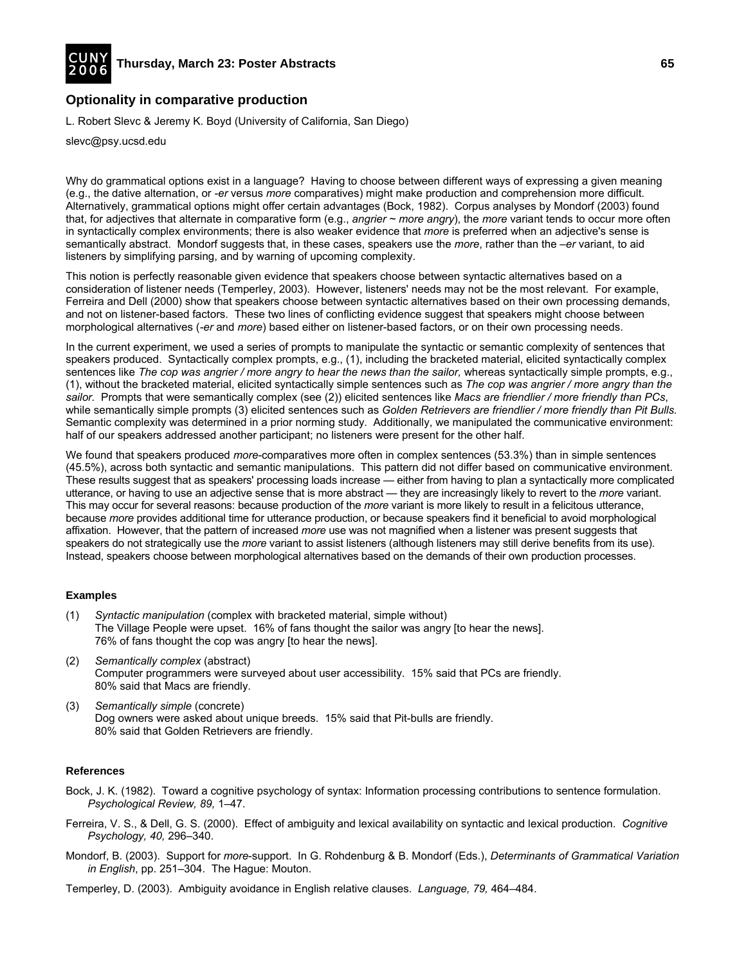![](_page_40_Picture_0.jpeg)

## **Optionality in comparative production**

L. Robert Slevc & Jeremy K. Boyd (University of California, San Diego)

slevc@psy.ucsd.edu

Why do grammatical options exist in a language? Having to choose between different ways of expressing a given meaning (e.g., the dative alternation, or *-er* versus *more* comparatives) might make production and comprehension more difficult. Alternatively, grammatical options might offer certain advantages (Bock, 1982). Corpus analyses by Mondorf (2003) found that, for adjectives that alternate in comparative form (e.g., *angrier ~ more angry*), the *more* variant tends to occur more often in syntactically complex environments; there is also weaker evidence that *more* is preferred when an adjective's sense is semantically abstract. Mondorf suggests that, in these cases, speakers use the *more*, rather than the *–er* variant, to aid listeners by simplifying parsing, and by warning of upcoming complexity.

This notion is perfectly reasonable given evidence that speakers choose between syntactic alternatives based on a consideration of listener needs (Temperley, 2003). However, listeners' needs may not be the most relevant. For example, Ferreira and Dell (2000) show that speakers choose between syntactic alternatives based on their own processing demands, and not on listener-based factors. These two lines of conflicting evidence suggest that speakers might choose between morphological alternatives (*-er* and *more*) based either on listener-based factors, or on their own processing needs.

In the current experiment, we used a series of prompts to manipulate the syntactic or semantic complexity of sentences that speakers produced. Syntactically complex prompts, e.g., (1), including the bracketed material, elicited syntactically complex sentences like *The cop was angrier / more angry to hear the news than the sailor,* whereas syntactically simple prompts, e.g., (1), without the bracketed material, elicited syntactically simple sentences such as *The cop was angrier / more angry than the sailor.* Prompts that were semantically complex (see (2)) elicited sentences like *Macs are friendlier / more friendly than PCs*, while semantically simple prompts (3) elicited sentences such as *Golden Retrievers are friendlier / more friendly than Pit Bulls.* Semantic complexity was determined in a prior norming study. Additionally, we manipulated the communicative environment: half of our speakers addressed another participant; no listeners were present for the other half.

We found that speakers produced *more*-comparatives more often in complex sentences (53.3%) than in simple sentences (45.5%), across both syntactic and semantic manipulations. This pattern did not differ based on communicative environment. These results suggest that as speakers' processing loads increase — either from having to plan a syntactically more complicated utterance, or having to use an adjective sense that is more abstract — they are increasingly likely to revert to the *more* variant. This may occur for several reasons: because production of the *more* variant is more likely to result in a felicitous utterance, because *more* provides additional time for utterance production, or because speakers find it beneficial to avoid morphological affixation. However, that the pattern of increased *more* use was not magnified when a listener was present suggests that speakers do not strategically use the *more* variant to assist listeners (although listeners may still derive benefits from its use). Instead, speakers choose between morphological alternatives based on the demands of their own production processes.

## **Examples**

- (1) *Syntactic manipulation* (complex with bracketed material, simple without) The Village People were upset. 16% of fans thought the sailor was angry [to hear the news]. 76% of fans thought the cop was angry [to hear the news].
- (2) *Semantically complex* (abstract) Computer programmers were surveyed about user accessibility. 15% said that PCs are friendly. 80% said that Macs are friendly.
- (3) *Semantically simple* (concrete) Dog owners were asked about unique breeds. 15% said that Pit-bulls are friendly. 80% said that Golden Retrievers are friendly.

- Bock, J. K. (1982). Toward a cognitive psychology of syntax: Information processing contributions to sentence formulation. *Psychological Review, 89,* 1–47.
- Ferreira, V. S., & Dell, G. S. (2000). Effect of ambiguity and lexical availability on syntactic and lexical production. *Cognitive Psychology, 40,* 296–340.
- Mondorf, B. (2003). Support for *more*-support. In G. Rohdenburg & B. Mondorf (Eds.), *Determinants of Grammatical Variation in English*, pp. 251–304. The Hague: Mouton.
- Temperley, D. (2003). Ambiguity avoidance in English relative clauses. *Language, 79,* 464–484.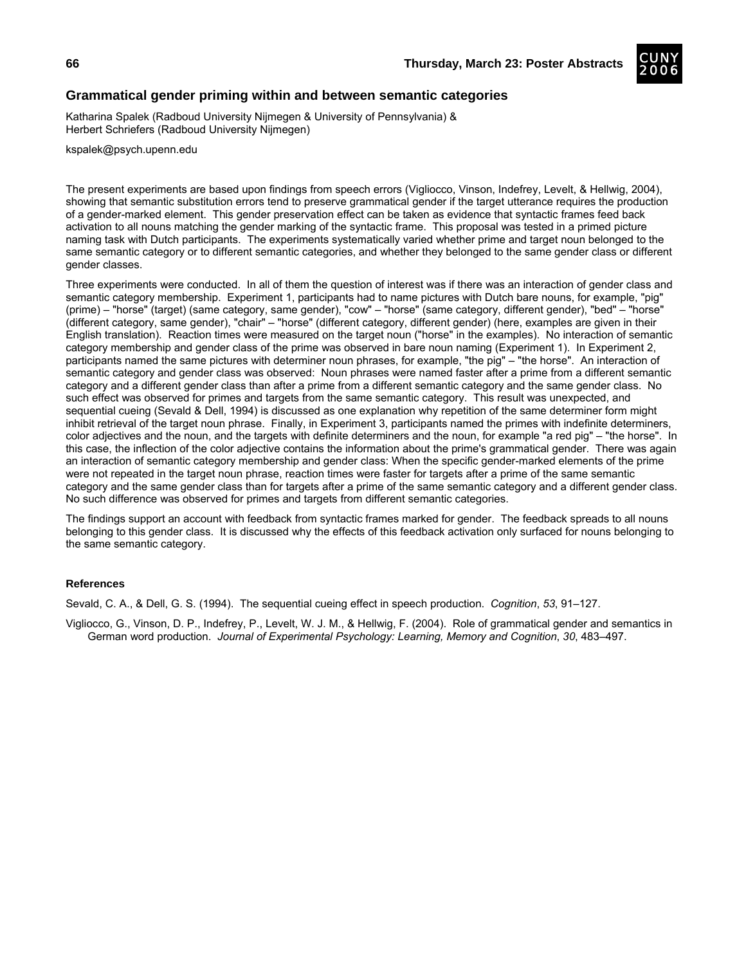![](_page_41_Picture_2.jpeg)

## **Grammatical gender priming within and between semantic categories**

Katharina Spalek (Radboud University Nijmegen & University of Pennsylvania) & Herbert Schriefers (Radboud University Nijmegen)

kspalek@psych.upenn.edu

The present experiments are based upon findings from speech errors (Vigliocco, Vinson, Indefrey, Levelt, & Hellwig, 2004), showing that semantic substitution errors tend to preserve grammatical gender if the target utterance requires the production of a gender-marked element. This gender preservation effect can be taken as evidence that syntactic frames feed back activation to all nouns matching the gender marking of the syntactic frame. This proposal was tested in a primed picture naming task with Dutch participants. The experiments systematically varied whether prime and target noun belonged to the same semantic category or to different semantic categories, and whether they belonged to the same gender class or different gender classes.

Three experiments were conducted. In all of them the question of interest was if there was an interaction of gender class and semantic category membership. Experiment 1, participants had to name pictures with Dutch bare nouns, for example, "pig" (prime) – "horse" (target) (same category, same gender), "cow" – "horse" (same category, different gender), "bed" – "horse" (different category, same gender), "chair" – "horse" (different category, different gender) (here, examples are given in their English translation). Reaction times were measured on the target noun ("horse" in the examples). No interaction of semantic category membership and gender class of the prime was observed in bare noun naming (Experiment 1). In Experiment 2, participants named the same pictures with determiner noun phrases, for example, "the pig" – "the horse". An interaction of semantic category and gender class was observed: Noun phrases were named faster after a prime from a different semantic category and a different gender class than after a prime from a different semantic category and the same gender class. No such effect was observed for primes and targets from the same semantic category. This result was unexpected, and sequential cueing (Sevald & Dell, 1994) is discussed as one explanation why repetition of the same determiner form might inhibit retrieval of the target noun phrase. Finally, in Experiment 3, participants named the primes with indefinite determiners, color adjectives and the noun, and the targets with definite determiners and the noun, for example "a red pig" – "the horse". In this case, the inflection of the color adjective contains the information about the prime's grammatical gender. There was again an interaction of semantic category membership and gender class: When the specific gender-marked elements of the prime were not repeated in the target noun phrase, reaction times were faster for targets after a prime of the same semantic category and the same gender class than for targets after a prime of the same semantic category and a different gender class. No such difference was observed for primes and targets from different semantic categories.

The findings support an account with feedback from syntactic frames marked for gender. The feedback spreads to all nouns belonging to this gender class. It is discussed why the effects of this feedback activation only surfaced for nouns belonging to the same semantic category.

#### **References**

Sevald, C. A., & Dell, G. S. (1994). The sequential cueing effect in speech production. *Cognition*, *53*, 91–127.

Vigliocco, G., Vinson, D. P., Indefrey, P., Levelt, W. J. M., & Hellwig, F. (2004). Role of grammatical gender and semantics in German word production. *Journal of Experimental Psychology: Learning, Memory and Cognition*, *30*, 483–497.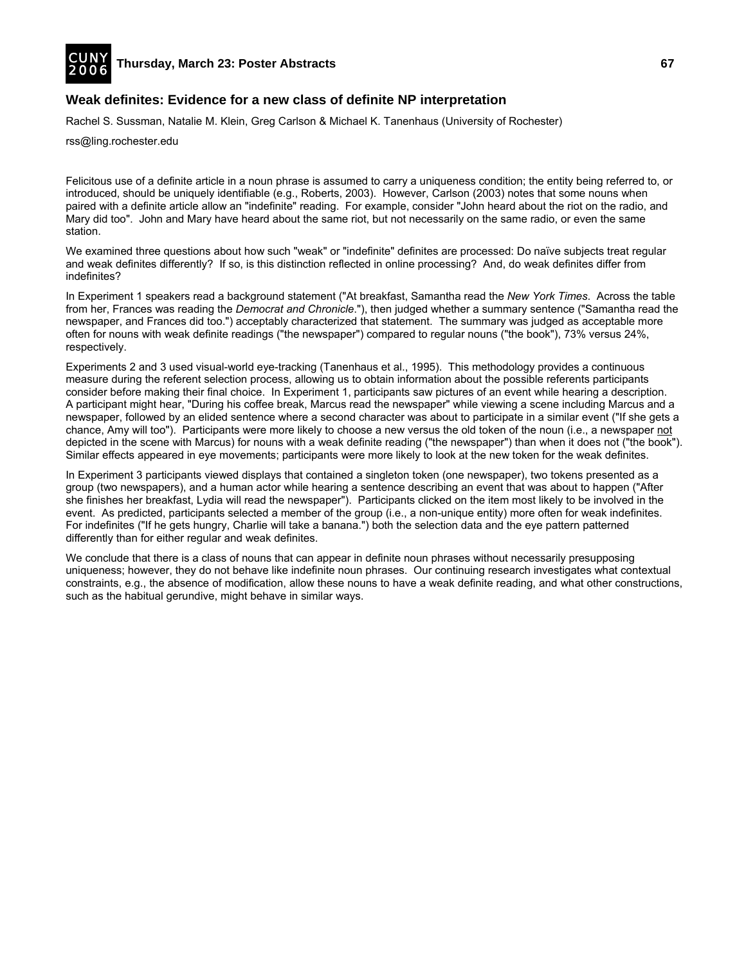![](_page_42_Picture_0.jpeg)

## **Weak definites: Evidence for a new class of definite NP interpretation**

Rachel S. Sussman, Natalie M. Klein, Greg Carlson & Michael K. Tanenhaus (University of Rochester)

rss@ling.rochester.edu

Felicitous use of a definite article in a noun phrase is assumed to carry a uniqueness condition; the entity being referred to, or introduced, should be uniquely identifiable (e.g., Roberts, 2003). However, Carlson (2003) notes that some nouns when paired with a definite article allow an "indefinite" reading. For example, consider "John heard about the riot on the radio, and Mary did too". John and Mary have heard about the same riot, but not necessarily on the same radio, or even the same station.

We examined three questions about how such "weak" or "indefinite" definites are processed: Do naïve subjects treat regular and weak definites differently? If so, is this distinction reflected in online processing? And, do weak definites differ from indefinites?

In Experiment 1 speakers read a background statement ("At breakfast, Samantha read the *New York Times*. Across the table from her, Frances was reading the *Democrat and Chronicle*."), then judged whether a summary sentence ("Samantha read the newspaper, and Frances did too.") acceptably characterized that statement. The summary was judged as acceptable more often for nouns with weak definite readings ("the newspaper") compared to regular nouns ("the book"), 73% versus 24%, respectively.

Experiments 2 and 3 used visual-world eye-tracking (Tanenhaus et al., 1995). This methodology provides a continuous measure during the referent selection process, allowing us to obtain information about the possible referents participants consider before making their final choice. In Experiment 1, participants saw pictures of an event while hearing a description. A participant might hear, "During his coffee break, Marcus read the newspaper" while viewing a scene including Marcus and a newspaper, followed by an elided sentence where a second character was about to participate in a similar event ("If she gets a chance, Amy will too"). Participants were more likely to choose a new versus the old token of the noun (i.e., a newspaper not depicted in the scene with Marcus) for nouns with a weak definite reading ("the newspaper") than when it does not ("the book"). Similar effects appeared in eye movements; participants were more likely to look at the new token for the weak definites.

In Experiment 3 participants viewed displays that contained a singleton token (one newspaper), two tokens presented as a group (two newspapers), and a human actor while hearing a sentence describing an event that was about to happen ("After she finishes her breakfast, Lydia will read the newspaper"). Participants clicked on the item most likely to be involved in the event. As predicted, participants selected a member of the group (i.e., a non-unique entity) more often for weak indefinites. For indefinites ("If he gets hungry, Charlie will take a banana.") both the selection data and the eye pattern patterned differently than for either regular and weak definites.

We conclude that there is a class of nouns that can appear in definite noun phrases without necessarily presupposing uniqueness; however, they do not behave like indefinite noun phrases. Our continuing research investigates what contextual constraints, e.g., the absence of modification, allow these nouns to have a weak definite reading, and what other constructions, such as the habitual gerundive, might behave in similar ways.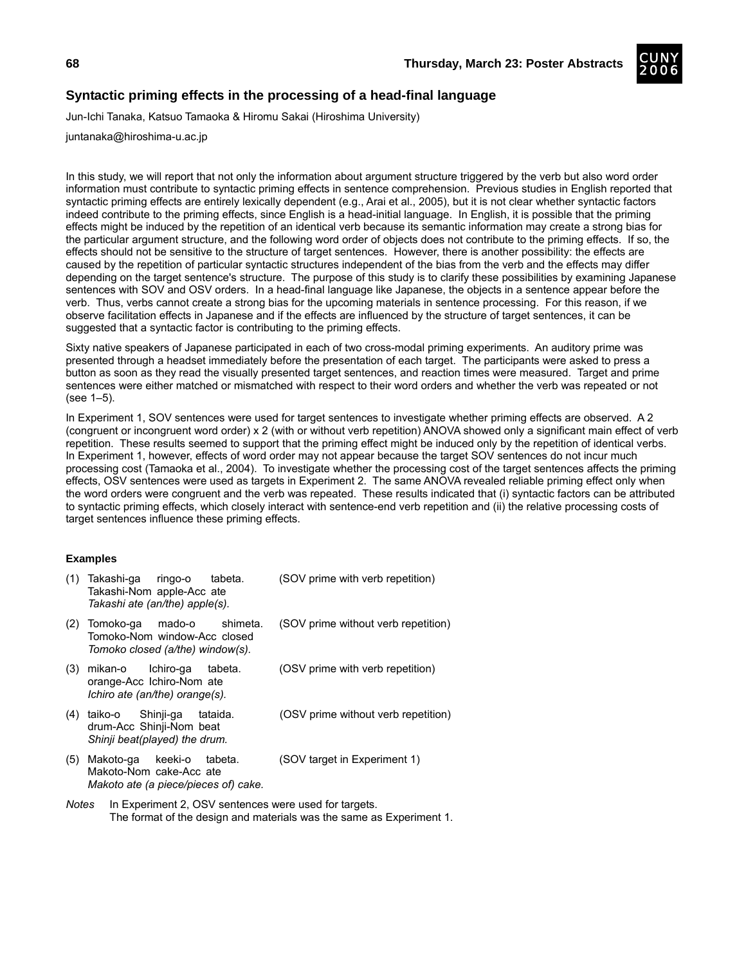![](_page_43_Picture_2.jpeg)

# **Syntactic priming effects in the processing of a head-final language**

Jun-Ichi Tanaka, Katsuo Tamaoka & Hiromu Sakai (Hiroshima University)

juntanaka@hiroshima-u.ac.jp

In this study, we will report that not only the information about argument structure triggered by the verb but also word order information must contribute to syntactic priming effects in sentence comprehension. Previous studies in English reported that syntactic priming effects are entirely lexically dependent (e.g., Arai et al., 2005), but it is not clear whether syntactic factors indeed contribute to the priming effects, since English is a head-initial language. In English, it is possible that the priming effects might be induced by the repetition of an identical verb because its semantic information may create a strong bias for the particular argument structure, and the following word order of objects does not contribute to the priming effects. If so, the effects should not be sensitive to the structure of target sentences. However, there is another possibility: the effects are caused by the repetition of particular syntactic structures independent of the bias from the verb and the effects may differ depending on the target sentence's structure. The purpose of this study is to clarify these possibilities by examining Japanese sentences with SOV and OSV orders. In a head-final language like Japanese, the objects in a sentence appear before the verb. Thus, verbs cannot create a strong bias for the upcoming materials in sentence processing. For this reason, if we observe facilitation effects in Japanese and if the effects are influenced by the structure of target sentences, it can be suggested that a syntactic factor is contributing to the priming effects.

Sixty native speakers of Japanese participated in each of two cross-modal priming experiments. An auditory prime was presented through a headset immediately before the presentation of each target. The participants were asked to press a button as soon as they read the visually presented target sentences, and reaction times were measured. Target and prime sentences were either matched or mismatched with respect to their word orders and whether the verb was repeated or not (see 1–5).

In Experiment 1, SOV sentences were used for target sentences to investigate whether priming effects are observed. A 2 (congruent or incongruent word order) x 2 (with or without verb repetition) ANOVA showed only a significant main effect of verb repetition. These results seemed to support that the priming effect might be induced only by the repetition of identical verbs. In Experiment 1, however, effects of word order may not appear because the target SOV sentences do not incur much processing cost (Tamaoka et al., 2004). To investigate whether the processing cost of the target sentences affects the priming effects, OSV sentences were used as targets in Experiment 2. The same ANOVA revealed reliable priming effect only when the word orders were congruent and the verb was repeated. These results indicated that (i) syntactic factors can be attributed to syntactic priming effects, which closely interact with sentence-end verb repetition and (ii) the relative processing costs of target sentences influence these priming effects.

## **Examples**

| (1) | Takashi-ga<br>ringo-o<br>tabeta.<br>Takashi-Nom apple-Acc ate<br>Takashi ate (an/the) apple(s).     | (SOV prime with verb repetition)    |
|-----|-----------------------------------------------------------------------------------------------------|-------------------------------------|
| (2) | shimeta.<br>Tomoko-ga<br>mado-o<br>Tomoko-Nom window-Acc closed<br>Tomoko closed (a/the) window(s). | (SOV prime without verb repetition) |
| (3) | Ichiro-ga tabeta.<br>mikan-o<br>orange-Acc Ichiro-Nom ate<br>Ichiro ate (an/the) orange(s).         | (OSV prime with verb repetition)    |
| (4) | Shinji-ga<br>taiko-o<br>tataida.<br>drum-Acc Shinji-Nom beat<br>Shinji beat(played) the drum.       | (OSV prime without verb repetition) |
| (5) | keeki-o<br>Makoto-ga<br>tabeta.<br>Makoto-Nom cake-Acc ate<br>Makoto ate (a piece/pieces of) cake.  | (SOV target in Experiment 1)        |

*Notes* In Experiment 2, OSV sentences were used for targets. The format of the design and materials was the same as Experiment 1.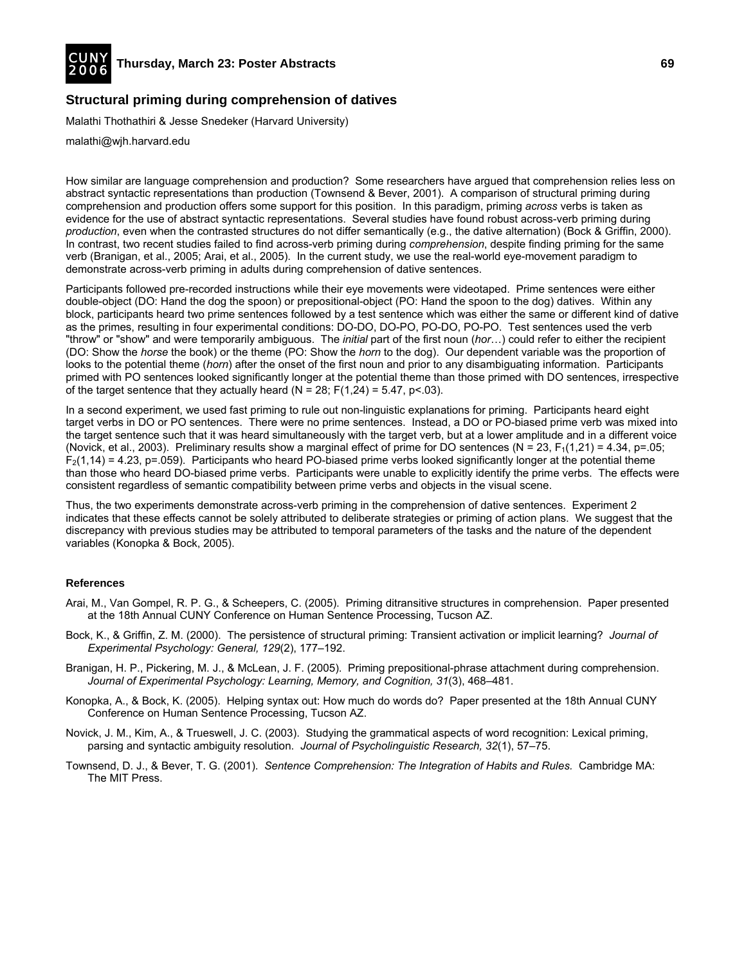![](_page_44_Picture_0.jpeg)

## **Structural priming during comprehension of datives**

Malathi Thothathiri & Jesse Snedeker (Harvard University)

malathi@wjh.harvard.edu

How similar are language comprehension and production? Some researchers have argued that comprehension relies less on abstract syntactic representations than production (Townsend & Bever, 2001). A comparison of structural priming during comprehension and production offers some support for this position. In this paradigm, priming *across* verbs is taken as evidence for the use of abstract syntactic representations. Several studies have found robust across-verb priming during *production*, even when the contrasted structures do not differ semantically (e.g., the dative alternation) (Bock & Griffin, 2000). In contrast, two recent studies failed to find across-verb priming during *comprehension*, despite finding priming for the same verb (Branigan, et al., 2005; Arai, et al., 2005). In the current study, we use the real-world eye-movement paradigm to demonstrate across-verb priming in adults during comprehension of dative sentences.

Participants followed pre-recorded instructions while their eye movements were videotaped. Prime sentences were either double-object (DO: Hand the dog the spoon) or prepositional-object (PO: Hand the spoon to the dog) datives. Within any block, participants heard two prime sentences followed by a test sentence which was either the same or different kind of dative as the primes, resulting in four experimental conditions: DO-DO, DO-PO, PO-DO, PO-PO. Test sentences used the verb "throw" or "show" and were temporarily ambiguous. The *initial* part of the first noun (*hor*…) could refer to either the recipient (DO: Show the *horse* the book) or the theme (PO: Show the *horn* to the dog). Our dependent variable was the proportion of looks to the potential theme (*horn*) after the onset of the first noun and prior to any disambiguating information. Participants primed with PO sentences looked significantly longer at the potential theme than those primed with DO sentences, irrespective of the target sentence that they actually heard (N = 28; F(1,24) = 5.47, p< 03).

In a second experiment, we used fast priming to rule out non-linguistic explanations for priming. Participants heard eight target verbs in DO or PO sentences. There were no prime sentences. Instead, a DO or PO-biased prime verb was mixed into the target sentence such that it was heard simultaneously with the target verb, but at a lower amplitude and in a different voice (Novick, et al., 2003). Preliminary results show a marginal effect of prime for DO sentences (N = 23,  $F_1(1,21) = 4.34$ , p=.05;  $F<sub>2</sub>(1,14) = 4.23$ , p=.059). Participants who heard PO-biased prime verbs looked significantly longer at the potential theme than those who heard DO-biased prime verbs. Participants were unable to explicitly identify the prime verbs. The effects were consistent regardless of semantic compatibility between prime verbs and objects in the visual scene.

Thus, the two experiments demonstrate across-verb priming in the comprehension of dative sentences. Experiment 2 indicates that these effects cannot be solely attributed to deliberate strategies or priming of action plans. We suggest that the discrepancy with previous studies may be attributed to temporal parameters of the tasks and the nature of the dependent variables (Konopka & Bock, 2005).

- Arai, M., Van Gompel, R. P. G., & Scheepers, C. (2005). Priming ditransitive structures in comprehension. Paper presented at the 18th Annual CUNY Conference on Human Sentence Processing, Tucson AZ.
- Bock, K., & Griffin, Z. M. (2000). The persistence of structural priming: Transient activation or implicit learning? *Journal of Experimental Psychology: General, 129*(2), 177–192.
- Branigan, H. P., Pickering, M. J., & McLean, J. F. (2005). Priming prepositional-phrase attachment during comprehension. *Journal of Experimental Psychology: Learning, Memory, and Cognition, 31*(3), 468–481.
- Konopka, A., & Bock, K. (2005). Helping syntax out: How much do words do? Paper presented at the 18th Annual CUNY Conference on Human Sentence Processing, Tucson AZ.
- Novick, J. M., Kim, A., & Trueswell, J. C. (2003). Studying the grammatical aspects of word recognition: Lexical priming, parsing and syntactic ambiguity resolution. *Journal of Psycholinguistic Research, 32*(1), 57–75.
- Townsend, D. J., & Bever, T. G. (2001). *Sentence Comprehension: The Integration of Habits and Rules.* Cambridge MA: The MIT Press.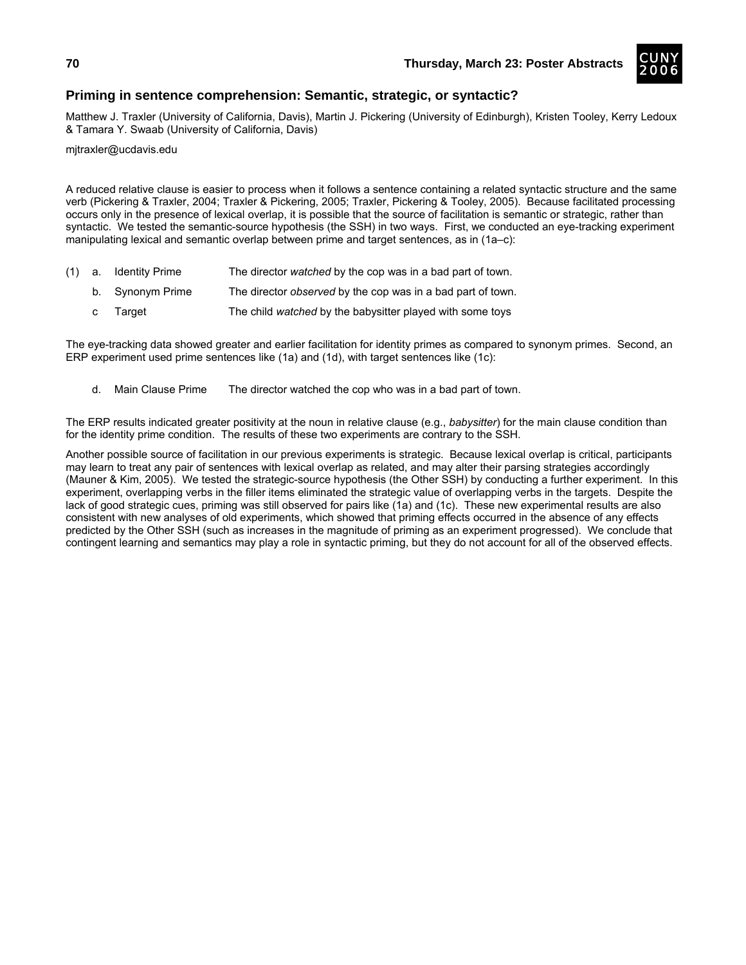![](_page_45_Picture_2.jpeg)

# **Priming in sentence comprehension: Semantic, strategic, or syntactic?**

Matthew J. Traxler (University of California, Davis), Martin J. Pickering (University of Edinburgh), Kristen Tooley, Kerry Ledoux & Tamara Y. Swaab (University of California, Davis)

mjtraxler@ucdavis.edu

A reduced relative clause is easier to process when it follows a sentence containing a related syntactic structure and the same verb (Pickering & Traxler, 2004; Traxler & Pickering, 2005; Traxler, Pickering & Tooley, 2005). Because facilitated processing occurs only in the presence of lexical overlap, it is possible that the source of facilitation is semantic or strategic, rather than syntactic. We tested the semantic-source hypothesis (the SSH) in two ways. First, we conducted an eye-tracking experiment manipulating lexical and semantic overlap between prime and target sentences, as in (1a–c):

- (1) a. Identity Prime The director *watched* by the cop was in a bad part of town.
	- b. Synonym Prime The director *observed* by the cop was in a bad part of town.
	- c Target The child *watched* by the babysitter played with some toys

The eye-tracking data showed greater and earlier facilitation for identity primes as compared to synonym primes. Second, an ERP experiment used prime sentences like (1a) and (1d), with target sentences like (1c):

d. Main Clause Prime The director watched the cop who was in a bad part of town.

The ERP results indicated greater positivity at the noun in relative clause (e.g., *babysitter*) for the main clause condition than for the identity prime condition. The results of these two experiments are contrary to the SSH.

Another possible source of facilitation in our previous experiments is strategic. Because lexical overlap is critical, participants may learn to treat any pair of sentences with lexical overlap as related, and may alter their parsing strategies accordingly (Mauner & Kim, 2005). We tested the strategic-source hypothesis (the Other SSH) by conducting a further experiment. In this experiment, overlapping verbs in the filler items eliminated the strategic value of overlapping verbs in the targets. Despite the lack of good strategic cues, priming was still observed for pairs like (1a) and (1c). These new experimental results are also consistent with new analyses of old experiments, which showed that priming effects occurred in the absence of any effects predicted by the Other SSH (such as increases in the magnitude of priming as an experiment progressed). We conclude that contingent learning and semantics may play a role in syntactic priming, but they do not account for all of the observed effects.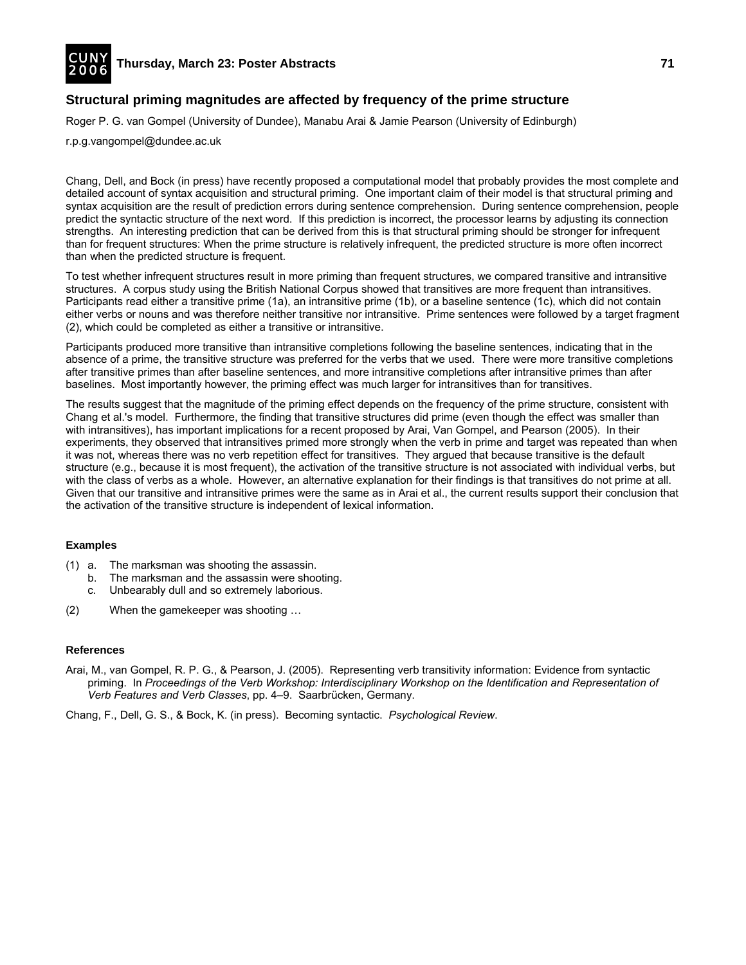![](_page_46_Picture_0.jpeg)

## **Structural priming magnitudes are affected by frequency of the prime structure**

Roger P. G. van Gompel (University of Dundee), Manabu Arai & Jamie Pearson (University of Edinburgh)

r.p.g.vangompel@dundee.ac.uk

Chang, Dell, and Bock (in press) have recently proposed a computational model that probably provides the most complete and detailed account of syntax acquisition and structural priming. One important claim of their model is that structural priming and syntax acquisition are the result of prediction errors during sentence comprehension. During sentence comprehension, people predict the syntactic structure of the next word. If this prediction is incorrect, the processor learns by adjusting its connection strengths. An interesting prediction that can be derived from this is that structural priming should be stronger for infrequent than for frequent structures: When the prime structure is relatively infrequent, the predicted structure is more often incorrect than when the predicted structure is frequent.

To test whether infrequent structures result in more priming than frequent structures, we compared transitive and intransitive structures. A corpus study using the British National Corpus showed that transitives are more frequent than intransitives. Participants read either a transitive prime (1a), an intransitive prime (1b), or a baseline sentence (1c), which did not contain either verbs or nouns and was therefore neither transitive nor intransitive. Prime sentences were followed by a target fragment (2), which could be completed as either a transitive or intransitive.

Participants produced more transitive than intransitive completions following the baseline sentences, indicating that in the absence of a prime, the transitive structure was preferred for the verbs that we used. There were more transitive completions after transitive primes than after baseline sentences, and more intransitive completions after intransitive primes than after baselines. Most importantly however, the priming effect was much larger for intransitives than for transitives.

The results suggest that the magnitude of the priming effect depends on the frequency of the prime structure, consistent with Chang et al.'s model. Furthermore, the finding that transitive structures did prime (even though the effect was smaller than with intransitives), has important implications for a recent proposed by Arai, Van Gompel, and Pearson (2005). In their experiments, they observed that intransitives primed more strongly when the verb in prime and target was repeated than when it was not, whereas there was no verb repetition effect for transitives. They argued that because transitive is the default structure (e.g., because it is most frequent), the activation of the transitive structure is not associated with individual verbs, but with the class of verbs as a whole. However, an alternative explanation for their findings is that transitives do not prime at all. Given that our transitive and intransitive primes were the same as in Arai et al., the current results support their conclusion that the activation of the transitive structure is independent of lexical information.

#### **Examples**

- (1) a. The marksman was shooting the assassin.
	- b. The marksman and the assassin were shooting.
	- c. Unbearably dull and so extremely laborious.
- (2) When the gamekeeper was shooting …

#### **References**

Arai, M., van Gompel, R. P. G., & Pearson, J. (2005). Representing verb transitivity information: Evidence from syntactic priming. In *Proceedings of the Verb Workshop: Interdisciplinary Workshop on the Identification and Representation of Verb Features and Verb Classes*, pp. 4–9. Saarbrücken, Germany.

Chang, F., Dell, G. S., & Bock, K. (in press). Becoming syntactic. *Psychological Review*.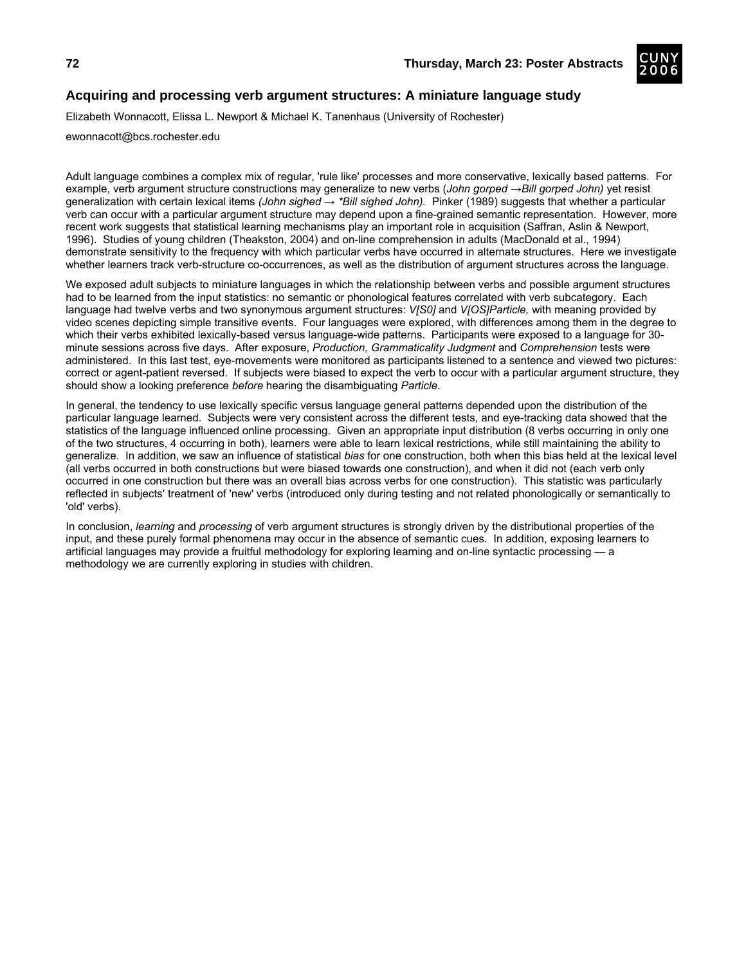![](_page_47_Picture_2.jpeg)

# **Acquiring and processing verb argument structures: A miniature language study**

Elizabeth Wonnacott, Elissa L. Newport & Michael K. Tanenhaus (University of Rochester)

ewonnacott@bcs.rochester.edu

Adult language combines a complex mix of regular, 'rule like' processes and more conservative, lexically based patterns. For example, verb argument structure constructions may generalize to new verbs (*John gorped →Bill gorped John)* yet resist generalization with certain lexical items (John sighed → \*Bill sighed John). Pinker (1989) suggests that whether a particular verb can occur with a particular argument structure may depend upon a fine-grained semantic representation. However, more recent work suggests that statistical learning mechanisms play an important role in acquisition (Saffran, Aslin & Newport, 1996). Studies of young children (Theakston, 2004) and on-line comprehension in adults (MacDonald et al., 1994) demonstrate sensitivity to the frequency with which particular verbs have occurred in alternate structures. Here we investigate whether learners track verb-structure co-occurrences, as well as the distribution of argument structures across the language.

We exposed adult subjects to miniature languages in which the relationship between verbs and possible argument structures had to be learned from the input statistics: no semantic or phonological features correlated with verb subcategory. Each language had twelve verbs and two synonymous argument structures: *V[S0]* and *V[OS]Particle,* with meaning provided by video scenes depicting simple transitive events. Four languages were explored, with differences among them in the degree to which their verbs exhibited lexically-based versus language-wide patterns. Participants were exposed to a language for 30 minute sessions across five days. After exposure, *Production, Grammaticality Judgment* and *Comprehension* tests were administered. In this last test, eye-movements were monitored as participants listened to a sentence and viewed two pictures: correct or agent-patient reversed. If subjects were biased to expect the verb to occur with a particular argument structure, they should show a looking preference *before* hearing the disambiguating *Particle*.

In general, the tendency to use lexically specific versus language general patterns depended upon the distribution of the particular language learned. Subjects were very consistent across the different tests, and eye-tracking data showed that the statistics of the language influenced online processing. Given an appropriate input distribution (8 verbs occurring in only one of the two structures, 4 occurring in both), learners were able to learn lexical restrictions, while still maintaining the ability to generalize. In addition, we saw an influence of statistical *bias* for one construction, both when this bias held at the lexical level (all verbs occurred in both constructions but were biased towards one construction), and when it did not (each verb only occurred in one construction but there was an overall bias across verbs for one construction). This statistic was particularly reflected in subjects' treatment of 'new' verbs (introduced only during testing and not related phonologically or semantically to 'old' verbs).

In conclusion, *learning* and *processing* of verb argument structures is strongly driven by the distributional properties of the input, and these purely formal phenomena may occur in the absence of semantic cues. In addition, exposing learners to artificial languages may provide a fruitful methodology for exploring learning and on-line syntactic processing — a methodology we are currently exploring in studies with children.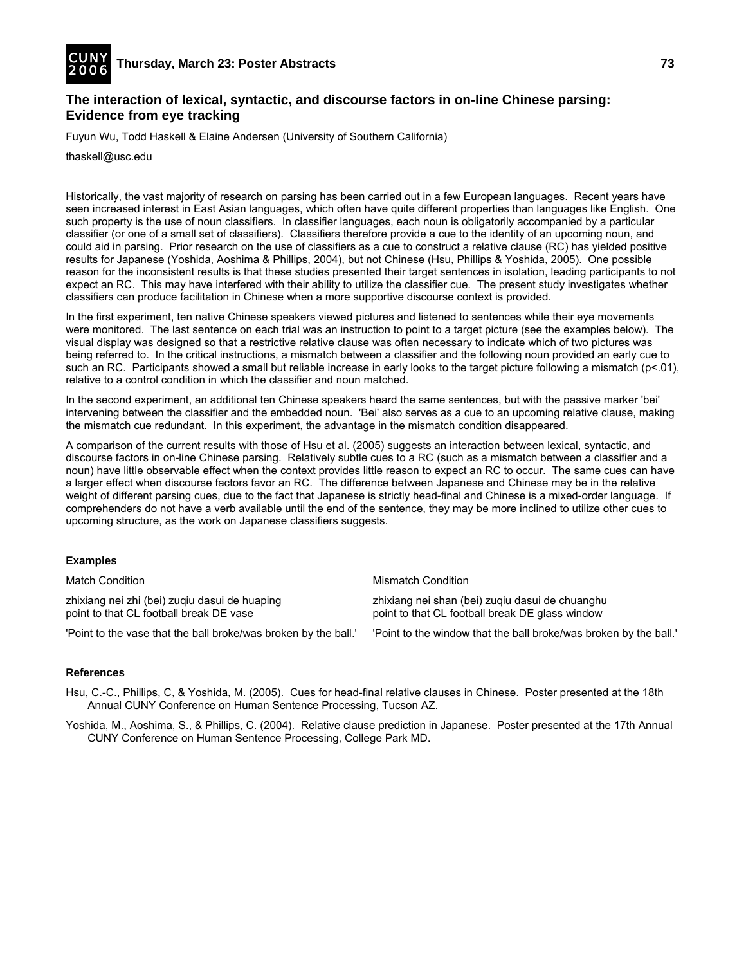![](_page_48_Picture_0.jpeg)

## **The interaction of lexical, syntactic, and discourse factors in on-line Chinese parsing: Evidence from eye tracking**

Fuyun Wu, Todd Haskell & Elaine Andersen (University of Southern California)

thaskell@usc.edu

Historically, the vast majority of research on parsing has been carried out in a few European languages. Recent years have seen increased interest in East Asian languages, which often have quite different properties than languages like English. One such property is the use of noun classifiers. In classifier languages, each noun is obligatorily accompanied by a particular classifier (or one of a small set of classifiers). Classifiers therefore provide a cue to the identity of an upcoming noun, and could aid in parsing. Prior research on the use of classifiers as a cue to construct a relative clause (RC) has yielded positive results for Japanese (Yoshida, Aoshima & Phillips, 2004), but not Chinese (Hsu, Phillips & Yoshida, 2005). One possible reason for the inconsistent results is that these studies presented their target sentences in isolation, leading participants to not expect an RC. This may have interfered with their ability to utilize the classifier cue. The present study investigates whether classifiers can produce facilitation in Chinese when a more supportive discourse context is provided.

In the first experiment, ten native Chinese speakers viewed pictures and listened to sentences while their eye movements were monitored. The last sentence on each trial was an instruction to point to a target picture (see the examples below). The visual display was designed so that a restrictive relative clause was often necessary to indicate which of two pictures was being referred to. In the critical instructions, a mismatch between a classifier and the following noun provided an early cue to such an RC. Participants showed a small but reliable increase in early looks to the target picture following a mismatch (p<.01), relative to a control condition in which the classifier and noun matched.

In the second experiment, an additional ten Chinese speakers heard the same sentences, but with the passive marker 'bei' intervening between the classifier and the embedded noun. 'Bei' also serves as a cue to an upcoming relative clause, making the mismatch cue redundant. In this experiment, the advantage in the mismatch condition disappeared.

A comparison of the current results with those of Hsu et al. (2005) suggests an interaction between lexical, syntactic, and discourse factors in on-line Chinese parsing. Relatively subtle cues to a RC (such as a mismatch between a classifier and a noun) have little observable effect when the context provides little reason to expect an RC to occur. The same cues can have a larger effect when discourse factors favor an RC. The difference between Japanese and Chinese may be in the relative weight of different parsing cues, due to the fact that Japanese is strictly head-final and Chinese is a mixed-order language. If comprehenders do not have a verb available until the end of the sentence, they may be more inclined to utilize other cues to upcoming structure, as the work on Japanese classifiers suggests.

## **Examples**

Match Condition **Mismatch Condition** Mismatch Condition zhixiang nei zhi (bei) zuqiu dasui de huaping zhixiang nei shan (bei) zuqiu dasui de chuanghu point to that CL football break DE vase point to that CL football break DE glass window

'Point to the vase that the ball broke/was broken by the ball.' 'Point to the window that the ball broke/was broken by the ball.'

#### **References**

Hsu, C.-C., Phillips, C, & Yoshida, M. (2005). Cues for head-final relative clauses in Chinese. Poster presented at the 18th Annual CUNY Conference on Human Sentence Processing, Tucson AZ.

Yoshida, M., Aoshima, S., & Phillips, C. (2004). Relative clause prediction in Japanese. Poster presented at the 17th Annual CUNY Conference on Human Sentence Processing, College Park MD.